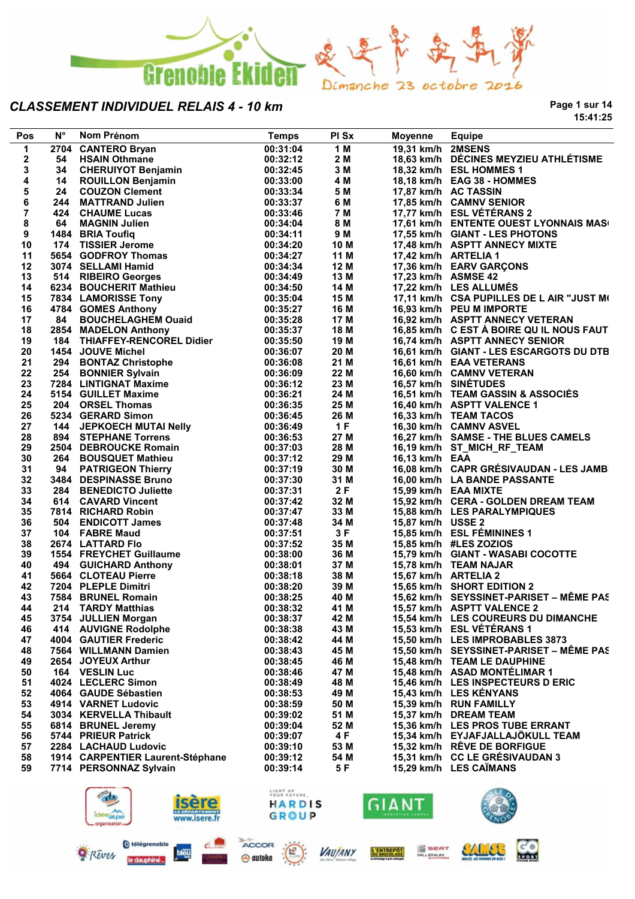

**Page 1 sur 14 15:41:25**

| Pos                     | $N^{\circ}$ | Nom Prénom                       | <b>Temps</b> | PI Sx | Moyenne             | <b>Equipe</b>                             |
|-------------------------|-------------|----------------------------------|--------------|-------|---------------------|-------------------------------------------|
| $\mathbf 1$             |             | 2704 CANTERO Bryan               | 00:31:04     | 1M    | 19,31 km/h 2MSENS   |                                           |
| $\mathbf 2$             | 54          | <b>HSAIN Othmane</b>             | 00:32:12     | 2 M   |                     | 18,63 km/h DÉCINES MEYZIEU ATHLÉTISME     |
| 3                       | 34          | <b>CHERUIYOT Benjamin</b>        | 00:32:45     | 3 M   |                     | 18,32 km/h ESL HOMMES 1                   |
| 4                       | 14          | <b>ROUILLON Benjamin</b>         | 00:33:00     | 4 M   |                     | 18,18 km/h EAG 38 - HOMMES                |
| 5                       | 24          | <b>COUZON Clement</b>            | 00:33:34     | 5 M   |                     | 17,87 km/h AC TASSIN                      |
| 6                       | 244         | <b>MATTRAND Julien</b>           | 00:33:37     | 6 M   |                     | 17,85 km/h CAMNV SENIOR                   |
| $\overline{\mathbf{r}}$ |             | 424 CHAUME Lucas                 | 00:33:46     | 7 M   |                     | 17,77 km/h ESL VÉTÉRANS 2                 |
| 8                       | 64          | <b>MAGNIN Julien</b>             | 00:34:04     | 8 M   |                     | 17,61 km/h ENTENTE OUEST LYONNAIS MAS(    |
| 9                       |             | 1484 BRIA Toufiq                 | 00:34:11     | 9 M   |                     | 17,55 km/h GIANT - LES PHOTONS            |
| 10                      |             | 174 TISSIER Jerome               | 00:34:20     | 10 M  |                     | 17,48 km/h ASPTT ANNECY MIXTE             |
| 11                      |             | 5654 GODFROY Thomas              | 00:34:27     | 11 M  |                     | 17,42 km/h ARTELIA 1                      |
| 12                      |             | 3074 SELLAMI Hamid               | 00:34:34     | 12 M  |                     | 17,36 km/h EARV GARÇONS                   |
| 13                      |             | 514 RIBEIRO Georges              | 00:34:49     | 13 M  | 17,23 km/h ASMSE 42 |                                           |
| 14                      |             | 6234 BOUCHERIT Mathieu           | 00:34:50     | 14 M  |                     | 17,22 km/h LES ALLUMÉS                    |
| 15                      |             | 7834 LAMORISSE Tony              | 00:35:04     | 15 M  |                     | 17,11 km/h CSA PUPILLES DE L AIR "JUST M( |
| 16                      |             | 4784 GOMES Anthony               | 00:35:27     | 16 M  |                     | 16,93 km/h PEU M IMPORTE                  |
| 17                      | 84          | <b>BOUCHELAGHEM Ouaid</b>        | 00:35:28     | 17 M  |                     | 16,92 km/h ASPTT ANNECY VETERAN           |
| 18                      |             | 2854 MADELON Anthony             | 00:35:37     | 18 M  |                     | 16,85 km/h C EST À BOIRE QU IL NOUS FAUT  |
| 19                      |             | 184 THIAFFEY-RENCOREL Didier     | 00:35:50     | 19 M  |                     | 16,74 km/h ASPTT ANNECY SENIOR            |
| 20                      |             | 1454 JOUVE Michel                | 00:36:07     | 20 M  |                     | 16,61 km/h GIANT - LES ESCARGOTS DU DTB   |
| 21                      |             | 294 BONTAZ Christophe            | 00:36:08     | 21 M  |                     | 16,61 km/h EAA VETERANS                   |
| 22                      |             | 254 BONNIER Sylvain              | 00:36:09     | 22 M  |                     | 16,60 km/h CAMNV VETERAN                  |
| 23                      |             | 7284 LINTIGNAT Maxime            | 00:36:12     | 23 M  |                     | 16,57 km/h SINÉTUDES                      |
| 24                      |             | 5154 GUILLET Maxime              | 00:36:21     | 24 M  |                     | 16,51 km/h TEAM GASSIN & ASSOCIÉS         |
| 25                      |             | 204 ORSEL Thomas                 | 00:36:35     | 25 M  |                     | 16,40 km/h ASPTT VALENCE 1                |
| 26                      |             | 5234 GERARD Simon                | 00:36:45     | 26 M  |                     | 16,33 km/h TEAM TACOS                     |
| 27                      |             | 144 JEPKOECH MUTAI Nelly         | 00:36:49     | 1F    |                     | 16,30 km/h CAMNV ASVEL                    |
| 28                      |             | 894 STEPHANE Torrens             | 00:36:53     | 27 M  |                     | 16,27 km/h SAMSE - THE BLUES CAMELS       |
| 29                      |             | 2504 DEBROUCKE Romain            | 00:37:03     | 28 M  |                     | 16,19 km/h ST_MICH_RF_TEAM                |
| 30                      |             | 264 BOUSQUET Mathieu             | 00:37:12     | 29 M  | 16,13 km/h EAA      |                                           |
| 31                      |             | 94 PATRIGEON Thierry             | 00:37:19     | 30 M  |                     | 16,08 km/h CAPR GRÉSIVAUDAN - LES JAMB    |
| 32                      |             | 3484 DESPINASSE Bruno            | 00:37:30     | 31 M  |                     | 16,00 km/h LA BANDE PASSANTE              |
| 33                      |             | 284 BENEDICTO Juliette           | 00:37:31     | 2F    |                     | 15,99 km/h EAA MIXTE                      |
| 34                      |             | 614 CAVARD Vincent               | 00:37:42     | 32 M  |                     | 15,92 km/h CERA - GOLDEN DREAM TEAM       |
| 35                      |             | 7814 RICHARD Robin               | 00:37:47     | 33 M  |                     | 15,88 km/h LES PARALYMPIQUES              |
| 36                      |             | 504 ENDICOTT James               | 00:37:48     | 34 M  | 15,87 km/h USSE 2   |                                           |
| 37                      |             | 104 FABRE Maud                   | 00:37:51     | 3F    |                     | 15,85 km/h ESL FÉMININES 1                |
| 38                      |             | 2674 LATTARD Flo                 | 00:37:52     | 35 M  |                     | 15,85 km/h #LES ZOZIOS                    |
| 39                      |             | 1554 FREYCHET Guillaume          | 00:38:00     | 36 M  |                     | 15,79 km/h GIANT - WASABI COCOTTE         |
| 40                      |             | 494 GUICHARD Anthony             | 00:38:01     | 37 M  |                     | 15,78 km/h TEAM NAJAR                     |
| 41                      |             | 5664 CLOTEAU Pierre              | 00:38:18     | 38 M  |                     | 15,67 km/h ARTELIA 2                      |
| 42                      |             | 7204 PLEPLE Dimitri              | 00:38:20     | 39 M  |                     | 15,65 km/h SHORT EDITION 2                |
| 43                      |             | 7584 BRUNEL Romain               | 00:38:25     | 40 M  |                     | 15,62 km/h SEYSSINET-PARISET - MÊME PAS   |
| 44                      |             | 214 TARDY Matthias               | 00:38:32     | 41 M  |                     | 15,57 km/h ASPTT VALENCE 2                |
| 45                      |             | 3754 JULLIEN Morgan              | 00:38:37     | 42 M  |                     | 15,54 km/h LES COUREURS DU DIMANCHE       |
| 46                      |             | 414 AUVIGNE Rodolphe             | 00:38:38     | 43 M  |                     | 15,53 km/h ESL VÉTÉRANS 1                 |
| 47                      |             | 4004 GAUTIER Frederic            | 00:38:42     | 44 M  |                     | 15,50 km/h LES IMPROBABLES 3873           |
| 48                      |             | 7564 WILLMANN Damien             | 00:38:43     | 45 M  |                     | 15,50 km/h SEYSSINET-PARISET - MÊME PAS   |
| 49                      |             | 2654 JOYEUX Arthur               | 00:38:45     | 46 M  |                     | 15,48 km/h TEAM LE DAUPHINE               |
| 50                      |             | 164 VESLIN Luc                   | 00:38:46     | 47 M  |                     | 15,48 km/h ASAD MONTÉLIMAR 1              |
| 51                      |             | 4024 LECLERC Simon               | 00:38:49     | 48 M  |                     | 15,46 km/h LES INSPECTEURS D ERIC         |
| 52                      |             | 4064 GAUDE Sébastien             | 00:38:53     | 49 M  |                     | 15,43 km/h LES KÉNYANS                    |
| 53                      |             | 4914 VARNET Ludovic              | 00:38:59     | 50 M  |                     | 15,39 km/h RUN FAMILLY                    |
| 54                      |             | 3034 KERVELLA Thibault           | 00:39:02     | 51 M  |                     | 15,37 km/h DREAM TEAM                     |
| 55                      |             | 6814 BRUNEL Jeremy               | 00:39:04     | 52 M  |                     | 15,36 km/h LES PROS TUBE ERRANT           |
| 56                      |             | 5744 PRIEUR Patrick              | 00:39:07     | 4 F   |                     | 15,34 km/h EYJAFJALLAJÖKULL TEAM          |
| 57                      |             | 2284 LACHAUD Ludovic             | 00:39:10     | 53 M  |                     | 15.32 km/h RÊVE DE BORFIGUE               |
| 58                      |             | 1914 CARPENTIER Laurent-Stéphane | 00:39:12     | 54 M  |                     | 15,31 km/h CC LE GRÉSIVAUDAN 3            |
| 59                      |             | 7714 PERSONNAZ Sylvain           | 00:39:14     | 5 F   |                     | 15,29 km/h LES CAIMANS                    |
|                         |             |                                  |              |       |                     |                                           |

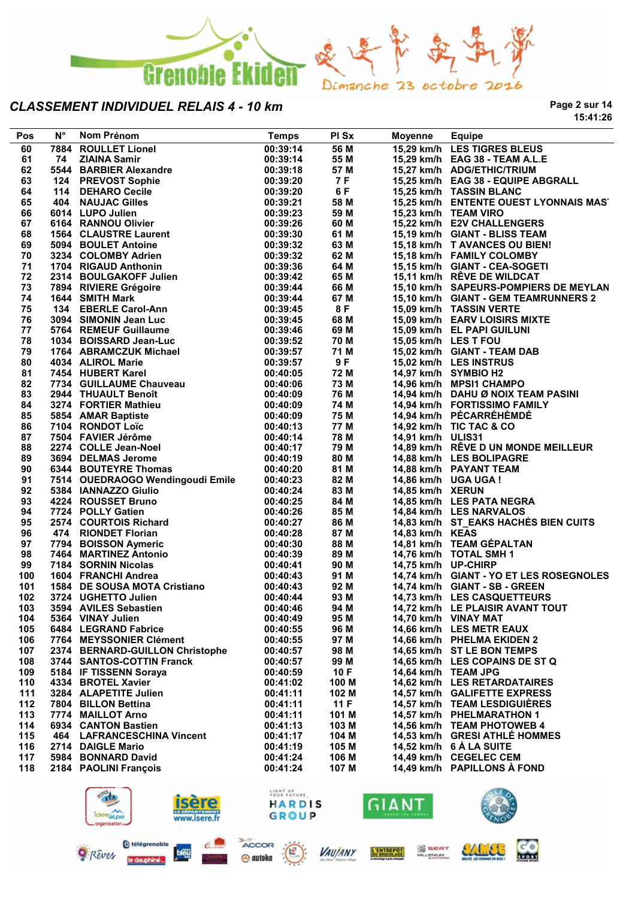

**Page 2 sur 14 15:41:26**

| Pos | Ν° | Nom Prénom                                                                                                    | <b>Temps</b> | <b>PI Sx</b> | Moyenne             | <b>Equipe</b>                           |
|-----|----|---------------------------------------------------------------------------------------------------------------|--------------|--------------|---------------------|-----------------------------------------|
| 60  |    | 7884 ROULLET Lionel                                                                                           | 00:39:14     | 56 M         |                     | 15,29 km/h LES TIGRES BLEUS             |
| 61  | 74 | <b>ZIAINA Samir</b>                                                                                           | 00:39:14     | 55 M         |                     | 15,29 km/h EAG 38 - TEAM A.L.E          |
| 62  |    | 5544 BARBIER Alexandre                                                                                        | 00:39:18     | 57 M         |                     | 15,27 km/h ADG/ETHIC/TRIUM              |
| 63  |    | 124 PREVOST Sophie                                                                                            | 00:39:20     | 7 F          |                     | 15,25 km/h EAG 38 - EQUIPE ABGRALL      |
| 64  |    | 114 DEHARO Cecile                                                                                             | 00:39:20     | 6 F          |                     | 15,25 km/h TASSIN BLANC                 |
| 65  |    | 404 NAUJAC Gilles                                                                                             | 00:39:21     | 58 M         |                     | 15,25 km/h ENTENTE OUEST LYONNAIS MAS'  |
| 66  |    | 6014 LUPO Julien                                                                                              | 00:39:23     | 59 M         |                     | 15,23 km/h TEAM VIRO                    |
| 67  |    | 6164 RANNOU Olivier                                                                                           | 00:39:26     | 60 M         |                     | 15,22 km/h E2V CHALLENGERS              |
| 68  |    | <b>1564 CLAUSTRE Laurent</b>                                                                                  | 00:39:30     | 61 M         |                     | 15,19 km/h GIANT - BLISS TEAM           |
| 69  |    | 5094 BOULET Antoine                                                                                           | 00:39:32     | 63 M         |                     | 15,18 km/h T AVANCES OU BIEN!           |
| 70  |    | 3234 COLOMBY Adrien                                                                                           | 00:39:32     | 62 M         |                     | 15,18 km/h FAMILY COLOMBY               |
| 71  |    | 1704 RIGAUD Anthonin                                                                                          | 00:39:36     | 64 M         |                     | 15,15 km/h GIANT - CEA-SOGETI           |
| 72  |    | 2314 BOULGAKOFF Julien                                                                                        | 00:39:42     | 65 M         |                     | 15,11 km/h RÊVE DE WILDCAT              |
| 73  |    | 7894 RIVIERE Grégoire                                                                                         | 00:39:44     | 66 M         |                     | 15,10 km/h SAPEURS-POMPIERS DE MEYLAN   |
| 74  |    | 1644 SMITH Mark                                                                                               | 00:39:44     | 67 M         |                     | 15,10 km/h GIANT - GEM TEAMRUNNERS 2    |
| 75  |    | 134 EBERLE Carol-Ann                                                                                          | 00:39:45     | 8 F          |                     | 15,09 km/h TASSIN VERTE                 |
| 76  |    | 3094 SIMONIN Jean Luc                                                                                         | 00:39:45     | 68 M         |                     | 15,09 km/h EARV LOISIRS MIXTE           |
|     |    | 5764 REMEUF Guillaume                                                                                         |              | 69 M         |                     |                                         |
| 77  |    |                                                                                                               | 00:39:46     |              |                     | 15,09 km/h EL PAPI GUILUNI              |
| 78  |    | 1034 BOISSARD Jean-Luc                                                                                        | 00:39:52     | 70 M         |                     | 15,05 km/h LES T FOU                    |
| 79  |    | 1764 ABRAMCZUK Michael<br>4034 ALIROL Marie                                                                   | 00:39:57     | 71 M         |                     | 15,02 km/h GIANT - TEAM DAB             |
| 80  |    | 4034 ALIROL Marie                                                                                             | 00:39:57     | 9 F          |                     | 15,02 km/h LES INSTRUS                  |
| 81  |    | 7454 HUBERT Karel                                                                                             | 00:40:05     | 72 M         |                     | 14,97 km/h SYMBIO H2                    |
| 82  |    | 7734 GUILLAUME Chauveau<br>2944 THUAULT Benoît                                                                | 00:40:06     | 73 M         |                     | 14,96 km/h MPSI1 CHAMPO                 |
| 83  |    |                                                                                                               | 00:40:09     | 76 M         |                     | 14,94 km/h DAHU Ø NOIX TEAM PASINI      |
| 84  |    |                                                                                                               | 00:40:09     | 74 M         |                     | 14,94 km/h FORTISSIMO FAMILY            |
| 85  |    | 3274 FORTIER Matrileu<br>5854 AMAR Baptiste<br>7104 RONDOT Loïc<br>7504 FAVIER Jérôme<br>2274 COLLE Jean-Noel | 00:40:09     | 75 M         |                     | 14,94 km/h PÉCARRÉHÈMDÉ                 |
| 86  |    |                                                                                                               | 00:40:13     | 77 M         |                     | 14,92 km/h TIC TAC & CO                 |
| 87  |    |                                                                                                               | 00:40:14     | 78 M         | 14,91 km/h ULIS31   |                                         |
| 88  |    |                                                                                                               | 00:40:17     | 79 M         |                     | 14,89 km/h RÊVE D UN MONDE MEILLEUR     |
| 89  |    |                                                                                                               | 00:40:19     | 80 M         |                     | 14,88 km/h LES BOLIPAGRE                |
| 90  |    | 6344 BOUTEYRE Thomas                                                                                          | 00:40:20     | 81 M         |                     | 14,88 km/h PAYANT TEAM                  |
| 91  |    | 7514 OUEDRAOGO Wendingoudi Emile                                                                              | 00:40:23     | 82 M         |                     | 14,86 km/h UGA UGA !                    |
| 92  |    | 5384 IANNAZZO Giulio                                                                                          | 00:40:24     | 83 M         | 14,85 km/h XERUN    |                                         |
| 93  |    | 4224 ROUSSET Bruno                                                                                            | 00:40:25     | 84 M         |                     | 14,85 km/h LES PATA NEGRA               |
| 94  |    | 7724 POLLY Gatien                                                                                             | 00:40:26     | 85 M         |                     | 14,84 km/h LES NARVALOS                 |
| 95  |    | 2574 COURTOIS Richard                                                                                         | 00:40:27     | 86 M         |                     | 14,83 km/h ST_EAKS HACHÉS BIEN CUITS    |
| 96  |    | 474 RIONDET Florian                                                                                           | 00:40:28     | 87 M         | 14,83 km/h KEAS     |                                         |
| 97  |    | 7794 BOISSON Aymeric                                                                                          | 00:40:30     | 88 M         |                     | 14,81 km/h TEAM GÉPALTAN                |
| 98  |    | 7464 MARTINEZ Antonio                                                                                         | 00:40:39     | 89 M         |                     | 14,76 km/h TOTAL SMH 1                  |
| 99  |    | 7184 SORNIN Nicolas                                                                                           | 00:40:41     | 90 M         | 14,75 km/h UP-CHIRP |                                         |
| 100 |    | 1604 FRANCHI Andrea                                                                                           | 00:40:43     | 91 M         |                     | 14,74 km/h GIANT - YO ET LES ROSEGNOLES |
| 101 |    | 1584 DE SOUSA MOTA Cristiano                                                                                  | 00:40:43     | 92 M         |                     | 14,74 km/h GIANT - SB - GREEN           |
| 102 |    | 3724 UGHETTO Julien                                                                                           | 00:40:44     | 93 M         |                     | 14,73 km/h LES CASQUETTEURS             |
| 103 |    | 3594 AVILES Sebastien                                                                                         | 00:40:46     | 94 M         |                     | 14,72 km/h LE PLAISIR AVANT TOUT        |
| 104 |    | 5364 VINAY Julien                                                                                             | 00:40:49     | 95 M         |                     | 14,70 km/h VINAY MAT                    |
| 105 |    | 6484 LEGRAND Fabrice                                                                                          | 00:40:55     |              |                     |                                         |
|     |    |                                                                                                               |              | 96 M         |                     | 14,66 km/h LES METR EAUX                |
| 106 |    | 7764 MEYSSONIER Clément                                                                                       | 00:40:55     | 97 M         |                     | 14,66 km/h PHELMA EKIDEN 2              |
| 107 |    | 2374 BERNARD-GUILLON Christophe                                                                               | 00:40:57     | 98 M         |                     | 14,65 km/h ST LE BON TEMPS              |
| 108 |    | 3744 SANTOS-COTTIN Franck                                                                                     | 00:40:57     | 99 M         |                     | 14,65 km/h LES COPAINS DE ST Q          |
| 109 |    | 5184 IF TISSENN Soraya                                                                                        | 00:40:59     | 10 F         |                     | 14,64 km/h TEAM JPG                     |
| 110 |    | 4334 BROTEL Xavier                                                                                            | 00:41:02     | 100 M        |                     | 14,62 km/h LES RETARDATAIRES            |
| 111 |    | 3284 ALAPETITE Julien                                                                                         | 00:41:11     | 102 M        |                     | 14.57 km/h GALIFETTE EXPRESS            |
| 112 |    | 7804 BILLON Bettina                                                                                           | 00:41:11     | 11 F         |                     | 14,57 km/h TEAM LESDIGUIÈRES            |
| 113 |    | 7774 MAILLOT Arno                                                                                             | 00:41:11     | 101 M        |                     | 14,57 km/h PHELMARATHON 1               |
| 114 |    | 6934 CANTON Bastien                                                                                           | 00:41:13     | 103 M        |                     | 14,56 km/h TEAM PHOTOWEB 4              |
| 115 |    | 464 LAFRANCESCHINA Vincent                                                                                    | 00:41:17     | 104 M        |                     | 14,53 km/h GRESI ATHLÉ HOMMES           |
| 116 |    | 2714 DAIGLE Mario                                                                                             | 00:41:19     | 105 M        |                     | 14,52 km/h 6 A LA SUITE                 |
| 117 |    | 5984 BONNARD David                                                                                            | 00:41:24     | 106 M        |                     | 14,49 km/h CEGELEC CEM                  |
| 118 |    | 2184 PAOLINI François                                                                                         | 00:41:24     | 107 M        |                     | 14,49 km/h PAPILLONS À FOND             |
|     |    |                                                                                                               |              |              |                     |                                         |





**CO** 

SALEG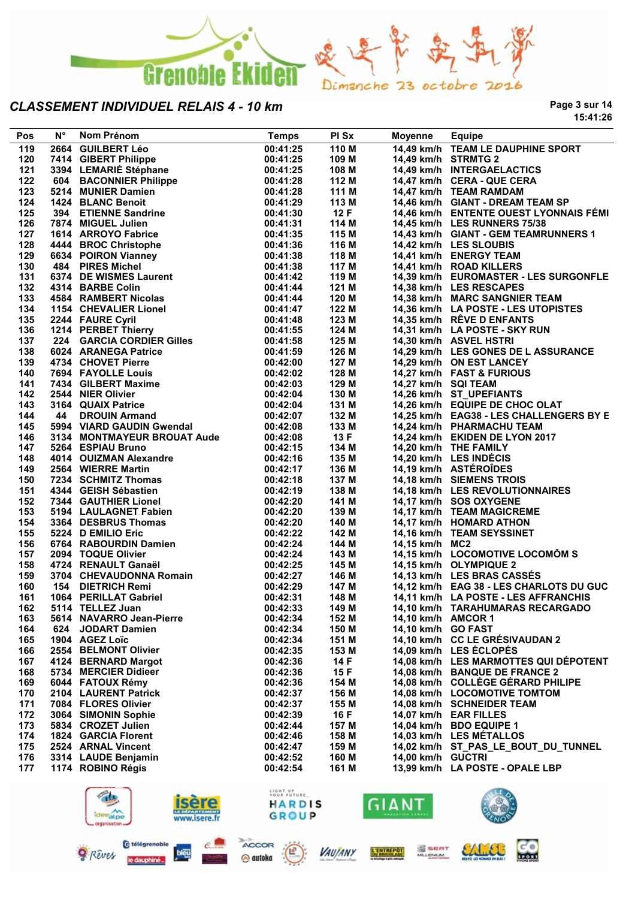

**Page 3 sur 14 15:41:26**

| Pos        | $N^{\circ}$ | Nom Prénom<br>N° Nom Prénom<br>2664 GUILBERT Léo<br>7414 GIBERT Philippe<br>3394 LEMARIÉ Stéphane<br>604 BACONNER Philippe<br>5214 MUNIER Damien<br>1424 BLANC Benoit<br>394 ETIENNE Sandrine<br>1424 BLANC Benoit<br>394 HIGUEL Julien<br>1614 ARROYO Fabrice<br> | <b>Temps</b>         | PI Sx          | Moyenne             | <b>Equipe</b>                                             |
|------------|-------------|--------------------------------------------------------------------------------------------------------------------------------------------------------------------------------------------------------------------------------------------------------------------|----------------------|----------------|---------------------|-----------------------------------------------------------|
| 119        |             |                                                                                                                                                                                                                                                                    | 00:41:25             | 110 M          |                     | 14,49 km/h TEAM LE DAUPHINE SPORT                         |
| 120        |             |                                                                                                                                                                                                                                                                    | 00:41:25             | 109 M          |                     | 14,49 km/h STRMTG 2                                       |
| 121        |             |                                                                                                                                                                                                                                                                    | 00:41:25             | 108 M          |                     | 14,49 km/h INTERGAELACTICS                                |
| 122        |             |                                                                                                                                                                                                                                                                    | 00:41:28             | 112 M          |                     | 14,47 km/h CERA - QUE CERA                                |
| 123        |             |                                                                                                                                                                                                                                                                    | 00:41:28             | 111 M          |                     | 14,47 km/h TEAM RAMDAM                                    |
| 124        |             |                                                                                                                                                                                                                                                                    | 00:41:29             | 113 M          |                     | 14,46 km/h GIANT - DREAM TEAM SP                          |
| 125        |             |                                                                                                                                                                                                                                                                    | 00:41:30             | 12F            |                     | 14,46 km/h ENTENTE OUEST LYONNAIS FÉMI                    |
| 126        |             |                                                                                                                                                                                                                                                                    | 00:41:31             | 114 M          |                     | 14,45 km/h LES RUNNERS 75/38                              |
| 127        |             |                                                                                                                                                                                                                                                                    | 00:41:35             | 115 M          |                     | 14,43 km/h GIANT - GEM TEAMRUNNERS 1                      |
| 128        |             |                                                                                                                                                                                                                                                                    | 00:41:36             | 116 M          |                     | 14,42 km/h LES SLOUBIS                                    |
| 129        |             |                                                                                                                                                                                                                                                                    | 00:41:38             | 118 M          |                     | 14,41 km/h ENERGY TEAM                                    |
| 130        |             |                                                                                                                                                                                                                                                                    | 00:41:38             | 117 M          |                     | 14,41 km/h ROAD KILLERS                                   |
| 131        |             |                                                                                                                                                                                                                                                                    | 00:41:42             | 119 M          |                     | 14,39 km/h EUROMASTER - LES SURGONFLE                     |
| 132        |             |                                                                                                                                                                                                                                                                    | 00:41:44             | 121 M          |                     | 14,38 km/h LES RESCAPES                                   |
| 133        |             |                                                                                                                                                                                                                                                                    | 00:41:44             | 120 M          |                     | 14,38 km/h MARC SANGNIER TEAM                             |
| 134        |             |                                                                                                                                                                                                                                                                    | 00:41:47             | 122 M          |                     | 14,36 km/h LA POSTE - LES UTOPISTES                       |
| 135        |             |                                                                                                                                                                                                                                                                    | 00:41:48             | 123 M          |                     | 14,35 km/h RÊVE D ENFANTS                                 |
| 136        |             |                                                                                                                                                                                                                                                                    | 00:41:55             | 124 M          |                     | 14,31 km/h LA POSTE - SKY RUN                             |
| 137        |             |                                                                                                                                                                                                                                                                    | 00:41:58             | 125 M          |                     | 14,30 km/h ASVEL HSTRI                                    |
| 138        |             |                                                                                                                                                                                                                                                                    | 00:41:59             | 126 M          |                     | 14,29 km/h LES GONES DE L ASSURANCE                       |
| 139        |             |                                                                                                                                                                                                                                                                    | 00:42:00             | 127 M          |                     | 14,29 km/h ON EST LANCEY                                  |
| 140        |             |                                                                                                                                                                                                                                                                    | 00:42:02             | 128 M          |                     | 14,27 km/h FAST & FURIOUS                                 |
| 141        |             |                                                                                                                                                                                                                                                                    | 00:42:03             | 129 M          | 14,27 km/h SQI TEAM |                                                           |
| 142        |             |                                                                                                                                                                                                                                                                    | 00:42:04             | 130 M          |                     | 14,26 km/h ST_UPEFIANTS                                   |
| 143        |             |                                                                                                                                                                                                                                                                    | 00:42:04             | 131 M          |                     | 14,26 km/h EQUIPE DE CHOC OLAT                            |
| 144        |             |                                                                                                                                                                                                                                                                    | 00:42:07             | 132 M          |                     | 14,25 km/h EAG38 - LES CHALLENGERS BY E                   |
| 145        |             |                                                                                                                                                                                                                                                                    | 00:42:08             | 133 M          |                     | 14,24 km/h PHARMACHU TEAM                                 |
| 146        |             | 3134 MONTMAYEUR BROUAT Aude                                                                                                                                                                                                                                        | 00:42:08             | 13 F           |                     | 14,24 km/h EKIDEN DE LYON 2017                            |
| 147        |             |                                                                                                                                                                                                                                                                    | 00:42:15             | 134 M          |                     | 14,20 km/h THE FAMILY                                     |
| 148        |             | 3134 MONTMATEUR BROUAT Adde<br>5264 ESPIAU Bruno<br>4014 OUIZMAN Alexandre<br>2564 WIERRE Martin<br>7234 SCHMITZ Thomas<br>4344 GEISH Sébastien<br>7344 GAUTHIER Lionel<br>5194 LAULAGNET Fabien<br>3364 DESBRUS Thomas<br>5224 D EMILIO Eric                      | 00:42:16             | 135 M          |                     | 14,20 km/h LES INDÉCIS                                    |
| 149        |             |                                                                                                                                                                                                                                                                    |                      | 136 M          |                     | 14,19 km/h ASTÉROÎDES                                     |
| 150        |             |                                                                                                                                                                                                                                                                    | 00:42:17<br>00:42:18 | 137 M          |                     | 14,18 km/h SIEMENS TROIS                                  |
|            |             |                                                                                                                                                                                                                                                                    |                      | 138 M          |                     |                                                           |
| 151<br>152 |             |                                                                                                                                                                                                                                                                    | 00:42:19             |                |                     | 14,18 km/h LES REVOLUTIONNAIRES<br>14,17 km/h SOS OXYGENE |
| 153        |             |                                                                                                                                                                                                                                                                    | 00:42:20<br>00:42:20 | 141 M<br>139 M |                     | 14,17 km/h TEAM MAGICREME                                 |
| 154        |             |                                                                                                                                                                                                                                                                    |                      |                |                     |                                                           |
| 155        |             |                                                                                                                                                                                                                                                                    | 00:42:20             | 140 M          |                     | 14,17 km/h HOMARD ATHON                                   |
|            |             |                                                                                                                                                                                                                                                                    | 00:42:22             | 142 M<br>144 M | 14,15 km/h MC2      | 14,16 km/h TEAM SEYSSINET                                 |
| 156        |             |                                                                                                                                                                                                                                                                    | 00:42:24             |                |                     |                                                           |
| 157        |             |                                                                                                                                                                                                                                                                    | 00:42:24             | 143 M          |                     | 14,15 km/h LOCOMOTIVE LOCOMÔM S                           |
| 158        |             |                                                                                                                                                                                                                                                                    | 00:42:25             | 145 M          |                     | 14,15 km/h OLYMPIQUE 2                                    |
| 159        |             |                                                                                                                                                                                                                                                                    | 00:42:27             | 146 M          |                     | 14,13 km/h LES BRAS CASSÉS                                |
| 160        |             | <b>SZZ4 D EMILIO ENC<br/>6764 RABOURDIN Damien<br/>2094 TOQUE Olivier<br/>4724 RENAULT Ganaël<br/>3704 CHEVAUDONNA Romain<br/>154 DIETRICH Remi<br/>1064 PERILLAT Gabriel</b>                                                                                      | 00:42:29             | 147 M          |                     | 14,12 km/h EAG 38 - LES CHARLOTS DU GUC                   |
| 161        |             |                                                                                                                                                                                                                                                                    | 00:42:31             | 148 M          |                     | 14,11 km/h LA POSTE - LES AFFRANCHIS                      |
| 162        |             | 5114 TELLEZ Juan                                                                                                                                                                                                                                                   | 00:42:33             | 149 M          |                     | 14,10 km/h TARAHUMARAS RECARGADO                          |
| 163        |             | 5614 NAVARRO Jean-Pierre                                                                                                                                                                                                                                           | 00:42:34             | 152 M          | 14,10 km/h AMCOR 1  |                                                           |
| 164        |             | 624 JODART Damien                                                                                                                                                                                                                                                  | 00:42:34             | 150 M          | 14,10 km/h GO FAST  |                                                           |
| 165        |             | 1904 AGEZ Loïc                                                                                                                                                                                                                                                     | 00:42:34             | 151 M          |                     | 14,10 km/h CC LE GRÉSIVAUDAN 2                            |
| 166        |             | 2554 BELMONT Olivier                                                                                                                                                                                                                                               | 00:42:35             | 153 M          |                     | 14,09 km/h LES ECLOPES                                    |
| 167        |             | 4124 BERNARD Margot                                                                                                                                                                                                                                                | 00:42:36             | 14 F           |                     | 14,08 km/h LES MARMOTTES QUI DÉPOTENT                     |
| 168        |             | 5734 MERCIER Didieer                                                                                                                                                                                                                                               | 00:42:36             | 15 F           |                     | 14,08 km/h BANQUE DE FRANCE 2                             |
| 169        |             | 6044 FATOUX Rémy                                                                                                                                                                                                                                                   | 00:42:36             | 154 M          |                     | 14,08 km/h COLLEGE GERARD PHILIPE                         |
| 170        |             | 2104 LAURENT Patrick                                                                                                                                                                                                                                               | 00:42:37             | 156 M          |                     | 14,08 km/h LOCOMOTIVE TOMTOM                              |
| 171        |             | 7084 FLORES Olivier                                                                                                                                                                                                                                                | 00:42:37             | 155 M          |                     | 14,08 km/h SCHNEIDER TEAM                                 |
| 172        |             | 3064 SIMONIN Sophie                                                                                                                                                                                                                                                | 00:42:39             | 16 F           |                     | 14,07 km/h EAR FILLES                                     |
| 173        |             | 5834 CROZET Julien                                                                                                                                                                                                                                                 | 00:42:44             | 157 M          |                     | 14,04 km/h BDO EQUIPE 1                                   |
| 174        |             | <b>1824 GARCIA Florent</b>                                                                                                                                                                                                                                         | 00:42:46             | 158 M          |                     | 14,03 km/h LES MÉTALLOS                                   |
| 175        |             | 2524 ARNAL Vincent                                                                                                                                                                                                                                                 | 00:42:47             | 159 M          |                     | 14,02 km/h ST_PAS_LE_BOUT_DU_TUNNEL                       |
| 176        |             | 3314 LAUDE Benjamin                                                                                                                                                                                                                                                | 00:42:52             | 160 M          | 14,00 km/h GUCTRI   |                                                           |
| 177        |             | 1174 ROBINO Régis                                                                                                                                                                                                                                                  | 00:42:54             | 161 M          |                     | 13,99 km/h LA POSTE - OPALE LBP                           |
|            |             |                                                                                                                                                                                                                                                                    |                      |                |                     |                                                           |





le daupt



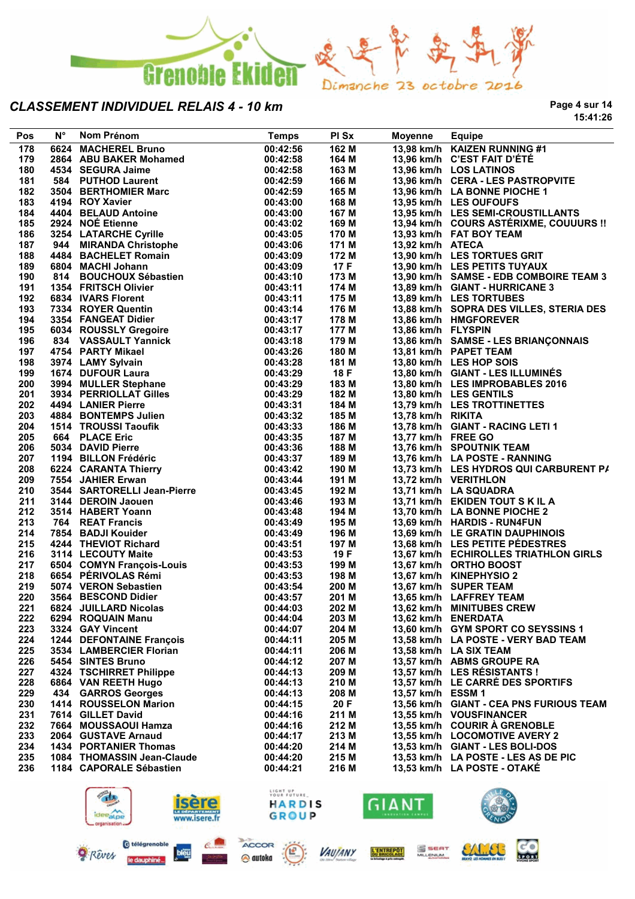

**Page 4 sur 14 15:41:26**

| Pos | $N^{\circ}$ | Nom Prénom                                                                                                  | <b>Temps</b> | PI Sx | Moyenne            | <b>Equipe</b>                           |
|-----|-------------|-------------------------------------------------------------------------------------------------------------|--------------|-------|--------------------|-----------------------------------------|
| 178 |             | 6624 MACHEREL Bruno                                                                                         | 00:42:56     | 162 M |                    | 13,98 km/h KAIZEN RUNNING #1            |
| 179 |             | 2864 ABU BAKER Mohamed                                                                                      | 00:42:58     | 164 M |                    | 13,96 km/h C'EST FAIT D'ÉTÉ             |
| 180 |             | 4534 SEGURA Jaime                                                                                           | 00:42:58     | 163 M |                    | 13,96 km/h LOS LATINOS                  |
| 181 |             | 584 PUTHOD Laurent                                                                                          | 00:42:59     | 166 M |                    | 13,96 km/h CERA - LES PASTROPVITE       |
| 182 |             | 3504 BERTHOMIER Marc                                                                                        | 00:42:59     | 165 M |                    | 13,96 km/h LA BONNE PIOCHE 1            |
| 183 |             | 4194 ROY Xavier                                                                                             | 00:43:00     | 168 M |                    | 13,95 km/h LES OUFOUFS                  |
| 184 |             |                                                                                                             |              |       |                    | 13,95 km/h LES SEMI-CROUSTILLANTS       |
|     |             | 4404 BELAUD Antoine                                                                                         | 00:43:00     | 167 M |                    |                                         |
| 185 |             | 2924 NOE Etienne                                                                                            | 00:43:02     | 169 M |                    | 13,94 km/h COURS ASTÉRIXME, COUUURS !!  |
| 186 |             | 3254 LATARCHE Cyrille                                                                                       | 00:43:05     | 170 M |                    | 13,93 km/h FAT BOY TEAM                 |
| 187 |             | 944 MIRANDA Christophe                                                                                      | 00:43:06     | 171 M | 13,92 km/h ATECA   |                                         |
| 188 |             | 4484 BACHELET Romain                                                                                        | 00:43:09     | 172 M |                    | 13,90 km/h LES TORTUES GRIT             |
| 189 |             | 6804 MACHI Johann                                                                                           | 00:43:09     | 17 F  |                    | 13,90 km/h LES PETITS TUYAUX            |
| 190 |             | 6804   MACHI Johann<br>814    BOUCHOUX Sébastien                                                            | 00:43:10     | 173 M |                    | 13,90 km/h SAMSE - EDB COMBOIRE TEAM 3  |
| 191 |             | 1354 FRITSCH Olivier                                                                                        | 00:43:11     | 174 M |                    | 13,89 km/h GIANT - HURRICANE 3          |
| 192 |             | 6834 IVARS Florent                                                                                          | 00:43:11     | 175 M |                    | 13,89 km/h LES TORTUBES                 |
| 193 |             | 7334 ROYER Quentin                                                                                          | 00:43:14     | 176 M |                    | 13,88 km/h SOPRA DES VILLES, STERIA DES |
| 194 |             |                                                                                                             | 00:43:17     | 178 M |                    | 13,86 km/h HMGFOREVER                   |
| 195 |             | <b>3334 FANGEAT Didier<br/>6034 ROUSSLY Gregoire</b><br>004 NOSSLY Gregoire                                 | 00:43:17     | 177 M | 13,86 km/h FLYSPIN |                                         |
| 196 |             | 834 VASSAULT Yannick                                                                                        | 00:43:18     | 179 M |                    | 13,86 km/h SAMSE - LES BRIANÇONNAIS     |
| 197 |             | 4754 PARTY Mikael                                                                                           | 00:43:26     | 180 M |                    | 13,81 km/h PAPET TEAM                   |
| 198 |             | 3974 LAMY Sylvain                                                                                           | 00:43:28     | 181 M |                    | 13,80 km/h LES HOP SOIS                 |
| 199 |             |                                                                                                             | 00:43:29     | 18 F  |                    | 13,80 km/h GIANT - LES ILLUMINÉS        |
| 200 |             | 1674 DUFOUR Laura<br>3994 MULLER Stephane<br>3934 PERRIOLLAT Gilles                                         | 00:43:29     | 183 M |                    | 13,80 km/h LES IMPROBABLES 2016         |
| 201 |             |                                                                                                             | 00:43:29     | 182 M |                    | 13,80 km/h LES GENTILS                  |
| 202 |             | 4494 LANIER Pierre                                                                                          | 00:43:31     | 184 M |                    | 13,79 km/h LES TROTTINETTES             |
| 203 |             | 4884 BONTEMPS Julien                                                                                        | 00:43:32     | 185 M | 13,78 km/h RIKITA  |                                         |
| 204 |             | 1514 TROUSSI Taoufik                                                                                        | 00:43:33     | 186 M |                    | 13,78 km/h GIANT - RACING LETI 1        |
|     |             |                                                                                                             |              |       | 13,77 km/h FREE GO |                                         |
| 205 |             | 664 PLACE Eric<br>5034 DAVID Pierre<br>1194 BILLON Frédéric                                                 | 00:43:35     | 187 M |                    |                                         |
| 206 |             |                                                                                                             | 00:43:36     | 188 M |                    | 13,76 km/h SPOUTNIK TEAM                |
| 207 |             |                                                                                                             | 00:43:37     | 189 M |                    | 13,76 km/h LA POSTE - RANNING           |
| 208 |             | 6224 CARANTA Thierry<br>7554 JAHIER Erwan                                                                   | 00:43:42     | 190 M |                    | 13,73 km/h LES HYDROS QUI CARBURENT P/  |
| 209 |             | 7554 JAHIER Erwan                                                                                           | 00:43:44     | 191 M |                    | 13,72 km/h VERITHLON                    |
| 210 |             | 3544 SARTORELLI Jean-Pierre<br>3144 DEROIN Jaouen<br>3514 HABERT Yoann<br>764 REAT Francis                  | 00:43:45     | 192 M |                    | 13,71 km/h LA SQUADRA                   |
| 211 |             |                                                                                                             | 00:43:46     | 193 M |                    | 13,71 km/h EKIDEN TOUT S K IL A         |
| 212 |             |                                                                                                             | 00:43:48     | 194 M |                    | 13,70 km/h LA BONNE PIOCHE 2            |
| 213 |             |                                                                                                             | 00:43:49     | 195 M |                    | 13,69 km/h HARDIS - RUN4FUN             |
| 214 |             |                                                                                                             | 00:43:49     | 196 M |                    | 13,69 km/h LE GRATIN DAUPHINOIS         |
| 215 |             |                                                                                                             | 00:43:51     | 197 M |                    | 13,68 km/h LES PETITE PÉDESTRES         |
| 216 |             | 764 REAT Francis<br>7854 BADJI Kouider<br>4244 THEVIOT Richard<br>הייתה הייתה Maite                         | 00:43:53     | 19 F  |                    | 13,67 km/h ECHIROLLES TRIATHLON GIRLS   |
| 217 |             |                                                                                                             | 00:43:53     | 199 M |                    | 13,67 km/h ORTHO BOOST                  |
| 218 |             | 3114 LECUUTT พอเเ <del>ร</del><br>6504 COMYN François-Louis<br>6654 PÉRIVOLAS Rémi<br>-^¬ 1 VERON Sebastien | 00:43:53     | 198 M |                    | 13,67 km/h KINEPHYSIO 2                 |
| 219 |             |                                                                                                             | 00:43:54     | 200 M |                    | 13,67 km/h SUPER TEAM                   |
| 220 |             | 3564 BESCOND Didier                                                                                         | 00:43:57     | 201 M |                    | 13,65 km/h LAFFREY TEAM                 |
| 221 |             | 6824 JUILLARD Nicolas 00:44:03                                                                              |              | 202 M |                    | 13,62 km/h MINITUBES CREW               |
| 222 |             | 6294 ROQUAIN Manu                                                                                           | 00:44:04     | 203 M |                    | 13,62 km/h ENERDATA                     |
| 223 |             | 3324 GAY Vincent                                                                                            | 00:44:07     | 204 M |                    | 13,60 km/h GYM SPORT CO SEYSSINS 1      |
| 224 |             | 1244 DEFONTAINE François                                                                                    | 00:44:11     | 205 M |                    | 13,58 km/h LA POSTE - VERY BAD TEAM     |
| 225 |             | 3534 LAMBERCIER Florian                                                                                     | 00:44:11     | 206 M |                    | 13,58 km/h LA SIX TEAM                  |
| 226 |             | 5454 SINTES Bruno                                                                                           | 00:44:12     | 207 M |                    | 13,57 km/h ABMS GROUPE RA               |
| 227 |             | 4324 TSCHIRRET Philippe                                                                                     | 00:44:13     | 209 M |                    | 13,57 km/h LES RÉSISTANTS !             |
| 228 |             | 6864 VAN REETH Hugo                                                                                         | 00:44:13     | 210 M |                    | 13,57 km/h LE CARRÉ DES SPORTIFS        |
| 229 |             |                                                                                                             | 00:44:13     | 208 M | 13,57 km/h ESSM 1  |                                         |
|     |             | 434 GARROS Georges                                                                                          |              |       |                    |                                         |
| 230 |             | 1414 ROUSSELON Marion                                                                                       | 00:44:15     | 20 F  |                    | 13,56 km/h GIANT - CEA PNS FURIOUS TEAM |
| 231 |             | 7614 GILLET David                                                                                           | 00:44:16     | 211 M |                    | 13,55 km/h VOUSFINANCER                 |
| 232 |             | 7664 MOUSSAOUI Hamza                                                                                        | 00:44:16     | 212 M |                    | 13.55 km/h COURIR A GRENOBLE            |
| 233 |             | 2064 GUSTAVE Arnaud                                                                                         | 00:44:17     | 213 M |                    | 13,55 km/h LOCOMOTIVE AVERY 2           |
| 234 |             | <b>1434 PORTANIER Thomas</b>                                                                                | 00:44:20     | 214 M |                    | 13,53 km/h GIANT - LES BOLI-DOS         |
| 235 |             | 1084 THOMASSIN Jean-Claude                                                                                  | 00:44:20     | 215 M |                    | 13,53 km/h LA POSTE - LES AS DE PIC     |
| 236 |             | 1184 CAPORALE Sébastien                                                                                     | 00:44:21     | 216 M |                    | 13,53 km/h LA POSTE - OTAKE             |
|     |             |                                                                                                             |              |       |                    |                                         |



@ autoka

Rêves

le daupt

bleu



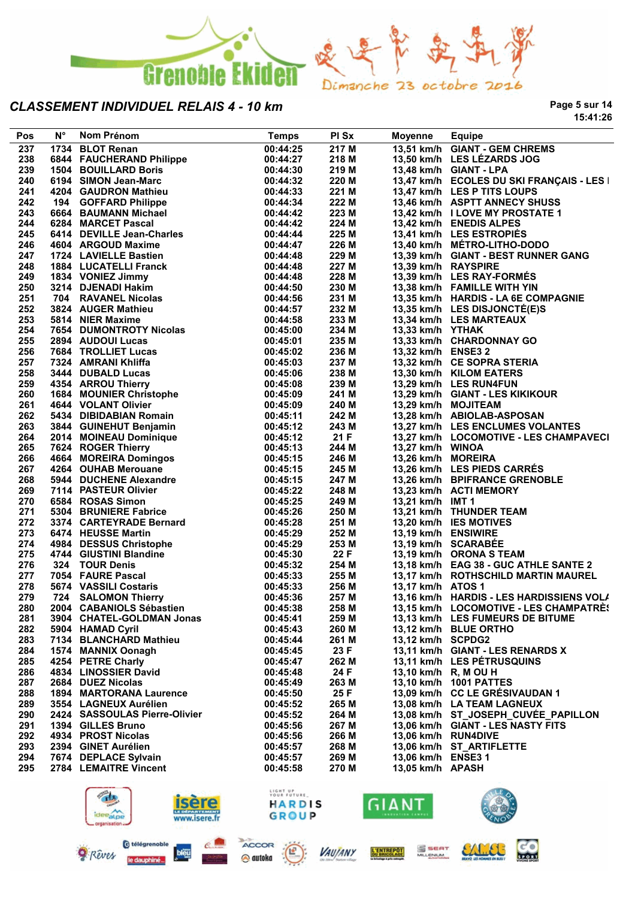

**Page 5 sur 14 15:41:26**

| Pos | $N^{\circ}$ | Nom Prénom                                                            | <b>Temps</b>         | PI Sx          | <b>Moyenne</b>       | Equipe                                    |
|-----|-------------|-----------------------------------------------------------------------|----------------------|----------------|----------------------|-------------------------------------------|
| 237 |             | 1734 BLOT Renan                                                       | 00:44:25             | 217 M          |                      | 13,51 km/h GIANT - GEM CHREMS             |
| 238 |             | 6844 FAUCHERAND Philippe                                              | 00:44:27             | 218 M          |                      | 13,50 km/h LES LÉZARDS JOG                |
| 239 |             | <b>1504 BOUILLARD Boris</b>                                           | 00:44:30             | 219 M          |                      | 13,48 km/h GIANT - LPA                    |
| 240 |             | 6194 SIMON Jean-Marc                                                  | 00:44:32             | 220 M          |                      | 13,47 km/h ECOLES DU SKI FRANÇAIS - LES I |
| 241 |             | 4204 GAUDRON Mathieu                                                  | 00:44:33             | 221 M          |                      | 13,47 km/h LES P TITS LOUPS               |
| 242 |             | 194 GOFFARD Philippe                                                  | 00:44:34             | 222 M          |                      | 13,46 km/h ASPTT ANNECY SHUSS             |
| 243 |             | 6664 BAUMANN Michael                                                  | 00:44:42             | 223 M          |                      | 13,42 km/h I LOVE MY PROSTATE 1           |
| 244 |             | 6284 MARCET Pascal                                                    | 00:44:42             | 224 M          |                      | 13,42 km/h ENEDIS ALPES                   |
| 245 |             | 6414 DEVILLE Jean-Charles                                             | 00:44:44             | 225 M          |                      | 13,41 km/h LES ESTROPIES                  |
| 246 |             | 4604 ARGOUD Maxime                                                    | 00:44:47             | 226 M          |                      | 13,40 km/h MÉTRO-LITHO-DODO               |
| 247 |             | 1724 LAVIELLE Bastien                                                 | 00:44:48             | 229 M          |                      | 13,39 km/h GIANT - BEST RUNNER GANG       |
| 248 |             | 1884 LUCATELLI Franck                                                 | 00:44:48             | 227 M          | 13,39 km/h RAYSPIRE  |                                           |
| 249 |             | 1834 VONIEZ Jimmy                                                     | 00:44:48             | 228 M          |                      | 13,39 km/h LES RAY-FORMÉS                 |
| 250 |             | 3214 DJENADI Hakim                                                    | 00:44:50             | 230 M          |                      | 13,38 km/h FAMILLE WITH YIN               |
| 251 |             | 704 RAVANEL Nicolas                                                   | 00:44:56             | 231 M          |                      | 13,35 km/h HARDIS - LA 6E COMPAGNIE       |
| 252 |             | 3824 AUGER Mathieu                                                    | 00:44:57             | 232 M          |                      | 13,35 km/h LES DISJONCTÉ(E)S              |
| 253 |             | 5814 NIER Maxime                                                      | 00:44:58             | 233 M          |                      | 13,34 km/h LES MARTEAUX                   |
| 254 |             | 7654 DUMONTROTY Nicolas                                               | 00:45:00             | 234 M          | 13,33 km/h YTHAK     |                                           |
| 255 |             | 2894 AUDOUI Lucas                                                     | 00:45:01             | 235 M          |                      | 13,33 km/h CHARDONNAY GO                  |
| 256 |             | 7684 TROLLIET Lucas                                                   | 00:45:02             | 236 M          | 13,32 km/h ENSE3 2   |                                           |
| 257 |             | 7324 AMRANI Khliffa                                                   | 00:45:03             | 237 M          |                      | 13,32 km/h CE SOPRA STERIA                |
| 258 |             | 3444 DUBALD Lucas                                                     | 00:45:06             | 238 M          |                      | 13,30 km/h KILOM EATERS                   |
| 259 |             | 4354 ARROU Thierry                                                    | 00:45:08             | 239 M          |                      | 13,29 km/h LES RUN4FUN                    |
| 260 |             |                                                                       | 00:45:09             | 241 M          |                      | 13,29 km/h GIANT - LES KIKIKOUR           |
| 261 |             | 1684 MOUNIER Christophe<br>4644 VOLANT Olivier<br>4644 VOLANT Olivier | 00:45:09             | 240 M          | 13,29 km/h MOJITEAM  |                                           |
| 262 |             | 5434 DIBIDABIAN Romain                                                | 00:45:11             | 242 M          |                      | 13,28 km/h ABIOLAB-ASPOSAN                |
| 263 |             | 3844 GUINEHUT Benjamin                                                | 00:45:12             | 243 M          |                      | 13,27 km/h LES ENCLUMES VOLANTES          |
| 264 |             | 2014 MOINEAU Dominique                                                | 00:45:12             | 21F            |                      | 13,27 km/h LOCOMOTIVE - LES CHAMPAVECI    |
| 265 |             | 7624 ROGER Thierry                                                    | 00:45:13             | 244 M          | 13,27 km/h WINOA     |                                           |
| 266 |             | 4664 MOREIRA Domingos                                                 | 00:45:15             | 246 M          | 13,26 km/h MOREIRA   |                                           |
| 267 |             | 4264 OUHAB Merouane                                                   | 00:45:15             | 245 M          |                      | 13,26 km/h LES PIEDS CARRÉS               |
| 268 |             | 5944 DUCHENE Alexandre                                                | 00:45:15             | 247 M          |                      | 13,26 km/h BPIFRANCE GRENOBLE             |
| 269 |             | 7114 PASTEUR Olivier                                                  | 00:45:22             | 248 M          |                      | 13,23 km/h ACTI MEMORY                    |
| 270 |             | 6584 ROSAS Simon                                                      | 00:45:25             | 249 M          | 13,21 km/h IMT 1     |                                           |
| 271 |             | 5304 BRUNIERE Fabrice                                                 | 00:45:26             | 250 M          |                      | 13,21 km/h THUNDER TEAM                   |
| 272 |             | 3374 CARTEYRADE Bernard                                               | 00:45:28             | 251 M          |                      | 13,20 km/h IES MOTIVES                    |
| 273 |             | 6474 HEUSSE Martin                                                    | 00:45:29             | 252 M          | 13,19 km/h ENSIWIRE  |                                           |
| 274 |             | 4984 DESSUS Christophe                                                | 00:45:29             | 253 M          |                      | 13,19 km/h SCARABEE                       |
| 275 |             | 4744 GIUSTINI Blandine                                                | 00:45:30             | 22 F           |                      | 13,19 km/h ORONA S TEAM                   |
| 276 |             | 324 TOUR Denis                                                        | 00:45:32             | 254 M          |                      | 13,18 km/h EAG 38 - GUC ATHLE SANTE 2     |
| 277 |             | 7054 FAURE Pascal                                                     | 00:45:33             | 255 M          |                      | 13,17 km/h ROTHSCHILD MARTIN MAUREL       |
| 278 |             | 5674 VASSILI Costaris                                                 | 00:45:33             | 256 M          | 13,17 km/h ATOS 1    |                                           |
| 279 |             | 724 SALOMON Thierry                                                   | 00:45:36             | 257 M          |                      | 13,16 km/h HARDIS - LES HARDISSIENS VOL/  |
| 280 |             | 2004 CABANIOLS Sébastien                                              | 00:45:38             | 258 M          |                      | 13,15 km/h LOCOMOTIVE - LES CHAMPATRÈS    |
| 281 |             | 3904 CHATEL-GOLDMAN Jonas                                             | 00:45:41             | 259 M          |                      | 13,13 km/h LES FUMEURS DE BITUME          |
| 282 |             | 5904 HAMAD Cyril                                                      | 00:45:43             | 260 M          |                      | 13,12 km/h BLUE ORTHO                     |
| 283 |             | 7134 BLANCHARD Mathieu                                                | 00:45:44             | 261 M          | 13,12 km/h SCPDG2    |                                           |
| 284 |             | 1574 MANNIX Oonagh                                                    | 00:45:45             | 23 F           |                      | 13,11 km/h GIANT - LES RENARDS X          |
| 285 |             | 4254 PETRE Charly                                                     | 00:45:47             | 262 M          |                      | 13,11 km/h LES PÉTRUSQUINS                |
| 286 |             | 4834 LINOSSIER David                                                  | 00:45:48             | 24 F           | 13,10 km/h R, M OU H |                                           |
| 287 |             | 2684 DUEZ Nicolas                                                     | 00:45:49             | 263 M          |                      | 13,10 km/h 1001 PATTES                    |
| 288 |             | <b>1894 MARTORANA Laurence</b>                                        | 00:45:50             | 25 F           |                      | 13,09 km/h CC LE GRÉSIVAUDAN 1            |
| 289 |             | 3554 LAGNEUX Aurélien                                                 | 00:45:52             | 265 M          |                      | 13,08 km/h LA TEAM LAGNEUX                |
| 290 |             | 2424 SASSOULAS Pierre-Olivier                                         | 00:45:52             | 264 M          |                      | 13,08 km/h ST JOSEPH CUVEE PAPILLON       |
| 291 |             | 1394 GILLES Bruno                                                     | 00:45:56             | 267 M          |                      | 13,06 km/h GIANT - LES NASTY FITS         |
| 292 |             | 4934 PROST Nicolas                                                    | 00:45:56             | 266 M          | 13,06 km/h RUN4DIVE  |                                           |
| 293 |             |                                                                       |                      |                |                      | 13,06 km/h ST_ARTIFLETTE                  |
| 294 |             | 2394 GINET Aurélien                                                   | 00:45:57             | 268 M          | 13,06 km/h ENSE3 1   |                                           |
| 295 |             | 7674 DEPLACE Sylvain<br>2784 LEMAITRE Vincent                         | 00:45:57<br>00:45:58 | 269 M<br>270 M | 13,05 km/h APASH     |                                           |
|     |             |                                                                       |                      |                |                      |                                           |
|     |             |                                                                       |                      |                |                      |                                           |



@ autoka

le daupi



SALLEL

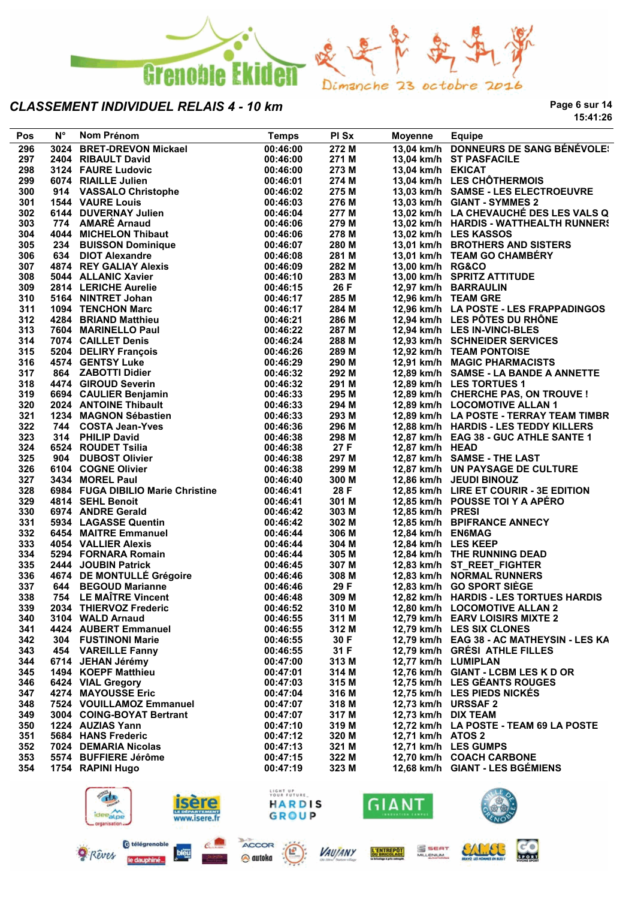

**Page 6 sur 14 15:41:26**

| Pos        | $N^{\circ}$ | Nom Prénom                             | <b>Temps</b>            | PI Sx          | Moyenne             | <b>Equipe</b>                                                     |
|------------|-------------|----------------------------------------|-------------------------|----------------|---------------------|-------------------------------------------------------------------|
| 296        |             | 3024 BRET-DREVON Mickael               | 00:46:00                | 272M           |                     | 13,04 km/h DONNEURS DE SANG BÉNÉVOLE:                             |
| 297        |             | 2404 RIBAULT David                     | 00:46:00                | 271 M          |                     | 13,04 km/h ST PASFACILE                                           |
| 298        |             | 3124 FAURE Ludovic                     | 00:46:00                | 273 M          | 13,04 km/h EKICAT   |                                                                   |
| 299        |             | 6074 RIAILLE Julien                    | 00:46:01                | 274 M          |                     | 13,04 km/h LES CHÔTHERMOIS                                        |
| 300        |             | 914 VASSALO Christophe                 | 00:46:02                | 275 M          |                     | 13,03 km/h SAMSE - LES ELECTROEUVRE                               |
| 301        |             | <b>1544 VAURE Louis</b>                | 00:46:03                | 276 M          |                     | 13,03 km/h GIANT - SYMMES 2                                       |
| 302        |             | 6144 DUVERNAY Julien                   | 00:46:04                | 277 M          |                     | 13,02 km/h LA CHEVAUCHÉ DES LES VALS Q                            |
| 303        |             | 774 AMARÉ Arnaud                       | 00:46:06                | 279 M          |                     | 13,02 km/h HARDIS - WATTHEALTH RUNNERS                            |
| 304        |             | 4044 MICHELON Thibaut                  | 00:46:06                | 278 M          |                     | 13,02 km/h LES KASSOS                                             |
| 305        |             | 234 BUISSON Dominique                  | 00:46:07                | 280 M          |                     | 13,01 km/h BROTHERS AND SISTERS                                   |
| 306        |             | 634 DIOT Alexandre                     | 00:46:08                | 281 M          |                     | 13,01 km/h TEAM GO CHAMBÉRY                                       |
| 307        |             | 4874 REY GALIAY Alexis                 | 00:46:09                | 282 M          | 13,00 km/h RG&CO    |                                                                   |
| 308        |             | 5044 ALLANIC Xavier                    | 00:46:10                | 283 M          |                     | 13,00 km/h SPRITZ ATTITUDE                                        |
| 309        |             | 2814 LERICHE Aurelie                   | 00:46:15                | 26 F           |                     | 12,97 km/h BARRAULIN                                              |
| 310        |             | 5164 NINTRET Johan                     | 00:46:17                | 285 M          |                     | 12,96 km/h TEAM GRE                                               |
| 311        |             | 1094 TENCHON Marc                      | 00:46:17                | 284 M          |                     | 12,96 km/h LA POSTE - LES FRAPPADINGOS                            |
| 312        |             | 4284 BRIAND Matthieu                   | 00:46:21                | 286 M          |                     | 12,94 km/h LES PÖTES DU RHÖNE                                     |
| 313        |             | 7604 MARINELLO Paul                    | 00:46:22                | 287 M          |                     | 12,94 km/h LES IN-VINCI-BLES                                      |
| 314        |             | 7074 CAILLET Denis                     | 00:46:24                | 288 M          |                     | 12,93 km/h SCHNEIDER SERVICES                                     |
| 315        |             | 5204 DELIRY François                   | 00:46:26                | 289 M          |                     | 12,92 km/h TEAM PONTOISE                                          |
| 316        |             | 4574 GENTSY Luke<br>864 ZABOTTI Didier | 00:46:29                | 290 M<br>292 M |                     | 12,91 km/h MAGIC PHARMACISTS                                      |
| 317<br>318 |             | 4474 GIROUD Severin                    | 00:46:32<br>00:46:32    | 291 M          |                     | 12,89 km/h SAMSE - LA BANDE A ANNETTE<br>12,89 km/h LES TORTUES 1 |
| 319        |             | 6694 CAULIER Benjamin                  | 00:46:33                | 295 M          |                     | 12,89 km/h CHERCHE PAS, ON TROUVE !                               |
| 320        |             | 2024 ANTOINE Thibault                  | 00:46:33                | 294 M          |                     | 12,89 km/h LOCOMOTIVE ALLAN 1                                     |
| 321        |             | 1234 MAGNON Sébastien                  | 00:46:33                | 293 M          |                     | 12,89 km/h LA POSTE - TERRAY TEAM TIMBR                           |
| 322        |             | 744 COSTA Jean-Yves                    | 00:46:36                | 296 M          |                     | 12,88 km/h HARDIS - LES TEDDY KILLERS                             |
| 323        |             | 314 PHILIP David                       | 00:46:38                | 298 M          |                     | 12,87 km/h EAG 38 - GUC ATHLE SANTE 1                             |
| 324        |             | 6524 ROUDET Tsilia                     | 00:46:38                | 27 F           | 12,87 km/h HEAD     |                                                                   |
| 325        |             | 904 DUBOST Olivier                     | 00:46:38                | 297 M          |                     | 12,87 km/h SAMSE - THE LAST                                       |
| 326        |             | 6104 COGNE Olivier                     | 00:46:38                | 299 M          |                     | 12,87 km/h UN PAYSAGE DE CULTURE                                  |
| 327        |             | 3434 MOREL Paul                        | 00:46:40                | 300 M          |                     | 12,86 km/h JEUDI BINOUZ                                           |
| 328        |             | 6984 FUGA DIBILIO Marie Christine      | 00:46:41                | 28 F           |                     | 12,85 km/h LIRE ET COURIR - 3E EDITION                            |
| 329        |             | 4814 SEHL Benoit                       | 00:46:41                | 301 M          |                     | 12,85 km/h POUSSE TOI Y A APERO                                   |
| 330        |             | 6974 ANDRE Gerald                      | 00:46:42                | 303 M          | 12,85 km/h PRESI    |                                                                   |
| 331        |             | 5934 LAGASSE Quentin                   | 00:46:42                | 302 M          |                     | 12,85 km/h BPIFRANCE ANNECY                                       |
| 332        |             | 6454 MAITRE Emmanuel                   | 00:46:44                | 306 M          | 12,84 km/h EN6MAG   |                                                                   |
| 333        |             | <b>4054 VALLIER Alexis</b>             | 00:46:44                | 304 M          | 12,84 km/h LES KEEP |                                                                   |
| 334        |             | 5294 FORNARA Romain                    | 00:46:44                | 305 M          |                     | 12,84 km/h THE RUNNING DEAD                                       |
| 335        |             | 2444 JOUBIN Patrick                    | 00:46:45                | 307 M          |                     | 12,83 km/h ST_REET_FIGHTER                                        |
| 336        |             | 4674 DE MONTULLÉ Grégoire              | 00:46:46                | 308 M          |                     | 12,83 km/h NORMAL RUNNERS                                         |
| 337        |             | 644 BEGOUD Marianne                    | 00:46:46                | 29 F           |                     | 12,83 km/h GO SPORT SIEGE                                         |
| 338        |             | 754 LE MAÎTRE Vincent                  | 00:46:48                | 309 M          |                     | 12,82 km/h HARDIS - LES TORTUES HARDIS                            |
| 339        |             | 2034 THIERVOZ Frederic                 | 00:46:52                | 310 M          |                     | 12,80 km/h LOCOMOTIVE ALLAN 2                                     |
| 340        |             | 3104 WALD Arnaud                       | 00:46:55                | 311 M          |                     | 12,79 km/h EARV LOISIRS MIXTE 2                                   |
| 341        |             | 4424 AUBERT Emmanuel                   | 00:46:55                | 312 M          |                     | 12,79 km/h LES SIX CLONES                                         |
| 342        |             | 304 FUSTINONI Marie                    | 00:46:55                | 30 F           |                     | 12,79 km/h EAG 38 - AC MATHEYSIN - LES KA                         |
| 343        |             | 454 VAREILLE Fanny                     | 00:46:55                | 31 F           |                     | 12,79 km/h GRESI ATHLE FILLES                                     |
| 344        |             | 6714 JEHAN Jérémy                      | 00:47:00                | 313 M          | 12,77 km/h LUMIPLAN |                                                                   |
| 345        |             | 1494 KOEPF Matthieu                    | 00:47:01                | 314 M          |                     | 12,76 km/h GIANT - LCBM LES K D OR                                |
| 346        |             | 6424 VIAL Gregory                      | 00:47:03                | 315 M          |                     | 12,75 km/h LES GEANTS ROUGES                                      |
| 347        |             | 4274 MAYOUSSE Eric                     | 00:47:04                | 316 M          |                     | 12,75 km/h LES PIEDS NICKES                                       |
| 348        |             | 7524 VOUILLAMOZ Emmanuel               | 00:47:07                | 318 M          | 12,73 km/h URSSAF 2 |                                                                   |
| 349        |             | 3004 COING-BOYAT Bertrant              | 00:47:07                | 317 M          | 12,73 km/h DIX TEAM |                                                                   |
| 350        |             | 1224 AUZIAS Yann                       | 00:47:10                | 319 M          |                     | 12,72 km/h LA POSTE - TEAM 69 LA POSTE                            |
| 351        |             | 5684 HANS Frederic                     | 00:47:12                | 320 M          | 12,71 km/h ATOS 2   |                                                                   |
| 352        |             | 7024 DEMARIA Nicolas                   | 00:47:13                | 321 M          |                     | 12,71 km/h LES GUMPS                                              |
| 353        |             | 5574 BUFFIERE Jérôme                   | 00:47:15                | 322 M          |                     | 12,70 km/h COACH CARBONE                                          |
| 354        |             | 1754 RAPINI Hugo                       | 00:47:19                | 323 M          |                     | 12,68 km/h GIANT - LES BGÉMIENS                                   |
|            |             |                                        |                         |                |                     |                                                                   |
|            |             |                                        | LIGHT UP<br>YOUR FUTURE |                |                     |                                                                   |
|            |             | ideealpe                               | HARDIS                  |                | GIANT               |                                                                   |
|            |             | www.isere.fr                           | <b>GROUP</b>            |                |                     |                                                                   |





**VAUJANY** 



L'ENTREPOT

S SEAT



SALEE

**CO**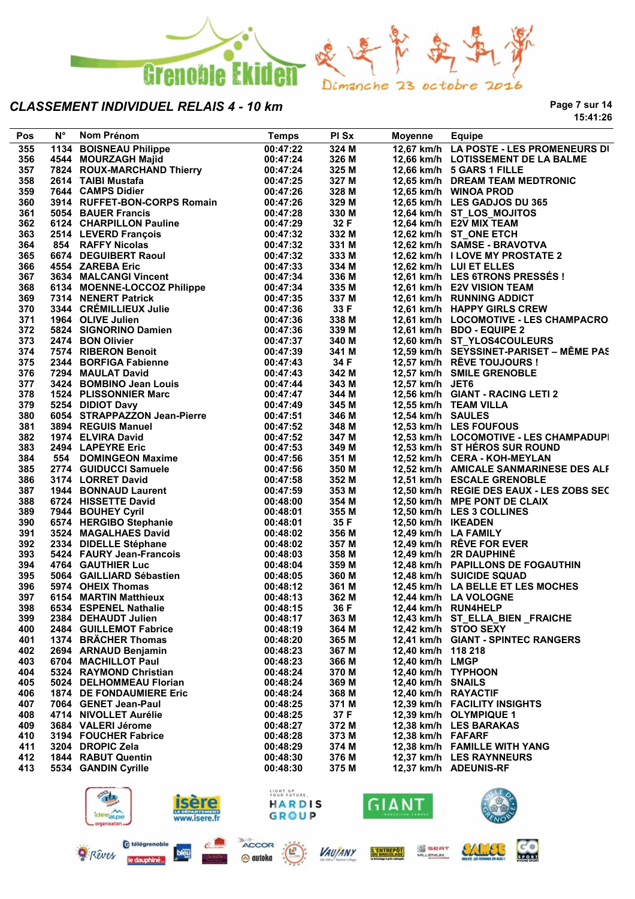

**Page 7 sur 14 15:41:26**

| Pos        | $N^{\circ}$ | Nom Prénom                                                                                                                                                                                                                                                                               | <b>Temps</b>                  | PI Sx                   | Moyenne                         | <b>Equipe</b>                                           |
|------------|-------------|------------------------------------------------------------------------------------------------------------------------------------------------------------------------------------------------------------------------------------------------------------------------------------------|-------------------------------|-------------------------|---------------------------------|---------------------------------------------------------|
| 355        |             | 1134 BOISNEAU Philippe                                                                                                                                                                                                                                                                   | 00:47:22                      | 324 M                   |                                 | 12,67 km/h LA POSTE - LES PROMENEURS DI                 |
| 356        |             | 4544 MOURZAGH Majid<br>7824 ROUX-MARCHAND Thierry<br>2614 TAIBI Mustafa 00:47:24<br>7844 CAMPS Didier 00:47:25                                                                                                                                                                           |                               | 326 M                   |                                 | 12,66 km/h LOTISSEMENT DE LA BALME                      |
| 357        |             |                                                                                                                                                                                                                                                                                          |                               | 325 M                   |                                 | 12,66 km/h 5 GARS 1 FILLE                               |
| 358        |             |                                                                                                                                                                                                                                                                                          |                               | 327 M                   |                                 | 12,65 km/h DREAM TEAM MEDTRONIC                         |
| 359        |             |                                                                                                                                                                                                                                                                                          |                               | 328 M                   |                                 | 12,65 km/h WINOA PROD                                   |
| 360<br>361 |             | 1644 CANTO DIGIT:<br>3914 RUFFET-BON-CORPS Romain 00:47:26<br>20:47:28                                                                                                                                                                                                                   |                               | 329 M<br>330 M          |                                 | 12,65 km/h LES GADJOS DU 365                            |
| 362        |             | 6124 CHARPILLON Pauline 00:47:29<br>5054 BAUER Francis<br>6124 CHARPILLON Pauline<br>8124 CHARPILLON Pauline<br>8124 LEVERD François<br>854 RAFFY Nicolas<br>6674 DEGUIBERT Raoul<br>854 ZAREBA Eric<br>8674 DEGUIBERT Raoul<br>47:32<br>4554 ZAREBA Eric<br>824 AMALCANG Vincent<br>824 |                               | 32 F                    |                                 | 12,64 km/h ST_LOS_MOJITOS<br>12,64 km/h E2V MIX TEAM    |
| 363        |             |                                                                                                                                                                                                                                                                                          |                               |                         |                                 | 12,62 km/h ST_ONE ETCH                                  |
| 364        |             |                                                                                                                                                                                                                                                                                          |                               | 332 M<br>331 M          |                                 | 12,62 km/h SAMSE - BRAVOTVA                             |
| 365        |             |                                                                                                                                                                                                                                                                                          |                               | 333 M                   |                                 | 12,62 km/h I LOVE MY PROSTATE 2                         |
| 366        |             |                                                                                                                                                                                                                                                                                          |                               | 334 M                   |                                 | 12,62 km/h LUI ET ELLES                                 |
| 367        |             |                                                                                                                                                                                                                                                                                          |                               | 336 M                   |                                 | 12,61 km/h LES 6TRONS PRESSÉS !                         |
| 368        |             |                                                                                                                                                                                                                                                                                          |                               | 335 M                   |                                 | 12,61 km/h E2V VISION TEAM                              |
| 369        |             |                                                                                                                                                                                                                                                                                          |                               |                         |                                 | 12,61 km/h RUNNING ADDICT                               |
| 370        |             |                                                                                                                                                                                                                                                                                          |                               | 337 M<br>33 F           |                                 | 12,61 km/h HAPPY GIRLS CREW                             |
| 371        |             |                                                                                                                                                                                                                                                                                          |                               | 338 M                   |                                 | 12,61 km/h LOCOMOTIVE - LES CHAMPACRO                   |
| 372        |             |                                                                                                                                                                                                                                                                                          |                               |                         |                                 | 12,61 km/h BDO - EQUIPE 2                               |
| 373        |             |                                                                                                                                                                                                                                                                                          |                               | 339 M<br>340 M          |                                 | 12,60 km/h ST YLOS4COULEURS                             |
| 374        |             |                                                                                                                                                                                                                                                                                          |                               | 341 M                   |                                 | 12,59 km/h SEYSSINET-PARISET - MÊME PAS                 |
| 375        |             |                                                                                                                                                                                                                                                                                          |                               |                         |                                 | 12,57 km/h RÊVE TOUJOURS !                              |
| 376        |             |                                                                                                                                                                                                                                                                                          |                               | 34 F<br>342 M           |                                 | 12,57 km/h SMILE GRENOBLE                               |
| 377        |             |                                                                                                                                                                                                                                                                                          |                               | 343 M                   | 12,57 km/h JET6                 |                                                         |
| 378        |             |                                                                                                                                                                                                                                                                                          |                               | 344 M                   |                                 | 12,56 km/h GIANT - RACING LETI 2                        |
| 379        |             |                                                                                                                                                                                                                                                                                          |                               | 345 M                   |                                 | 12,55 km/h TEAM VILLA                                   |
| 380        |             |                                                                                                                                                                                                                                                                                          |                               | 346 M                   | 12,54 km/h SAULES               |                                                         |
| 381        |             |                                                                                                                                                                                                                                                                                          |                               | 348 M                   |                                 | 12,53 km/h LES FOUFOUS                                  |
| 382        |             |                                                                                                                                                                                                                                                                                          |                               | 347 M                   |                                 | 12,53 km/h LOCOMOTIVE - LES CHAMPADUPI                  |
| 383        |             |                                                                                                                                                                                                                                                                                          |                               | 349 M                   |                                 | 12,53 km/h ST HEROS SUR ROUND                           |
| 384        |             |                                                                                                                                                                                                                                                                                          |                               | 351 M                   |                                 | 12,52 km/h CERA - KOH-MEYLAN                            |
| 385        |             |                                                                                                                                                                                                                                                                                          |                               | 350 M                   |                                 | 12,52 km/h AMICALE SANMARINESE DES ALF                  |
| 386        |             |                                                                                                                                                                                                                                                                                          |                               | 352 M                   |                                 | 12,51 km/h ESCALE GRENOBLE                              |
| 387        |             |                                                                                                                                                                                                                                                                                          |                               | 353 M                   |                                 | 12,50 km/h REGIE DES EAUX - LES ZOBS SEC                |
| 388        |             |                                                                                                                                                                                                                                                                                          |                               | 354 M                   |                                 | 12,50 km/h MPE PONT DE CLAIX                            |
| 389        |             |                                                                                                                                                                                                                                                                                          |                               | 355 M                   |                                 | 12,50 km/h LES 3 COLLINES                               |
| 390        |             |                                                                                                                                                                                                                                                                                          |                               | 35 F                    | 12,50 km/h IKEADEN              |                                                         |
| 391        |             |                                                                                                                                                                                                                                                                                          |                               | 356 M                   |                                 | 12,49 km/h LA FAMILY                                    |
| 392        |             |                                                                                                                                                                                                                                                                                          | 00:48:02                      | 357 M                   |                                 | 12,49 km/h RÊVE FOR EVER                                |
| 393        |             | 2334 DIDELLE Stéphane<br>5424 FAURY Jean-Francois<br>4764 GAUTHIER Luc<br>5064 GAILLIARD Sébastien<br>674 GAILLIARD Sébastien                                                                                                                                                            | 00:40.00<br>00:48:04          | ა <del>ა</del><br>359 M |                                 | 12,49 km/h 2R DAUPHINÉ                                  |
| 394        |             |                                                                                                                                                                                                                                                                                          |                               |                         |                                 | 12,48 km/h PAPILLONS DE FOGAUTHIN                       |
| 395        |             |                                                                                                                                                                                                                                                                                          | 00:48:05                      | 360 M                   |                                 | 12,48 km/h SUICIDE SQUAD                                |
| 396        |             |                                                                                                                                                                                                                                                                                          |                               | 361 M                   |                                 | 12,45 km/h LA BELLE ET LES MOCHES                       |
| 397        |             |                                                                                                                                                                                                                                                                                          |                               | 362 M                   |                                 | 12,44 km/h LA VOLOGNE                                   |
| 398        |             |                                                                                                                                                                                                                                                                                          |                               | 36 F<br>363 M           |                                 | 12,44 km/h RUN4HELP                                     |
| 399<br>400 |             | 2384 DEHAUDT Julien<br>2484 GUILLEMOT Fabrice                                                                                                                                                                                                                                            | 00:48:17                      | 364 M                   |                                 | 12,43 km/h ST_ELLA_BIEN_FRAICHE<br>12,42 km/h STOO SEXY |
|            |             |                                                                                                                                                                                                                                                                                          | 00:48:19                      |                         |                                 |                                                         |
| 401<br>402 |             | 1374 BRÄCHER Thomas                                                                                                                                                                                                                                                                      | 00:48:20                      | 365 M<br>367 M          | 12,40 km/h 118 218              | 12,41 km/h GIANT - SPINTEC RANGERS                      |
| 403        |             | 2694 ARNAUD Benjamin<br>6704 MACHILLOT Paul                                                                                                                                                                                                                                              | 00:48:23                      |                         | 12,40 km/h LMGP                 |                                                         |
| 404        |             | 5324 RAYMOND Christian                                                                                                                                                                                                                                                                   | 00:48:23<br>00:48:24          | 366 M<br>370 M          | 12,40 km/h TYPHOON              |                                                         |
| 405        |             | 5024 DELHOMMEAU Florian                                                                                                                                                                                                                                                                  | 00:48:24                      | 369 M                   | 12,40 km/h SNAILS               |                                                         |
| 406        |             | <b>1874 DE FONDAUMIERE Eric</b>                                                                                                                                                                                                                                                          | 00:48:24                      | 368 M                   | 12,40 km/h RAYACTIF             |                                                         |
| 407        |             | 7064 GENET Jean-Paul                                                                                                                                                                                                                                                                     | 00:48:25                      | 371 M                   |                                 | 12,39 km/h FACILITY INSIGHTS                            |
| 408        |             | 4714 NIVOLLET Aurélie                                                                                                                                                                                                                                                                    | 00:48:25                      | 37 F                    |                                 | 12,39 km/h OLYMPIQUE 1                                  |
| 409        |             | 3684 VALERI Jérome                                                                                                                                                                                                                                                                       | 00:48:27                      | 372 M                   |                                 | 12,38 km/h LES BARAKAS                                  |
| 410        |             | 3194 FOUCHER Fabrice                                                                                                                                                                                                                                                                     | 00:48:28                      | 373 M                   | 12,38 km/h FAFARF               |                                                         |
| 411        |             | 3204 DROPIC Zela                                                                                                                                                                                                                                                                         | 00:48:29                      | 374 M                   |                                 | 12,38 km/h FAMILLE WITH YANG                            |
| 412        |             | 1844 RABUT Quentin                                                                                                                                                                                                                                                                       | 00:48:30                      | 376 M                   |                                 | 12,37 km/h LES RAYNNEURS                                |
| 413        |             | 5534 GANDIN Cyrille                                                                                                                                                                                                                                                                      | 00:48:30                      | 375 M                   |                                 | 12,37 km/h ADEUNIS-RF                                   |
|            |             |                                                                                                                                                                                                                                                                                          | LIGHT UP<br>YOUR FUTURE       |                         |                                 |                                                         |
|            |             | lser<br>ideealpe<br>www.isere.fr<br>organisation                                                                                                                                                                                                                                         | <b>HARDIS</b><br><b>GROUP</b> |                         | GIANT<br><b>ENGUATION CAMPS</b> |                                                         |







**VAUJANY** L'ENTREPOT

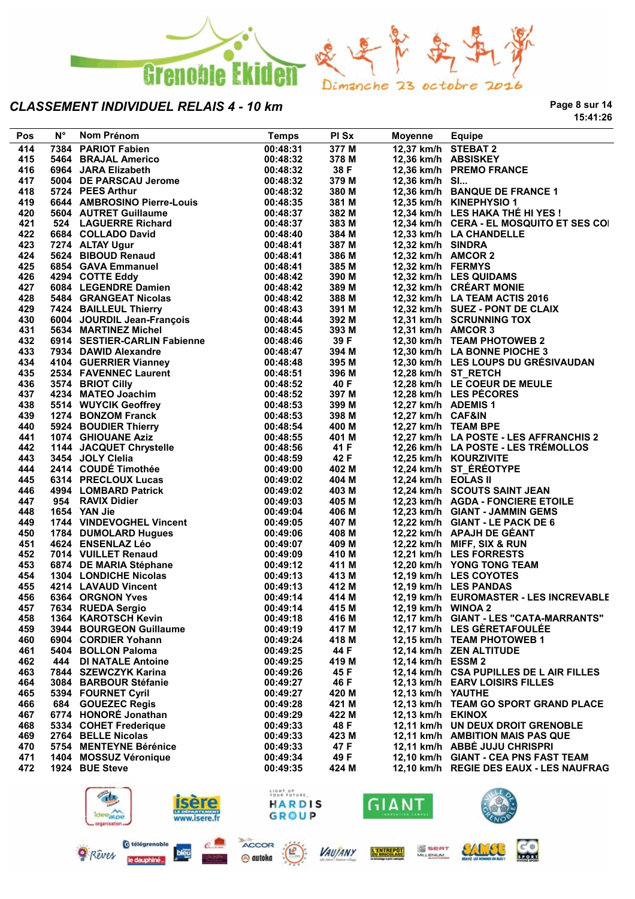

**Page 8 sur 14 15:41:26**

| Pos | N° | Nom Prénom                                                                                                                                                        | <b>Temps</b>            | PI Sx | Moyenne             | <b>Equipe</b>                            |
|-----|----|-------------------------------------------------------------------------------------------------------------------------------------------------------------------|-------------------------|-------|---------------------|------------------------------------------|
| 414 |    | 7384 PARIOT Fabien                                                                                                                                                | 00:48:31                | 377 M | 12.37 km/h STEBAT 2 |                                          |
| 415 |    | 5464 BRAJAL Americo                                                                                                                                               | 00:48:32                | 378 M |                     | 12,36 km/h ABSISKEY                      |
| 416 |    | 6964 JARA Elizabeth                                                                                                                                               | 00:48:32                | 38 F  |                     | 12,36 km/h PREMO FRANCE                  |
| 417 |    | 5004 DE PARSCAU Jerome                                                                                                                                            | 00:48:32                | 379 M | 12,36 km/h SI       |                                          |
| 418 |    | 5724 PEES Arthur                                                                                                                                                  | 00:48:32                | 380 M |                     | 12,36 km/h BANQUE DE FRANCE 1            |
| 419 |    | 6644 AMBROSINO Pierre-Louis                                                                                                                                       | 00:48:35                | 381 M |                     | 12,35 km/h KINEPHYSIO 1                  |
| 420 |    | 5604 AUTRET Guillaume                                                                                                                                             | 00:48:37                | 382 M |                     | 12,34 km/h LES HAKA THÉ HI YES !         |
| 421 |    | 524 LAGUERRE Richard                                                                                                                                              | 00:48:37                | 383 M |                     | 12,34 km/h CERA - EL MOSQUITO ET SES COI |
| 422 |    | 6684 COLLADO David                                                                                                                                                | 00:48:40                | 384 M |                     | 12,33 km/h LA CHANDELLE                  |
| 423 |    |                                                                                                                                                                   | 00:48:41                | 387 M | 12,32 km/h SINDRA   |                                          |
| 424 |    |                                                                                                                                                                   | 00:48:41                | 386 M | 12,32 km/h AMCOR 2  |                                          |
| 425 |    | <b>6684 COLLADO David<br/>7274 ALTAY Ugur<br/>5624 BIBOUD Renaud<br/>6854 GAVA Emmanuel<br/>4294 COTTE Eddy<br/>6084 LEGENDRE Damien<br/>6084 LEGENDRE Damien</b> | 00:48:41                | 385 M | 12,32 km/h FERMYS   |                                          |
| 426 |    |                                                                                                                                                                   | 00:48:42                | 390 M |                     | 12,32 km/h LES QUIDAMS                   |
| 427 |    |                                                                                                                                                                   | 00:48:42                | 389 M |                     | 12,32 km/h CRÉART MONIE                  |
| 428 |    | 5484 GRANGEAT Nicolas                                                                                                                                             | 00:48:42                | 388 M |                     | 12,32 km/h LA TEAM ACTIS 2016            |
| 429 |    | 7424 BAILLEUL Thierry<br>6004 JOURDIL Jean-François<br>6004 JOURDILLE JANE-François                                                                               | 00:48:43                | 391 M |                     | 12,32 km/h SUEZ - PONT DE CLAIX          |
| 430 |    |                                                                                                                                                                   | 00:48:44                | 392 M |                     | 12,31 km/h SCRUNNING TOX                 |
| 431 |    | 5634 MARTINEZ Michel                                                                                                                                              | 00:48:45                | 393 M | 12,31 km/h AMCOR 3  |                                          |
| 432 |    | 6914 SESTIER-CARLIN Fabienne                                                                                                                                      | 00:48:46                | 39 F  |                     | 12,30 km/h TEAM PHOTOWEB 2               |
| 433 |    | 7934 DAWID Alexandre                                                                                                                                              | 00:48:47                | 394 M |                     | 12,30 km/h LA BONNE PIOCHE 3             |
| 434 |    |                                                                                                                                                                   | 00:48:48                | 395 M |                     | 12,30 km/h LES LOUPS DU GRÉSIVAUDAN      |
| 435 |    |                                                                                                                                                                   | 00:48:51                | 396 M |                     | 12,28 km/h ST RETCH                      |
| 436 |    | 4104 GUERRIER Vianney<br>2534 FAVENNEC Laurent<br>3574 BRIOT Cilly<br>4234 MATEO Joachim<br>5514 WUYCIK Geoffrey                                                  | 00:48:52                | 40 F  |                     | 12,28 km/h LE COEUR DE MEULE             |
| 437 |    |                                                                                                                                                                   | 00:48:52                | 397 M |                     | 12,28 km/h LES PÉCORES                   |
| 438 |    |                                                                                                                                                                   | 00:48:53                | 399 M | 12,27 km/h ADEMIS 1 |                                          |
| 439 |    |                                                                                                                                                                   | 00:48:53                | 398 M | 12,27 km/h CAF&IN   |                                          |
| 440 |    |                                                                                                                                                                   | 00:48:54                | 400 M | 12,27 km/h TEAM BPE |                                          |
| 441 |    |                                                                                                                                                                   | 00:48:55                | 401 M |                     | 12,27 km/h LA POSTE - LES AFFRANCHIS 2   |
| 442 |    |                                                                                                                                                                   | 00:48:56                | 41 F  |                     | 12,26 km/h LA POSTE - LES TRÉMOLLOS      |
| 443 |    | 1274 BONZOM Franck<br>5924 BOUDIER Thierry<br>1074 GHIOUANE Aziz<br>1144 JACQUET Chrystelle<br>3454 JOLY Clelia<br>2414 COUDÉ Timothée                            | 00:48:59                | 42 F  |                     | 12,25 km/h KOURZIVITE                    |
| 444 |    |                                                                                                                                                                   | 00:49:00                | 402 M |                     | 12,24 km/h ST ÉRÉOTYPE                   |
| 445 |    | 6314 PRECLOUX Lucas                                                                                                                                               | 00:49:02                | 404 M | 12,24 km/h EOLAS II |                                          |
| 446 |    | 4994 LOMBARD Patrick<br>954 RAVIX Didier                                                                                                                          | 00:49:02                | 403 M |                     | 12,24 km/h SCOUTS SAINT JEAN             |
| 447 |    |                                                                                                                                                                   | 00:49:03                | 405 M |                     | 12,23 km/h AGDA - FONCIERE ETOILE        |
| 448 |    | 1654 YAN Jie                                                                                                                                                      | 00:49:04                | 406 M |                     | 12,23 km/h GIANT - JAMMIN GEMS           |
| 449 |    | 1744 VINDEVOGHEL Vincent                                                                                                                                          | 00:49:05                | 407 M |                     | 12,22 km/h GIANT - LE PACK DE 6          |
| 450 |    | 1784 DUMOLARD Hugues                                                                                                                                              | 00:49:06                | 408 M |                     | 12,22 km/h APAJH DE GÉANT                |
| 451 |    | 4624 ENSENLAZ Léo                                                                                                                                                 | 00:49:07                | 409 M |                     | 12,22 km/h MIFF, SIX & RUN               |
| 452 |    | 7014 VUILLET Renaud                                                                                                                                               | 00:49:09                | 410 M |                     | 12,21 km/h LES FORRESTS                  |
| 453 |    | 6874 DE MARIA Stéphane                                                                                                                                            | 00:49:12                | 411 M |                     | 12,20 km/h YONG TONG TEAM                |
| 454 |    |                                                                                                                                                                   |                         | 413 M |                     | 12,19 km/h LES COYOTES                   |
| 455 |    | 1304 LONDICHE Nicolas<br>4214 LAVAUD Vincent                                                                                                                      | 00:49:13<br>00:49:13    | 412 M |                     | 12,19 km/h LES PANDAS                    |
| 456 |    | 6364 ORGNON Yves                                                                                                                                                  | 00:49:14                | 414 M |                     | 12,19 km/h EUROMASTER - LES INCREVABLE   |
| 457 |    |                                                                                                                                                                   |                         |       |                     |                                          |
|     |    | 7634 RUEDA Sergio<br>1364 KAROTSCH Kevin                                                                                                                          | 00:49:14                | 415 M | 12,19 km/h WINOA 2  |                                          |
| 458 |    | 3944 BOURGEON Guillaume                                                                                                                                           | 00:49:18                | 416 M |                     | 12,17 km/h GIANT - LES "CATA-MARRANTS"   |
| 459 |    |                                                                                                                                                                   | 00:49:19                | 417 M |                     | 12,17 km/h LES GÈRETAFOULÉE              |
| 460 |    | 6904 CORDIER Yohann                                                                                                                                               | 00:49:24                | 418 M |                     | 12,15 km/h TEAM PHOTOWEB 1               |
| 461 |    | 5404 BOLLON Paloma                                                                                                                                                | 00:49:25                | 44 F  |                     | 12,14 km/h ZEN ALTITUDE                  |
| 462 |    | 444 DI NATALE Antoine                                                                                                                                             | 00:49:25                | 419 M | 12,14 km/h ESSM 2   |                                          |
| 463 |    | 7844 SZEWCZYK Karina                                                                                                                                              | 00:49:26                | 45 F  |                     | 12,14 km/h CSA PUPILLES DE L AIR FILLES  |
| 464 |    | 3084 BARBOUR Stéfanie                                                                                                                                             | 00:49:27                | 46 F  |                     | 12,13 km/h EARV LOISIRS FILLES           |
| 465 |    | 5394 FOURNET Cyril                                                                                                                                                | 00:49:27                | 420 M | 12,13 km/h YAUTHE   |                                          |
| 466 |    | 684 GOUEZEC Regis                                                                                                                                                 | 00:49:28                | 421 M |                     | 12,13 km/h TEAM GO SPORT GRAND PLACE     |
| 467 |    | 6774 HONORÉ Jonathan                                                                                                                                              | 00:49:29                | 422 M | 12,13 km/h EKINOX   |                                          |
| 468 |    | 5334 COHET Frederique                                                                                                                                             | 00:49:33                | 48 F  |                     | 12,11 km/h UN DEUX DROIT GRENOBLE        |
| 469 |    | 2764 BELLE Nicolas                                                                                                                                                | 00:49:33                | 423 M |                     | 12,11 km/h AMBITION MAIS PAS QUE         |
| 470 |    | 5754 MENTEYNE Bérénice                                                                                                                                            | 00:49:33                | 47 F  |                     | 12,11 km/h ABBE JUJU CHRISPRI            |
| 471 |    | 1404 MOSSUZ Véronique                                                                                                                                             | 00:49:34                | 49 F  |                     | 12,10 km/h GIANT - CEA PNS FAST TEAM     |
| 472 |    | 1924 BUE Steve                                                                                                                                                    | 00:49:35                | 424 M |                     | 12,10 km/h REGIE DES EAUX - LES NAUFRAG  |
|     |    |                                                                                                                                                                   |                         |       |                     |                                          |
|     |    |                                                                                                                                                                   | LIGHT UP<br>YOUR FUTURE |       |                     |                                          |
|     |    |                                                                                                                                                                   | HARDIS                  |       | AN.                 |                                          |
|     |    | ideealpe<br>www.isere.fr                                                                                                                                          | <b>GROUP</b>            |       |                     |                                          |
|     |    | organisation.                                                                                                                                                     |                         |       |                     |                                          |





**VAUJANY** 



S SEAT



CO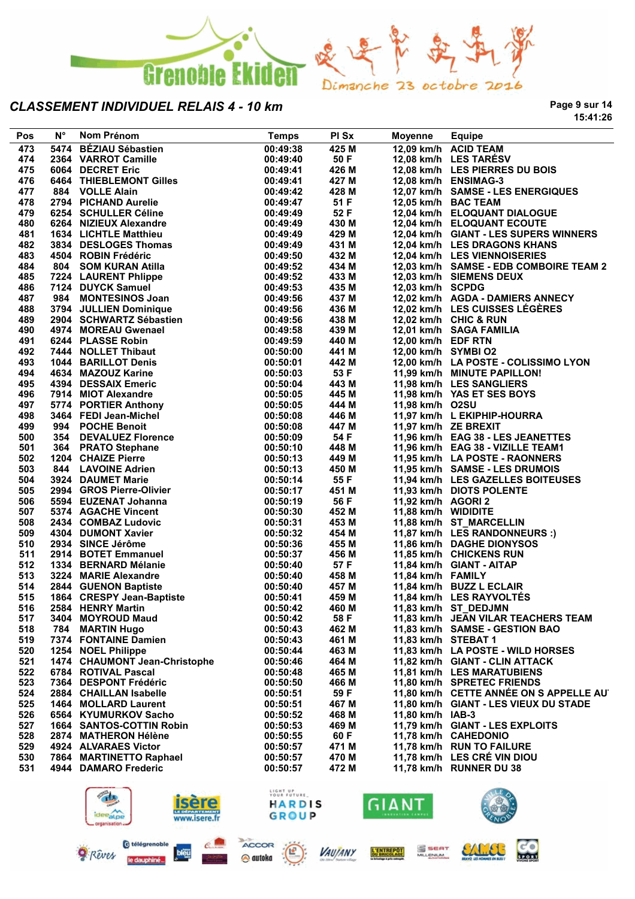

**Page 9 sur 14 15:41:26**

| Pos | $N^{\circ}$ | Nom Prénom                                                               | <b>Temps</b>            | PI Sx | Moyenne              | <b>Equipe</b>                          |
|-----|-------------|--------------------------------------------------------------------------|-------------------------|-------|----------------------|----------------------------------------|
| 473 |             | 5474 BÉZIAU Sébastien                                                    | 00:49:38                | 425 M |                      | 12,09 km/h ACID TEAM                   |
| 474 |             | 2364 VARROT Camille                                                      | 00:49:40                | 50 F  |                      | 12,08 km/h LES TARESV                  |
| 475 |             | 6064 DECRET Eric                                                         | 00:49:41                | 426 M |                      | 12,08 km/h LES PIERRES DU BOIS         |
| 476 |             | 6464 THIEBLEMONT Gilles                                                  | 00:49:41                | 427 M |                      | 12,08 km/h ENSIMAG-3                   |
| 477 |             | 884 VOLLE Alain                                                          | 00:49:42                | 428 M |                      | 12,07 km/h SAMSE - LES ENERGIQUES      |
| 478 |             | 2794 PICHAND Aurelie                                                     | 00:49:47                | 51 F  |                      | 12,05 km/h BAC TEAM                    |
| 479 |             | 6254 SCHULLER Céline                                                     | 00:49:49                | 52 F  |                      | 12,04 km/h ELOQUANT DIALOGUE           |
| 480 |             | 6264 NIZIEUX Alexandre                                                   | 00:49:49                | 430 M |                      | 12,04 km/h ELOQUANT ECOUTE             |
| 481 |             | 1634 LICHTLE Matthieu                                                    | 00:49:49                | 429 M |                      | 12,04 km/h GIANT - LES SUPERS WINNERS  |
| 482 |             | 3834 DESLOGES Thomas                                                     | 00:49:49                | 431 M |                      | 12,04 km/h LES DRAGONS KHANS           |
| 483 |             | 4504 ROBIN Frédéric                                                      | 00:49:50                | 432 M |                      | 12,04 km/h LES VIENNOISERIES           |
| 484 |             | 804 SOM KURAN Atilla                                                     | 00:49:52                | 434 M |                      | 12,03 km/h SAMSE - EDB COMBOIRE TEAM 2 |
| 485 |             |                                                                          | 00:49:52                | 433 M |                      | 12,03 km/h SIEMENS DEUX                |
| 486 |             | 7224 LAURENT Phlippe<br>7124 DUYCK Samuel                                | 00:49:53                | 435 M | 12,03 km/h SCPDG     |                                        |
| 487 |             | 984 MONTESINOS Joan                                                      | 00:49:56                | 437 M |                      | 12,02 km/h AGDA - DAMIERS ANNECY       |
| 488 |             | 3794 JULLIEN Dominique                                                   | 00:49:56                | 436 M |                      | 12,02 km/h LES CUISSES LÉGÈRES         |
| 489 |             |                                                                          | 00:49:56                | 438 M |                      | 12,02 km/h CHIC & RUN                  |
| 490 |             | 2904 SCHWARTZ Sébastien<br>4974 MOREAU Gwenael                           | 00:49:58                | 439 M |                      | 12,01 km/h SAGA FAMILIA                |
| 491 |             | 6244 PLASSE Robin                                                        | 00:49:59                | 440 M | 12,00 km/h EDF RTN   |                                        |
| 492 |             |                                                                          |                         |       |                      |                                        |
|     |             | 7444 NOLLET Thibaut<br>1044 BARILLOT Denis                               | 00:50:00                | 441 M | 12,00 km/h SYMBI O2  |                                        |
| 493 |             |                                                                          | 00:50:01                | 442 M |                      | 12,00 km/h LA POSTE - COLISSIMO LYON   |
| 494 |             | 4634 MAZOUZ Karine                                                       | 00:50:03                | 53 F  |                      | 11,99 km/h MINUTE PAPILLON!            |
| 495 |             | 4394 DESSAIX Emeric                                                      | 00:50:04                | 443 M |                      | 11,98 km/h LES SANGLIERS               |
| 496 |             | 7914 MIOT Alexandre                                                      | 00:50:05                | 445 M |                      | 11,98 km/h YAS ET SES BOYS             |
| 497 |             | 5774   PORTIER Anthony<br>3464   FEDI Jean-Michel<br>994    POCHE Benoit | 00:50:05                | 444 M | 11,98 km/h O2SU      |                                        |
| 498 |             |                                                                          | 00:50:08                | 446 M |                      | 11,97 km/h L EKIPHIP-HOURRA            |
| 499 |             | 994 POCHE Benoit                                                         | 00:50:08                | 447 M | 11,97 km/h ZE BREXIT |                                        |
| 500 |             | 354 DEVALUEZ Florence                                                    | 00:50:09                | 54 F  |                      | 11,96 km/h EAG 38 - LES JEANETTES      |
| 501 |             | 364 PRATO Stephane                                                       | 00:50:10                | 448 M |                      | 11,96 km/h EAG 38 - VIZILLE TEAM1      |
| 502 |             | 1204 CHAIZE Pierre                                                       | 00:50:13                | 449 M |                      | 11,95 km/h LA POSTE - RAONNERS         |
| 503 |             | 844 LAVOINE Adrien                                                       | 00:50:13                | 450 M |                      | 11,95 km/h SAMSE - LES DRUMOIS         |
| 504 |             | 3924 DAUMET Marie                                                        | 00:50:14                | 55 F  |                      | 11,94 km/h LES GAZELLES BOITEUSES      |
| 505 |             | 2994 GROS Pierre-Olivier                                                 | 00:50:17                | 451 M |                      | 11,93 km/h DIOTS POLENTE               |
| 506 |             | 5594 EUZENAT Johanna                                                     | 00:50:19                | 56 F  | 11,92 km/h AGORI 2   |                                        |
| 507 |             | 5374 AGACHE Vincent                                                      | 00:50:30                | 452 M | 11,88 km/h WIDIDITE  |                                        |
| 508 |             | 2434 COMBAZ Ludovic                                                      | 00:50:31                | 453 M |                      | 11,88 km/h ST_MARCELLIN                |
| 509 |             | 4304 DUMONT Xavier                                                       | 00:50:32                | 454 M |                      | 11,87 km/h LES RANDONNEURS :)          |
| 510 |             | 2934 SINCE Jérôme                                                        | 00:50:36                | 455 M |                      | 11,86 km/h DAGHE DIONYSOS              |
| 511 |             | 2914 BOTET Emmanuel                                                      | 00:50:37                | 456 M |                      | 11,85 km/h CHICKENS RUN                |
| 512 |             | 1334 BERNARD Mélanie                                                     | 00:50:40                | 57 F  |                      | 11,84 km/h GIANT - AITAP               |
| 513 |             | 3224 MARIE Alexandre                                                     | 00:50:40                | 458 M | 11,84 km/h FAMILY    |                                        |
| 514 |             | 2844 GUENON Baptiste                                                     | 00:50:40                | 457 M |                      | 11,84 km/h BUZZ L ECLAIR               |
| 515 |             | 1864 CRESPY Jean-Baptiste                                                | 00:50:41                | 459 M |                      | 11,84 km/h LES RAYVOLTÉS               |
| 516 |             | 2584 HENRY Martin                                                        | 00:50:42                | 460 M |                      | 11,83 km/h ST_DEDJMN                   |
| 517 |             | 3404 MOYROUD Maud                                                        | 00:50:42                | 58 F  |                      | 11,83 km/h JEAN VILAR TEACHERS TEAM    |
| 518 | 784         | <b>MARTIN Hugo</b>                                                       | 00:50:43                | 462 M |                      | 11,83 km/h SAMSE - GESTION BAO         |
| 519 |             | 7374 FONTAINE Damien                                                     | 00:50:43                | 461 M | 11,83 km/h STEBAT 1  |                                        |
| 520 |             | 1254 NOEL Philippe                                                       | 00:50:44                | 463 M |                      | 11,83 km/h LA POSTE - WILD HORSES      |
| 521 |             | 1474 CHAUMONT Jean-Christophe                                            | 00:50:46                | 464 M |                      | 11,82 km/h GIANT - CLIN ATTACK         |
| 522 |             | 6784 ROTIVAL Pascal                                                      | 00:50:48                | 465 M |                      | 11,81 km/h LES MARATUBIENS             |
| 523 |             | 7364 DESPONT Frédéric                                                    | 00:50:50                | 466 M |                      | 11.80 km/h SPRETEC FRIENDS             |
| 524 |             | 2884 CHAILLAN Isabelle                                                   | 00:50:51                | 59 F  |                      | 11,80 km/h CETTE ANNEE ON S APPELLE AU |
|     |             |                                                                          |                         | 467 M |                      |                                        |
| 525 |             | 1464 MOLLARD Laurent                                                     | 00:50:51                |       |                      | 11,80 km/h GIANT - LES VIEUX DU STADE  |
| 526 |             | 6564 KYUMURKOV Sacho                                                     | 00:50:52                | 468 M | 11,80 km/h IAB-3     |                                        |
| 527 |             | <b>1664 SANTOS-COTTIN Robin</b>                                          | 00:50:53                | 469 M |                      | 11,79 km/h GIANT - LES EXPLOITS        |
| 528 |             | 2874 MATHERON Hélène                                                     | 00:50:55                | 60 F  |                      | 11,78 km/h CAHEDONIO                   |
| 529 |             | 4924 ALVARAES Victor                                                     | 00:50:57                | 471 M |                      | 11,78 km/h RUN TO FAILURE              |
| 530 |             | 7864 MARTINETTO Raphael                                                  | 00:50:57                | 470 M |                      | 11,78 km/h LES CRÉ VIN DIOU            |
| 531 |             | 4944 DAMARO Frederic                                                     | 00:50:57                | 472 M |                      | 11,78 km/h RUNNER DU 38                |
|     |             |                                                                          |                         |       |                      |                                        |
|     |             |                                                                          | LIGHT UP<br>YOUR FUTURE |       |                      |                                        |
|     |             |                                                                          | <b>HARDIS</b>           |       | GIANT                |                                        |
|     |             | ideealpe                                                                 | <b>GROUP</b>            |       |                      |                                        |







L'ENTREPÔT

**VAUJANY** 

S SEAT

**CO** 

SALCE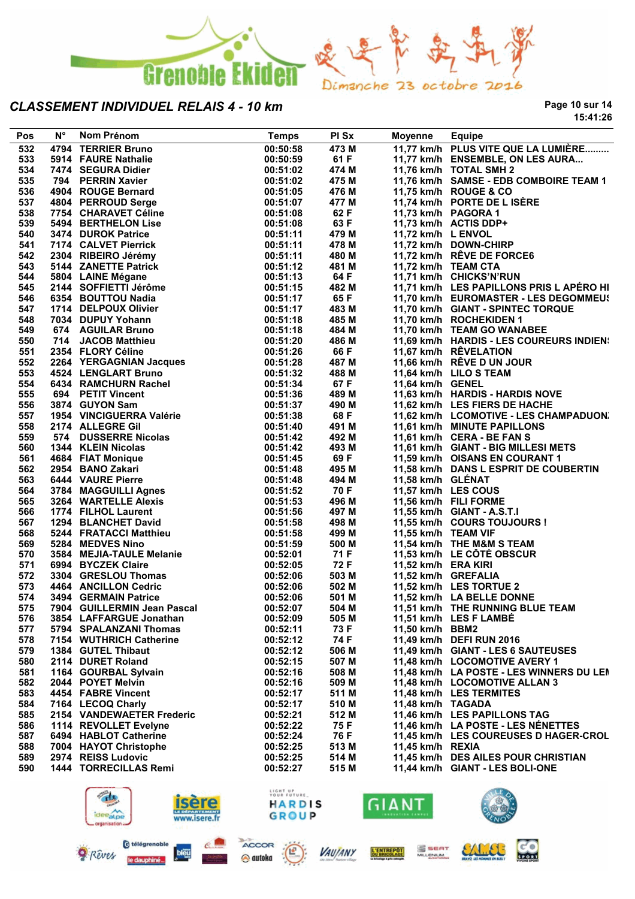

**Page 10 sur 14 15:41:26**

| Pos | $N^{\circ}$ | Nom Prénom                                                                                    | <b>Temps</b>            | PI Sx | Moyenne             | <b>Equipe</b>                                       |
|-----|-------------|-----------------------------------------------------------------------------------------------|-------------------------|-------|---------------------|-----------------------------------------------------|
| 532 |             | 4794 TERRIER Bruno                                                                            | 00:50:58                | 473 M |                     | 11,77 km/h PLUS VITE QUE LA LUMIÈRE                 |
| 533 |             | 5914 FAURE Nathalie                                                                           | 00:50:59                | 61 F  |                     | 11,77 km/h ENSEMBLE, ON LES AURA                    |
| 534 |             | 7474   SEGURA Didier<br>794   PERRIN Xavier<br>4904   ROUGE Bernard                           | 00:51:02                | 474 M |                     | 11,76 km/h TOTAL SMH 2                              |
| 535 |             |                                                                                               | 00:51:02                | 475 M |                     | 11,76 km/h SAMSE - EDB COMBOIRE TEAM 1              |
| 536 |             |                                                                                               | 00:51:05                | 476 M |                     | 11,75 km/h ROUGE & CO                               |
| 537 |             | 4804   PERROUD Serge<br>7754   CHARAVET Céline                                                | 00:51:07                | 477 M |                     | 11,74 km/h PORTE DE L ISÈRE                         |
| 538 |             | 7754 CHARAVET Céline                                                                          | 00:51:08                | 62 F  | 11,73 km/h PAGORA 1 |                                                     |
| 539 |             | 5494 BERTHELON Lise                                                                           | 00:51:08                | 63 F  |                     | 11,73 km/h ACTIS DDP+                               |
| 540 |             | 3474 DUROK Patrice<br>3474   DUROK Patrice<br>7174   CALVET Pierrick<br>2304   RIBEIRO Jérémy | 00:51:11                | 479 M | 11,72 km/h L ENVOL  |                                                     |
| 541 |             |                                                                                               | 00:51:11                | 478 M |                     | 11,72 km/h DOWN-CHIRP                               |
| 542 |             |                                                                                               | 00:51:11                | 480 M |                     | 11,72 km/h RÊVE DE FORCE6                           |
| 543 |             | 5144 ZANETTE Patrick<br>5804 LAINE Mégane<br>2144 SOFFIETTI Jérôme                            | 00:51:12                | 481 M | 11,72 km/h TEAM CTA |                                                     |
| 544 |             |                                                                                               | 00:51:13                | 64 F  |                     | 11,71 km/h CHICKS'N'RUN                             |
| 545 |             |                                                                                               | 00:51:15                | 482 M |                     | 11,71 km/h LES PAPILLONS PRIS L APÉRO HI            |
| 546 |             |                                                                                               | 00:51:17                | 65 F  |                     | 11,70 km/h EUROMASTER - LES DEGOMMEUS               |
| 547 |             | 6354 BOUTTOU Nadia<br>1714 DELPOUX Olivier                                                    | 00:51:17                | 483 M |                     | 11,70 km/h GIANT - SPINTEC TORQUE                   |
| 548 |             | 7034 DUPUY Yohann                                                                             | 00:51:18                | 485 M |                     | 11,70 km/h ROCHEKIDEN 1                             |
| 549 |             | 674 AGUILAR Bruno                                                                             | 00:51:18                | 484 M |                     | 11,70 km/h TEAM GO WANABEE                          |
| 550 |             | 714 JACOB Matthieu                                                                            | 00:51:20                | 486 M |                     | 11,69 km/h HARDIS - LES COUREURS INDIEN:            |
| 551 |             | 714 JACOB Maturieu<br>2354 FLORY Céline<br>2264 YERGAGNIAN Jacques                            | 00:51:26                | 66 F  |                     | 11,67 km/h RÊVELATION                               |
| 552 |             |                                                                                               | 00:51:28                | 487 M |                     | 11,66 km/h RÊVE D UN JOUR                           |
| 553 |             | 4524 LENGLART Bruno                                                                           | 00:51:32                | 488 M |                     | 11,64 km/h LILO S TEAM                              |
| 554 |             | 6434 RAMCHURN Rachel                                                                          | 00:51:34                | 67 F  | 11,64 km/h GENEL    |                                                     |
| 555 |             | 694 PETIT Vincent                                                                             | 00:51:36                | 489 M |                     | 11,63 km/h HARDIS - HARDIS NOVE                     |
| 556 |             | 3874 GUYON Sam                                                                                | 00:51:37                | 490 M |                     | 11,62 km/h LES FIERS DE HACHE                       |
| 557 |             | 1954 VINCIGUERRA Valérie                                                                      | 00:51:38                | 68 F  |                     | 11,62 km/h LCOMOTIVE - LES CHAMPADUON.              |
| 558 |             | 2174 ALLEGRE Gil                                                                              | 00:51:40                | 491 M |                     | 11,61 km/h MINUTE PAPILLONS                         |
| 559 |             | 574 DUSSERRE Nicolas                                                                          | 00:51:42                | 492 M |                     | 11,61 km/h CERA - BE FAN S                          |
| 560 |             | 1344 KLEIN Nicolas                                                                            | 00:51:42                | 493 M |                     | 11,61 km/h GIANT - BIG MILLESI METS                 |
| 561 |             | 4684 FIAT Monique                                                                             | 00:51:45                | 69 F  |                     | 11,59 km/h OISANS EN COURANT 1                      |
| 562 |             | 2954 BANO Zakari                                                                              | 00:51:48                | 495 M |                     | 11,58 km/h DANS L ESPRIT DE COUBERTIN               |
| 563 |             | <b>6444 VAURE Pierre</b>                                                                      |                         | 494 M | 11,58 km/h GLÉNAT   |                                                     |
|     |             |                                                                                               | 00:51:48                | 70 F  | 11,57 km/h LES COUS |                                                     |
| 564 |             | 3784 MAGGUILLI Agnes<br>3264 WARTELLE Alexis<br>1774 FILHOL Laurent                           | 00:51:52                |       |                     |                                                     |
| 565 |             |                                                                                               | 00:51:53                | 496 M |                     | 11,56 km/h FILI FORME<br>11,55 km/h GIANT - A.S.T.I |
| 566 |             |                                                                                               | 00:51:56                | 497 M |                     |                                                     |
| 567 |             | 1294 BLANCHET David                                                                           | 00:51:58                | 498 M |                     | 11,55 km/h COURS TOUJOURS !                         |
| 568 |             | 5244 FRATACCI Matthieu<br>5284 MEDVES Nino                                                    | 00:51:58                | 499 M | 11,55 km/h TEAM VIF |                                                     |
| 569 |             | 5284 MEDVES Nino                                                                              | 00:51:59                | 500 M |                     | 11,54 km/h THE M&M S TEAM                           |
| 570 |             | 3584 MEJIA-TAULE Melanie                                                                      | 00:52:01                | 71 F  |                     | 11,53 km/h LE CÔTÉ OBSCUR                           |
| 571 |             | 6994 BYCZEK Claire                                                                            | 00:52:05                | 72 F  | 11,52 km/h ERA KIRI |                                                     |
| 572 |             | 3304 GRESLOU Thomas                                                                           | 00:52:06                | 503 M | 11,52 km/h GREFALIA |                                                     |
| 573 |             | 4464 ANCILLON Cedric<br>3494 GERMAIN Patrice                                                  | 00:52:06                | 502 M |                     | 11,52 km/h LES TORTUE 2                             |
| 574 |             | 3494 GERMAIN Patrice                                                                          | 00:52:06                | 501 M |                     | 11,52 km/h LA BELLE DONNE                           |
| 575 |             | 7904 GUILLERMIN Jean Pascal                                                                   | 00:52:07                | 504 M |                     | 11,51 km/h THE RUNNING BLUE TEAM                    |
| 576 |             | 3854 LAFFARGUE Jonathan                                                                       | 00:52:09                | 505 M |                     | 11,51 km/h LES F LAMBÉ                              |
| 577 |             | 5794 SPALANZANI Thomas                                                                        | 00:52:11                | 73 F  | 11,50 km/h BBM2     |                                                     |
| 578 |             | 7154 WUTHRICH Catherine                                                                       | 00:52:12                | 74 F  |                     | 11,49 km/h DEFI RUN 2016                            |
| 579 |             | 1384 GUTEL Thibaut                                                                            | 00:52:12                | 506 M |                     | 11,49 km/h GIANT - LES 6 SAUTEUSES                  |
| 580 |             | 2114 DURET Roland                                                                             | 00:52:15                | 507 M |                     | 11,48 km/h LOCOMOTIVE AVERY 1                       |
| 581 |             | 1164 GOURBAL Sylvain                                                                          | 00:52:16                | 508 M |                     | 11,48 km/h LA POSTE - LES WINNERS DU LEN            |
| 582 |             | 2044 POYET Melvin                                                                             | 00:52:16                | 509 M |                     | 11,48 km/h LOCOMOTIVE ALLAN 3                       |
| 583 |             | 4454 FABRE Vincent                                                                            | 00:52:17                | 511 M |                     | 11,48 km/h LES TERMITES                             |
| 584 |             | 7164 LECOQ Charly                                                                             | 00:52:17                | 510 M | 11,48 km/h TAGADA   |                                                     |
| 585 |             | 2154 VANDEWAETER Frederic                                                                     | 00:52:21                | 512 M |                     | 11,46 km/h LES PAPILLONS TAG                        |
| 586 |             | 1114 REVOLLET Evelyne                                                                         | 00:52:22                | 75 F  |                     | 11,46 km/h LA POSTE - LES NÉNETTES                  |
| 587 |             | 6494 HABLOT Catherine                                                                         | 00:52:24                | 76 F  |                     | 11,45 km/h LES COUREUSES D HAGER-CROL               |
| 588 |             | 7004 HAYOT Christophe                                                                         | 00:52:25                | 513 M | 11,45 km/h REXIA    |                                                     |
| 589 |             | 2974 REISS Ludovic                                                                            | 00:52:25                | 514 M |                     | 11,45 km/h DES AILES POUR CHRISTIAN                 |
| 590 |             | 1444 TORRECILLAS Remi                                                                         | 00:52:27                | 515 M |                     | 11,44 km/h GIANT - LES BOLI-ONE                     |
|     |             |                                                                                               |                         |       |                     |                                                     |
|     |             | $\mathbb{Z}^m$                                                                                | LIGHT UP<br>YOUR FUTURE |       |                     | ULE O                                               |





L'ENTREPOT



SALLEL

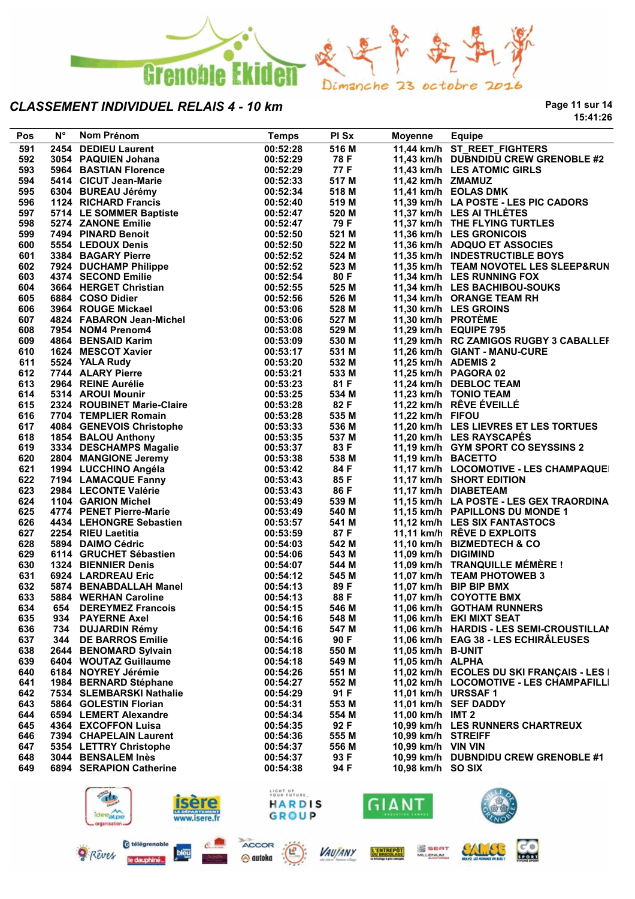

**Page 11 sur 14 15:41:26**

| Pos        | $N^{\circ}$ | Nom Prénom                                                                 | <b>Temps</b>            | PI Sx         | Moyenne                  | <b>Equipe</b>                                   |
|------------|-------------|----------------------------------------------------------------------------|-------------------------|---------------|--------------------------|-------------------------------------------------|
| 591        |             | 2454 DEDIEU Laurent                                                        | 00:52:28                | 516 M         |                          | 11,44 km/h ST_REET_FIGHTERS                     |
| 592        |             | 3054 PAQUIEN Johana                                                        | 00:52:29                | 78 F          |                          | 11,43 km/h DUBNDIDU CREW GRENOBLE #2            |
| 593        |             | 5964 BASTIAN Florence                                                      | 00:52:29                | 77 F          |                          | 11,43 km/h LES ATOMIC GIRLS                     |
| 594        |             | 5414 CICUT Jean-Marie                                                      | 00:52:33                | 517 M         | 11,42 km/h ZMAMUZ        |                                                 |
| 595        |             | 6304 BUREAU Jérémy                                                         | 00:52:34                | 518 M         |                          | 11,41 km/h EOLAS DMK                            |
| 596        |             | 1124 RICHARD Francis                                                       | 00:52:40                | 519 M         |                          | 11,39 km/h LA POSTE - LES PIC CADORS            |
| 597        |             | 5714 LE SOMMER Baptiste<br>5274 ZANONE Emilie                              | 00:52:47                | 520 M         |                          | 11,37 km/h LES AI THLÈTES                       |
| 598        |             |                                                                            | 00:52:47                | 79 F          |                          | 11,37 km/h THE FLYING TURTLES                   |
| 599        |             | 7494 PINARD Benoit                                                         | 00:52:50                | 521 M         |                          | 11,36 km/h LES GRONICOIS                        |
| 600        |             | 5554 LEDOUX Denis                                                          | 00:52:50                | 522 M         |                          | 11,36 km/h ADQUO ET ASSOCIES                    |
| 601        |             | 3384 BAGARY Pierre                                                         | 00:52:52                | 524 M         |                          | 11,35 km/h INDESTRUCTIBLE BOYS                  |
| 602        |             | 7924   DUCHAMP Philippe<br>4374   SECOND Emilie<br>3664   HERGET Christian | 00:52:52                | 523 M         |                          | 11,35 km/h TEAM NOVOTEL LES SLEEP&RUN           |
| 603        |             |                                                                            | 00:52:54                | 80 F          |                          | 11,34 km/h LES RUNNING FOX                      |
| 604        |             | 3664 HERGET Christian                                                      | 00:52:55                | 525 M         |                          | 11,34 km/h LES BACHIBOU-SOUKS                   |
| 605        |             | 6884 COSO Didier                                                           | 00:52:56                | 526 M         |                          | 11,34 km/h ORANGE TEAM RH                       |
| 606        |             | 3964 ROUGE Mickael                                                         | 00:53:06                | 528 M         |                          | 11,30 km/h LES GROINS                           |
| 607        |             | 4824 FABARON Jean-Michel                                                   | 00:53:06                | 527 M         | 11,30 km/h PROTÈME       |                                                 |
| 608        |             | 7954 NOM4 Prenom4                                                          | 00:53:08                | 529 M         |                          | 11,29 km/h EQUIPE 795                           |
| 609        |             | 4864 BENSAID Karim                                                         | 00:53:09                | 530 M         |                          | 11,29 km/h RC ZAMIGOS RUGBY 3 CABALLEF          |
| 610        |             | 1624 MESCOT Xavier                                                         | 00:53:17                | 531 M         |                          | 11,26 km/h GIANT - MANU-CURE                    |
| 611        |             | 5524 YALA Rudy                                                             | 00:53:20<br>00:53:21    | 532 M         | 11,25 km/h ADEMIS 2      |                                                 |
| 612<br>613 |             | 7744 ALARY Pierre<br>2964 REINE Aurélie                                    |                         | 533 M<br>81 F |                          | 11,25 km/h PAGORA 02                            |
| 614        |             | 5314 AROUI Mounir                                                          | 00:53:23<br>00:53:25    | 534 M         |                          | 11,24 km/h DEBLOC TEAM<br>11,23 km/h TONIO TEAM |
| 615        |             | 2324 ROUBINET Marie-Claire                                                 | 00:53:28                | 82 F          |                          | 11,22 km/h RÊVE ÉVEILLÉ                         |
| 616        |             | 7704 TEMPLIER Romain                                                       | 00:53:28                | 535 M         | 11,22 km/h FIFOU         |                                                 |
| 617        |             | 4084 GENEVOIS Christophe                                                   | 00:53:33                | 536 M         |                          | 11,20 km/h LES LIEVRES ET LES TORTUES           |
| 618        |             | 1854 BALOU Anthony                                                         | 00:53:35                | 537 M         |                          | 11,20 km/h LES RAYSCAPES                        |
| 619        |             | 3334 DESCHAMPS Magalie                                                     | 00:53:37                | 83 F          |                          | 11,19 km/h GYM SPORT CO SEYSSINS 2              |
| 620        |             |                                                                            | 00:53:38                | 538 M         | 11,19 km/h BACETTO       |                                                 |
| 621        |             | 2804 MANGIONE Jeremy<br>1994 LUCCHINO Angéla                               | 00:53:42                | 84 F          |                          | 11,17 km/h LOCOMOTIVE - LES CHAMPAQUE           |
| 622        |             | 1994   LUCCHINO Angéla<br>7194   LAMACQUE Fanny                            | 00:53:43                | 85 F          |                          | 11,17 km/h SHORT EDITION                        |
| 623        |             | 2984 LECONTE Valérie                                                       | 00:53:43                | 86 F          |                          | 11,17 km/h DIABETEAM                            |
| 624        |             | 1104 GARION Michel                                                         | 00:53:49                | 539 M         |                          | 11,15 km/h LA POSTE - LES GEX TRAORDINA         |
| 625        |             | 4774 PENET Pierre-Marie                                                    | 00:53:49                | 540 M         |                          | 11,15 km/h PAPILLONS DU MONDE 1                 |
| 626        |             | 4434 LEHONGRE Sebastien                                                    | 00:53:57                | 541 M         |                          | 11,12 km/h LES SIX FANTASTOCS                   |
| 627        |             | 2254 RIEU Laetitia                                                         | 00:53:59                | 87 F          |                          | 11,11 km/h RÊVE D EXPLOITS                      |
| 628        |             | 5894 DAIMO Cédric                                                          | 00:54:03                | 542 M         |                          | 11,10 km/h BIZMEDTECH & CO                      |
| 629        |             | 6114 GRUCHET Sébastien                                                     | 00:54:06                | 543 M         | 11,09 km/h DIGIMIND      |                                                 |
| 630        |             | <b>1324 BIENNIER Denis</b>                                                 | 00:54:07                | 544 M         |                          | 11,09 km/h TRANQUILLE MÉMÈRE !                  |
| 631        |             | 6924 LARDREAU Eric                                                         | 00:54:12                | 545 M         |                          | 11,07 km/h TEAM PHOTOWEB 3                      |
| 632        |             | 5874 BENABDALLAH Manel                                                     | 00:54:13                | 89 F          |                          | 11,07 km/h BIP BIP BMX                          |
| 633        |             | 5884 WERHAN Caroline                                                       | 00:54:13                | 88 F          |                          | 11,07 km/h COYOTTE BMX                          |
| 634        |             | 654 DEREYMEZ Francois                                                      | 00:54:15                | 546 M         |                          | 11,06 km/h GOTHAM RUNNERS                       |
| 635        |             | 934 PAYERNE Axel                                                           | 00:54:16                | 548 M         |                          | 11,06 km/h EKI MIXT SEAT                        |
| 636        |             | 734 DUJARDIN Rémy                                                          | 00:54:16                | 547 M         |                          | 11,06 km/h HARDIS - LES SEMI-CROUSTILLAI        |
| 637        |             | 344 DE BARROS Emilie                                                       | 00:54:16                | 90 F          |                          | 11,06 km/h EAG 38 - LES ECHIRÂLEUSES            |
| 638        |             | 2644 BENOMARD Sylvain                                                      | 00:54:18                | 550 M         | 11,05 km/h B-UNIT        |                                                 |
| 639        |             | 6404 WOUTAZ Guillaume                                                      | 00:54:18                | 549 M         | 11,05 km/h ALPHA         |                                                 |
| 640        |             | 6184 NOYREY Jérémie                                                        | 00:54:26                | 551 M         |                          | 11,02 km/h ECOLES DU SKI FRANÇAIS - LES I       |
| 641        |             | 1984 BERNARD Stéphane                                                      | 00:54:27                | 552 M         |                          | 11,02 km/h LOCOMOTIVE - LES CHAMPAFILLI         |
| 642        |             | 7534 SLEMBARSKI Nathalie                                                   | 00:54:29                | 91 F          | 11,01 km/h URSSAF 1      |                                                 |
| 643        |             | 5864 GOLESTIN Florian                                                      | 00:54:31                | 553 M         |                          | 11,01 km/h SEF DADDY                            |
| 644        |             | 6594 LEMERT Alexandre                                                      | 00:54:34                | 554 M         | 11,00 km/h IMT 2         |                                                 |
| 645        |             | 4364 EXCOFFON Luisa                                                        | 00:54:35                | 92 F          |                          | 10,99 km/h LES RUNNERS CHARTREUX                |
| 646        |             | 7394 CHAPELAIN Laurent                                                     | 00:54:36                | 555 M         | 10,99 km/h STREIFF       |                                                 |
| 647        |             | 5354 LETTRY Christophe                                                     | 00:54:37                | 556 M         | 10,99 km/h VIN VIN       |                                                 |
| 648        |             | 3044 BENSALEM Inès                                                         | 00:54:37                | 93 F          |                          | 10,99 km/h DUBNDIDU CREW GRENOBLE #1            |
| 649        |             | 6894 SERAPION Catherine                                                    | 00:54:38                | 94 F          | 10,98 km/h SO SIX        |                                                 |
|            |             |                                                                            |                         |               |                          |                                                 |
|            |             |                                                                            | LIGHT UP<br>YOUR FUTURE |               |                          |                                                 |
|            |             | ∼<br>idee <sub>al.pe</sub>                                                 | <b>HARDIS</b><br>GROUP  |               | GIANT<br>NNOVATION CAMPS |                                                 |
|            |             | www.isere.fr<br>prganisation.                                              |                         |               |                          |                                                 |





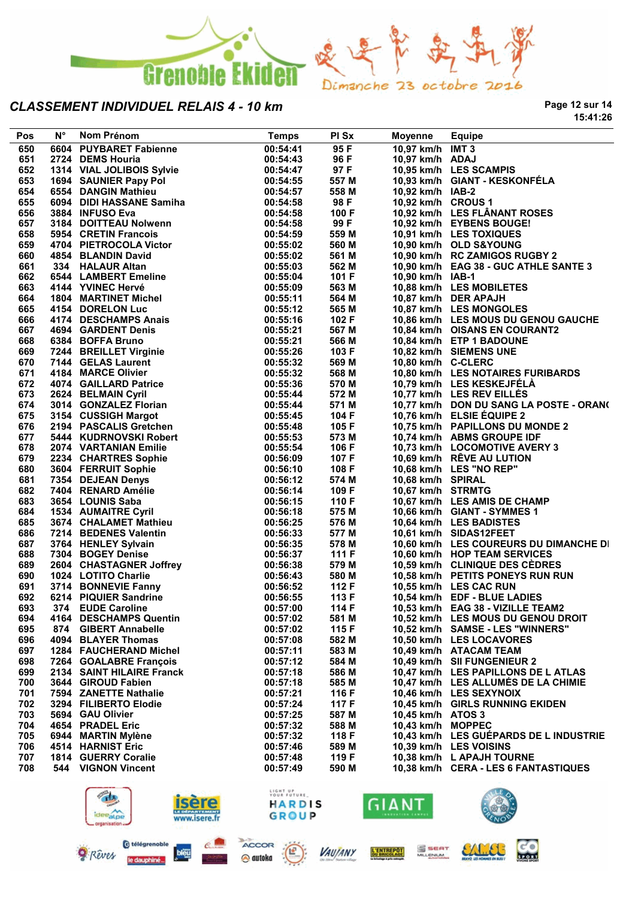

**Page 12 sur 14 15:41:26**

| 00:54:41<br>95 F<br>10,97 km/h IMT 3<br>6604 PUYBARET Fabienne<br>650<br>651<br>00:54:43<br>96 F<br>10,97 km/h ADAJ<br>2724 DEMS Houria<br>10,95 km/h LES SCAMPIS<br>652<br>1314 VIAL JOLIBOIS Sylvie<br>97 F<br>00:54:47<br>10,93 km/h GIANT - KESKONFÉLA<br>653<br>1694 SAUNIER Papy Pol<br>00:54:55<br>557 M<br>654<br>558 M<br>10,92 km/h IAB-2<br>6554 DANGIN Mathieu<br>00:54:57<br>6094 DIDI HASSANE Samiha<br>655<br>98 F<br>10,92 km/h CROUS 1<br>00:54:58<br>10,92 km/h LES FLÂNANT ROSES<br>656<br>3884 INFUSO Eva<br>00:54:58<br>100 F<br>657<br>99 F<br>10,92 km/h EYBENS BOUGE!<br>3184 DOITTEAU Nolwenn<br>00:54:58<br>658<br>559 M<br>10,91 km/h LES TOXIQUES<br>5954 CRETIN Francois<br>00:54:59<br>4704 PIETROCOLA Victor<br>659<br>00:55:02<br>560 M<br>10,90 km/h OLD S&YOUNG<br>660<br>561 M<br>10,90 km/h RC ZAMIGOS RUGBY 2<br>4854 BLANDIN David<br>00:55:02<br>661<br>562 M<br>10,90 km/h EAG 38 - GUC ATHLE SANTE 3<br>334 HALAUR Altan<br>00:55:03<br>334 HALAUK Altan<br>6544 LAMBERT Emeline<br>4144 YVINEC Hervé<br>101 F<br>662<br>00:55:04<br>10,90 km/h IAB-1<br>663<br>563 M<br>10,88 km/h LES MOBILETES<br>00:55:09<br>564 M<br>10,87 km/h DER APAJH<br>664<br>00:55:11<br>1804 MARTINET MICHEL<br>4154 DORELON Luc<br>4174 DESCHAMPS Anais<br>665<br>00:55:12<br>565 M<br>10,87 km/h LES MONGOLES<br>666<br>102 F<br>00:55:16<br>10,86 km/h LES MOUS DU GENOU GAUCHE<br>667<br>567 M<br>10,84 km/h OISANS EN COURANT2<br>00:55:21<br>4334 BOFFA Bruno<br>6384 BOFFA Bruno<br>7244 BREILLET Virginie<br>7144 GELAS Laurent<br>4184 MARCE Olivier<br>4074 GAILLARD Patrice<br>2624 BELMAIN Cyril<br>10,84 km/h ETP 1 BADOUNE<br>668<br>00:55:21<br>566 M<br>669<br>103 F<br>10,82 km/h SIEMENS UNE<br>00:55:26<br>670<br>569 M<br>10,80 km/h C-CLERC<br>00:55:32<br>671<br>10,80 km/h LES NOTAIRES FURIBARDS<br>00:55:32<br>568 M<br>672<br>00:55:36<br>570 M<br>10,79 km/h LES KESKEJFÉLA<br>673<br>572 M<br>10,77 km/h LES REV EILLÉS<br>2624 BELMAIN Cyril<br>00:55:44<br>3014 GONZALEZ Florian<br>674<br>571 M<br>10,77 km/h DON DU SANG LA POSTE - ORAN(<br>00:55:44<br>675<br>104 F<br>10,76 km/h ELSIE ÉQUIPE 2<br>3154 CUSSIGH Margot<br>00:55:45<br>676<br>105 F<br>10,75 km/h PAPILLONS DU MONDE 2<br>2194 PASCALIS Gretchen<br>00:55:48<br>5444 KUDRNOVSKI Robert<br>677<br>00:55:53<br>573 M<br>10,74 km/h ABMS GROUPE IDF<br>678<br>106 F<br>2074 VARTANIAN Emilie<br>2234 CHARTRES Sophie<br>00:55:54<br>10,73 km/h LOCOMOTIVE AVERY 3<br>679<br>00:56:09<br>107 F<br>10,69 km/h RÊVE AU LUTION<br>2234 CHARTRES Sophie<br>3604 FERRUIT Sophie<br>7354 DEJEAN Denys<br>7404 RENARD Amélie<br>3654 LOUNIS Saba<br>1534 AUMAITRE Cyril<br>3674 CHALAMET Mathieu<br>108 F<br>10,68 km/h LES "NO REP"<br>680<br>00:56:10<br>681<br>574 M<br>00:56:12<br>10,68 km/h SPIRAL<br>682<br>109 F<br>10,67 km/h STRMTG<br>00:56:14<br>683<br>00:56:15<br>110 F<br>10,67 km/h LES AMIS DE CHAMP<br>684<br>575 M<br>00:56:18<br>10,66 km/h GIANT - SYMMES 1<br>685<br>576 M<br>00:56:25<br>10,64 km/h LES BADISTES<br>686<br>7214 BEDENES Valentin<br>00:56:33<br>577 M<br>10,61 km/h SIDAS12FEET<br>687<br>3764 HENLEY Sylvain<br>00:56:35<br>578 M<br>10,60 km/h LES COUREURS DU DIMANCHE DI<br>688<br>111 $F$<br>10,60 km/h HOP TEAM SERVICES<br>7304 BOGEY Denise<br>00:56:37<br>2604   CHASTAGNER Joffrey<br>1024   LOTITO Charlie<br>3714   BONNEVIE Fannv<br>689<br>00:56:38<br>579 M<br>10,59 km/h CLINIQUE DES CEDRES<br>690<br>00:56:43<br>580 M<br>10,58 km/h PETITS PONEYS RUN RUN<br>691<br>3714 BONNEVIE Fanny<br>00:56:52<br>112 F<br>10,55 km/h LES CAC RUN<br>692<br>6214 PIQUIER Sandrine<br>00:56:55<br>113 F<br>10,54 km/h EDF - BLUE LADIES<br>693<br>00:57:00<br>374 EUDE Caroline<br>114 F<br>10,53 km/h EAG 38 - VIZILLE TEAM2<br>694<br>4164 DESCHAMPS Quentin<br>00:57:02<br>581 M<br>10,52 km/h LES MOUS DU GENOU DROIT<br><b>GIBERT Annabelle</b><br>00:57:02<br>115 F<br>10,52 km/h SAMSE - LES "WINNERS"<br>695<br>874<br>4094 BLAYER Thomas<br>582 M<br>10,50 km/h LES LOCAVORES<br>696<br>00:57:08<br>583 M<br>697<br>1284 FAUCHERAND Michel<br>00:57:11<br>10,49 km/h ATACAM TEAM<br>698<br>7264 GOALABRE François<br>00:57:12<br>584 M<br>10,49 km/h SII FUNGENIEUR 2<br>2134 SAINT HILAIRE Franck<br>586 M<br>10,47 km/h LES PAPILLONS DE L ATLAS<br>699<br>00:57:18<br>3644 GIROUD Fabien<br>700<br>00:57:18<br>585 M<br>10,47 km/h LES ALLUMES DE LA CHIMIE<br>7594 ZANETTE Nathalie<br>00:57:21<br>116 F<br>10,46 km/h LES SEXYNOIX<br>701<br>702<br>3294 FILIBERTO Elodie<br>00:57:24<br>117 F<br>10,45 km/h GIRLS RUNNING EKIDEN<br>5694 GAU Olivier<br>587 M<br>703<br>00:57:25<br>10,45 km/h ATOS 3<br>704<br>4654 PRADEL Eric<br>00:57:32<br>588 M<br>10,43 km/h MOPPEC<br>118 F<br>10,43 km/h LES GUÉPARDS DE L INDUSTRIE<br>705<br>6944 MARTIN Mylène<br>00:57:32<br>706<br>4514 HARNIST Eric<br>00:57:46<br>589 M<br>10,39 km/h LES VOISINS<br>1814 GUERRY Coralie<br>119 F<br>10,38 km/h L APAJH TOURNE<br>707<br>00:57:48<br><b>VIGNON Vincent</b><br>590 M<br>10,38 km/h CERA - LES 6 FANTASTIQUES<br>708<br>544<br>00:57:49 | LIGHT UP<br>YOUR FUTURE,<br>$H_{\lambda}$<br><i>isere</i><br><b>GIANT</b><br>3.<br>HARDIS | <b>Pos</b> | N° | Nom Prénom | <b>Temps</b> | PI Sx | <b>Moyenne</b> | <b>Equipe</b> |
|-----------------------------------------------------------------------------------------------------------------------------------------------------------------------------------------------------------------------------------------------------------------------------------------------------------------------------------------------------------------------------------------------------------------------------------------------------------------------------------------------------------------------------------------------------------------------------------------------------------------------------------------------------------------------------------------------------------------------------------------------------------------------------------------------------------------------------------------------------------------------------------------------------------------------------------------------------------------------------------------------------------------------------------------------------------------------------------------------------------------------------------------------------------------------------------------------------------------------------------------------------------------------------------------------------------------------------------------------------------------------------------------------------------------------------------------------------------------------------------------------------------------------------------------------------------------------------------------------------------------------------------------------------------------------------------------------------------------------------------------------------------------------------------------------------------------------------------------------------------------------------------------------------------------------------------------------------------------------------------------------------------------------------------------------------------------------------------------------------------------------------------------------------------------------------------------------------------------------------------------------------------------------------------------------------------------------------------------------------------------------------------------------------------------------------------------------------------------------------------------------------------------------------------------------------------------------------------------------------------------------------------------------------------------------------------------------------------------------------------------------------------------------------------------------------------------------------------------------------------------------------------------------------------------------------------------------------------------------------------------------------------------------------------------------------------------------------------------------------------------------------------------------------------------------------------------------------------------------------------------------------------------------------------------------------------------------------------------------------------------------------------------------------------------------------------------------------------------------------------------------------------------------------------------------------------------------------------------------------------------------------------------------------------------------------------------------------------------------------------------------------------------------------------------------------------------------------------------------------------------------------------------------------------------------------------------------------------------------------------------------------------------------------------------------------------------------------------------------------------------------------------------------------------------------------------------------------------------------------------------------------------------------------------------------------------------------------------------------------------------------------------------------------------------------------------------------------------------------------------------------------------------------------------------------------------------------------------------------------------------------------------------------------------------------------------------------------------------------------------------------------------------------------------------------------------------------------------------------------------------------------------------------------------------------------------------------------------------------------------------------------------------------------------------------------------------------------------------------------------------|-------------------------------------------------------------------------------------------|------------|----|------------|--------------|-------|----------------|---------------|
|                                                                                                                                                                                                                                                                                                                                                                                                                                                                                                                                                                                                                                                                                                                                                                                                                                                                                                                                                                                                                                                                                                                                                                                                                                                                                                                                                                                                                                                                                                                                                                                                                                                                                                                                                                                                                                                                                                                                                                                                                                                                                                                                                                                                                                                                                                                                                                                                                                                                                                                                                                                                                                                                                                                                                                                                                                                                                                                                                                                                                                                                                                                                                                                                                                                                                                                                                                                                                                                                                                                                                                                                                                                                                                                                                                                                                                                                                                                                                                                                                                                                                                                                                                                                                                                                                                                                                                                                                                                                                                                                                                                                                                                                                                                                                                                                                                                                                                                                                                                                                                                                                                                 |                                                                                           |            |    |            |              |       |                |               |
|                                                                                                                                                                                                                                                                                                                                                                                                                                                                                                                                                                                                                                                                                                                                                                                                                                                                                                                                                                                                                                                                                                                                                                                                                                                                                                                                                                                                                                                                                                                                                                                                                                                                                                                                                                                                                                                                                                                                                                                                                                                                                                                                                                                                                                                                                                                                                                                                                                                                                                                                                                                                                                                                                                                                                                                                                                                                                                                                                                                                                                                                                                                                                                                                                                                                                                                                                                                                                                                                                                                                                                                                                                                                                                                                                                                                                                                                                                                                                                                                                                                                                                                                                                                                                                                                                                                                                                                                                                                                                                                                                                                                                                                                                                                                                                                                                                                                                                                                                                                                                                                                                                                 |                                                                                           |            |    |            |              |       |                |               |
|                                                                                                                                                                                                                                                                                                                                                                                                                                                                                                                                                                                                                                                                                                                                                                                                                                                                                                                                                                                                                                                                                                                                                                                                                                                                                                                                                                                                                                                                                                                                                                                                                                                                                                                                                                                                                                                                                                                                                                                                                                                                                                                                                                                                                                                                                                                                                                                                                                                                                                                                                                                                                                                                                                                                                                                                                                                                                                                                                                                                                                                                                                                                                                                                                                                                                                                                                                                                                                                                                                                                                                                                                                                                                                                                                                                                                                                                                                                                                                                                                                                                                                                                                                                                                                                                                                                                                                                                                                                                                                                                                                                                                                                                                                                                                                                                                                                                                                                                                                                                                                                                                                                 |                                                                                           |            |    |            |              |       |                |               |
|                                                                                                                                                                                                                                                                                                                                                                                                                                                                                                                                                                                                                                                                                                                                                                                                                                                                                                                                                                                                                                                                                                                                                                                                                                                                                                                                                                                                                                                                                                                                                                                                                                                                                                                                                                                                                                                                                                                                                                                                                                                                                                                                                                                                                                                                                                                                                                                                                                                                                                                                                                                                                                                                                                                                                                                                                                                                                                                                                                                                                                                                                                                                                                                                                                                                                                                                                                                                                                                                                                                                                                                                                                                                                                                                                                                                                                                                                                                                                                                                                                                                                                                                                                                                                                                                                                                                                                                                                                                                                                                                                                                                                                                                                                                                                                                                                                                                                                                                                                                                                                                                                                                 |                                                                                           |            |    |            |              |       |                |               |
|                                                                                                                                                                                                                                                                                                                                                                                                                                                                                                                                                                                                                                                                                                                                                                                                                                                                                                                                                                                                                                                                                                                                                                                                                                                                                                                                                                                                                                                                                                                                                                                                                                                                                                                                                                                                                                                                                                                                                                                                                                                                                                                                                                                                                                                                                                                                                                                                                                                                                                                                                                                                                                                                                                                                                                                                                                                                                                                                                                                                                                                                                                                                                                                                                                                                                                                                                                                                                                                                                                                                                                                                                                                                                                                                                                                                                                                                                                                                                                                                                                                                                                                                                                                                                                                                                                                                                                                                                                                                                                                                                                                                                                                                                                                                                                                                                                                                                                                                                                                                                                                                                                                 |                                                                                           |            |    |            |              |       |                |               |
|                                                                                                                                                                                                                                                                                                                                                                                                                                                                                                                                                                                                                                                                                                                                                                                                                                                                                                                                                                                                                                                                                                                                                                                                                                                                                                                                                                                                                                                                                                                                                                                                                                                                                                                                                                                                                                                                                                                                                                                                                                                                                                                                                                                                                                                                                                                                                                                                                                                                                                                                                                                                                                                                                                                                                                                                                                                                                                                                                                                                                                                                                                                                                                                                                                                                                                                                                                                                                                                                                                                                                                                                                                                                                                                                                                                                                                                                                                                                                                                                                                                                                                                                                                                                                                                                                                                                                                                                                                                                                                                                                                                                                                                                                                                                                                                                                                                                                                                                                                                                                                                                                                                 |                                                                                           |            |    |            |              |       |                |               |
|                                                                                                                                                                                                                                                                                                                                                                                                                                                                                                                                                                                                                                                                                                                                                                                                                                                                                                                                                                                                                                                                                                                                                                                                                                                                                                                                                                                                                                                                                                                                                                                                                                                                                                                                                                                                                                                                                                                                                                                                                                                                                                                                                                                                                                                                                                                                                                                                                                                                                                                                                                                                                                                                                                                                                                                                                                                                                                                                                                                                                                                                                                                                                                                                                                                                                                                                                                                                                                                                                                                                                                                                                                                                                                                                                                                                                                                                                                                                                                                                                                                                                                                                                                                                                                                                                                                                                                                                                                                                                                                                                                                                                                                                                                                                                                                                                                                                                                                                                                                                                                                                                                                 |                                                                                           |            |    |            |              |       |                |               |
|                                                                                                                                                                                                                                                                                                                                                                                                                                                                                                                                                                                                                                                                                                                                                                                                                                                                                                                                                                                                                                                                                                                                                                                                                                                                                                                                                                                                                                                                                                                                                                                                                                                                                                                                                                                                                                                                                                                                                                                                                                                                                                                                                                                                                                                                                                                                                                                                                                                                                                                                                                                                                                                                                                                                                                                                                                                                                                                                                                                                                                                                                                                                                                                                                                                                                                                                                                                                                                                                                                                                                                                                                                                                                                                                                                                                                                                                                                                                                                                                                                                                                                                                                                                                                                                                                                                                                                                                                                                                                                                                                                                                                                                                                                                                                                                                                                                                                                                                                                                                                                                                                                                 |                                                                                           |            |    |            |              |       |                |               |
|                                                                                                                                                                                                                                                                                                                                                                                                                                                                                                                                                                                                                                                                                                                                                                                                                                                                                                                                                                                                                                                                                                                                                                                                                                                                                                                                                                                                                                                                                                                                                                                                                                                                                                                                                                                                                                                                                                                                                                                                                                                                                                                                                                                                                                                                                                                                                                                                                                                                                                                                                                                                                                                                                                                                                                                                                                                                                                                                                                                                                                                                                                                                                                                                                                                                                                                                                                                                                                                                                                                                                                                                                                                                                                                                                                                                                                                                                                                                                                                                                                                                                                                                                                                                                                                                                                                                                                                                                                                                                                                                                                                                                                                                                                                                                                                                                                                                                                                                                                                                                                                                                                                 |                                                                                           |            |    |            |              |       |                |               |
|                                                                                                                                                                                                                                                                                                                                                                                                                                                                                                                                                                                                                                                                                                                                                                                                                                                                                                                                                                                                                                                                                                                                                                                                                                                                                                                                                                                                                                                                                                                                                                                                                                                                                                                                                                                                                                                                                                                                                                                                                                                                                                                                                                                                                                                                                                                                                                                                                                                                                                                                                                                                                                                                                                                                                                                                                                                                                                                                                                                                                                                                                                                                                                                                                                                                                                                                                                                                                                                                                                                                                                                                                                                                                                                                                                                                                                                                                                                                                                                                                                                                                                                                                                                                                                                                                                                                                                                                                                                                                                                                                                                                                                                                                                                                                                                                                                                                                                                                                                                                                                                                                                                 |                                                                                           |            |    |            |              |       |                |               |
|                                                                                                                                                                                                                                                                                                                                                                                                                                                                                                                                                                                                                                                                                                                                                                                                                                                                                                                                                                                                                                                                                                                                                                                                                                                                                                                                                                                                                                                                                                                                                                                                                                                                                                                                                                                                                                                                                                                                                                                                                                                                                                                                                                                                                                                                                                                                                                                                                                                                                                                                                                                                                                                                                                                                                                                                                                                                                                                                                                                                                                                                                                                                                                                                                                                                                                                                                                                                                                                                                                                                                                                                                                                                                                                                                                                                                                                                                                                                                                                                                                                                                                                                                                                                                                                                                                                                                                                                                                                                                                                                                                                                                                                                                                                                                                                                                                                                                                                                                                                                                                                                                                                 |                                                                                           |            |    |            |              |       |                |               |
|                                                                                                                                                                                                                                                                                                                                                                                                                                                                                                                                                                                                                                                                                                                                                                                                                                                                                                                                                                                                                                                                                                                                                                                                                                                                                                                                                                                                                                                                                                                                                                                                                                                                                                                                                                                                                                                                                                                                                                                                                                                                                                                                                                                                                                                                                                                                                                                                                                                                                                                                                                                                                                                                                                                                                                                                                                                                                                                                                                                                                                                                                                                                                                                                                                                                                                                                                                                                                                                                                                                                                                                                                                                                                                                                                                                                                                                                                                                                                                                                                                                                                                                                                                                                                                                                                                                                                                                                                                                                                                                                                                                                                                                                                                                                                                                                                                                                                                                                                                                                                                                                                                                 |                                                                                           |            |    |            |              |       |                |               |
|                                                                                                                                                                                                                                                                                                                                                                                                                                                                                                                                                                                                                                                                                                                                                                                                                                                                                                                                                                                                                                                                                                                                                                                                                                                                                                                                                                                                                                                                                                                                                                                                                                                                                                                                                                                                                                                                                                                                                                                                                                                                                                                                                                                                                                                                                                                                                                                                                                                                                                                                                                                                                                                                                                                                                                                                                                                                                                                                                                                                                                                                                                                                                                                                                                                                                                                                                                                                                                                                                                                                                                                                                                                                                                                                                                                                                                                                                                                                                                                                                                                                                                                                                                                                                                                                                                                                                                                                                                                                                                                                                                                                                                                                                                                                                                                                                                                                                                                                                                                                                                                                                                                 |                                                                                           |            |    |            |              |       |                |               |
|                                                                                                                                                                                                                                                                                                                                                                                                                                                                                                                                                                                                                                                                                                                                                                                                                                                                                                                                                                                                                                                                                                                                                                                                                                                                                                                                                                                                                                                                                                                                                                                                                                                                                                                                                                                                                                                                                                                                                                                                                                                                                                                                                                                                                                                                                                                                                                                                                                                                                                                                                                                                                                                                                                                                                                                                                                                                                                                                                                                                                                                                                                                                                                                                                                                                                                                                                                                                                                                                                                                                                                                                                                                                                                                                                                                                                                                                                                                                                                                                                                                                                                                                                                                                                                                                                                                                                                                                                                                                                                                                                                                                                                                                                                                                                                                                                                                                                                                                                                                                                                                                                                                 |                                                                                           |            |    |            |              |       |                |               |
|                                                                                                                                                                                                                                                                                                                                                                                                                                                                                                                                                                                                                                                                                                                                                                                                                                                                                                                                                                                                                                                                                                                                                                                                                                                                                                                                                                                                                                                                                                                                                                                                                                                                                                                                                                                                                                                                                                                                                                                                                                                                                                                                                                                                                                                                                                                                                                                                                                                                                                                                                                                                                                                                                                                                                                                                                                                                                                                                                                                                                                                                                                                                                                                                                                                                                                                                                                                                                                                                                                                                                                                                                                                                                                                                                                                                                                                                                                                                                                                                                                                                                                                                                                                                                                                                                                                                                                                                                                                                                                                                                                                                                                                                                                                                                                                                                                                                                                                                                                                                                                                                                                                 |                                                                                           |            |    |            |              |       |                |               |
|                                                                                                                                                                                                                                                                                                                                                                                                                                                                                                                                                                                                                                                                                                                                                                                                                                                                                                                                                                                                                                                                                                                                                                                                                                                                                                                                                                                                                                                                                                                                                                                                                                                                                                                                                                                                                                                                                                                                                                                                                                                                                                                                                                                                                                                                                                                                                                                                                                                                                                                                                                                                                                                                                                                                                                                                                                                                                                                                                                                                                                                                                                                                                                                                                                                                                                                                                                                                                                                                                                                                                                                                                                                                                                                                                                                                                                                                                                                                                                                                                                                                                                                                                                                                                                                                                                                                                                                                                                                                                                                                                                                                                                                                                                                                                                                                                                                                                                                                                                                                                                                                                                                 |                                                                                           |            |    |            |              |       |                |               |
|                                                                                                                                                                                                                                                                                                                                                                                                                                                                                                                                                                                                                                                                                                                                                                                                                                                                                                                                                                                                                                                                                                                                                                                                                                                                                                                                                                                                                                                                                                                                                                                                                                                                                                                                                                                                                                                                                                                                                                                                                                                                                                                                                                                                                                                                                                                                                                                                                                                                                                                                                                                                                                                                                                                                                                                                                                                                                                                                                                                                                                                                                                                                                                                                                                                                                                                                                                                                                                                                                                                                                                                                                                                                                                                                                                                                                                                                                                                                                                                                                                                                                                                                                                                                                                                                                                                                                                                                                                                                                                                                                                                                                                                                                                                                                                                                                                                                                                                                                                                                                                                                                                                 |                                                                                           |            |    |            |              |       |                |               |
|                                                                                                                                                                                                                                                                                                                                                                                                                                                                                                                                                                                                                                                                                                                                                                                                                                                                                                                                                                                                                                                                                                                                                                                                                                                                                                                                                                                                                                                                                                                                                                                                                                                                                                                                                                                                                                                                                                                                                                                                                                                                                                                                                                                                                                                                                                                                                                                                                                                                                                                                                                                                                                                                                                                                                                                                                                                                                                                                                                                                                                                                                                                                                                                                                                                                                                                                                                                                                                                                                                                                                                                                                                                                                                                                                                                                                                                                                                                                                                                                                                                                                                                                                                                                                                                                                                                                                                                                                                                                                                                                                                                                                                                                                                                                                                                                                                                                                                                                                                                                                                                                                                                 |                                                                                           |            |    |            |              |       |                |               |
|                                                                                                                                                                                                                                                                                                                                                                                                                                                                                                                                                                                                                                                                                                                                                                                                                                                                                                                                                                                                                                                                                                                                                                                                                                                                                                                                                                                                                                                                                                                                                                                                                                                                                                                                                                                                                                                                                                                                                                                                                                                                                                                                                                                                                                                                                                                                                                                                                                                                                                                                                                                                                                                                                                                                                                                                                                                                                                                                                                                                                                                                                                                                                                                                                                                                                                                                                                                                                                                                                                                                                                                                                                                                                                                                                                                                                                                                                                                                                                                                                                                                                                                                                                                                                                                                                                                                                                                                                                                                                                                                                                                                                                                                                                                                                                                                                                                                                                                                                                                                                                                                                                                 |                                                                                           |            |    |            |              |       |                |               |
|                                                                                                                                                                                                                                                                                                                                                                                                                                                                                                                                                                                                                                                                                                                                                                                                                                                                                                                                                                                                                                                                                                                                                                                                                                                                                                                                                                                                                                                                                                                                                                                                                                                                                                                                                                                                                                                                                                                                                                                                                                                                                                                                                                                                                                                                                                                                                                                                                                                                                                                                                                                                                                                                                                                                                                                                                                                                                                                                                                                                                                                                                                                                                                                                                                                                                                                                                                                                                                                                                                                                                                                                                                                                                                                                                                                                                                                                                                                                                                                                                                                                                                                                                                                                                                                                                                                                                                                                                                                                                                                                                                                                                                                                                                                                                                                                                                                                                                                                                                                                                                                                                                                 |                                                                                           |            |    |            |              |       |                |               |
|                                                                                                                                                                                                                                                                                                                                                                                                                                                                                                                                                                                                                                                                                                                                                                                                                                                                                                                                                                                                                                                                                                                                                                                                                                                                                                                                                                                                                                                                                                                                                                                                                                                                                                                                                                                                                                                                                                                                                                                                                                                                                                                                                                                                                                                                                                                                                                                                                                                                                                                                                                                                                                                                                                                                                                                                                                                                                                                                                                                                                                                                                                                                                                                                                                                                                                                                                                                                                                                                                                                                                                                                                                                                                                                                                                                                                                                                                                                                                                                                                                                                                                                                                                                                                                                                                                                                                                                                                                                                                                                                                                                                                                                                                                                                                                                                                                                                                                                                                                                                                                                                                                                 |                                                                                           |            |    |            |              |       |                |               |
|                                                                                                                                                                                                                                                                                                                                                                                                                                                                                                                                                                                                                                                                                                                                                                                                                                                                                                                                                                                                                                                                                                                                                                                                                                                                                                                                                                                                                                                                                                                                                                                                                                                                                                                                                                                                                                                                                                                                                                                                                                                                                                                                                                                                                                                                                                                                                                                                                                                                                                                                                                                                                                                                                                                                                                                                                                                                                                                                                                                                                                                                                                                                                                                                                                                                                                                                                                                                                                                                                                                                                                                                                                                                                                                                                                                                                                                                                                                                                                                                                                                                                                                                                                                                                                                                                                                                                                                                                                                                                                                                                                                                                                                                                                                                                                                                                                                                                                                                                                                                                                                                                                                 |                                                                                           |            |    |            |              |       |                |               |
|                                                                                                                                                                                                                                                                                                                                                                                                                                                                                                                                                                                                                                                                                                                                                                                                                                                                                                                                                                                                                                                                                                                                                                                                                                                                                                                                                                                                                                                                                                                                                                                                                                                                                                                                                                                                                                                                                                                                                                                                                                                                                                                                                                                                                                                                                                                                                                                                                                                                                                                                                                                                                                                                                                                                                                                                                                                                                                                                                                                                                                                                                                                                                                                                                                                                                                                                                                                                                                                                                                                                                                                                                                                                                                                                                                                                                                                                                                                                                                                                                                                                                                                                                                                                                                                                                                                                                                                                                                                                                                                                                                                                                                                                                                                                                                                                                                                                                                                                                                                                                                                                                                                 |                                                                                           |            |    |            |              |       |                |               |
|                                                                                                                                                                                                                                                                                                                                                                                                                                                                                                                                                                                                                                                                                                                                                                                                                                                                                                                                                                                                                                                                                                                                                                                                                                                                                                                                                                                                                                                                                                                                                                                                                                                                                                                                                                                                                                                                                                                                                                                                                                                                                                                                                                                                                                                                                                                                                                                                                                                                                                                                                                                                                                                                                                                                                                                                                                                                                                                                                                                                                                                                                                                                                                                                                                                                                                                                                                                                                                                                                                                                                                                                                                                                                                                                                                                                                                                                                                                                                                                                                                                                                                                                                                                                                                                                                                                                                                                                                                                                                                                                                                                                                                                                                                                                                                                                                                                                                                                                                                                                                                                                                                                 |                                                                                           |            |    |            |              |       |                |               |
|                                                                                                                                                                                                                                                                                                                                                                                                                                                                                                                                                                                                                                                                                                                                                                                                                                                                                                                                                                                                                                                                                                                                                                                                                                                                                                                                                                                                                                                                                                                                                                                                                                                                                                                                                                                                                                                                                                                                                                                                                                                                                                                                                                                                                                                                                                                                                                                                                                                                                                                                                                                                                                                                                                                                                                                                                                                                                                                                                                                                                                                                                                                                                                                                                                                                                                                                                                                                                                                                                                                                                                                                                                                                                                                                                                                                                                                                                                                                                                                                                                                                                                                                                                                                                                                                                                                                                                                                                                                                                                                                                                                                                                                                                                                                                                                                                                                                                                                                                                                                                                                                                                                 |                                                                                           |            |    |            |              |       |                |               |
|                                                                                                                                                                                                                                                                                                                                                                                                                                                                                                                                                                                                                                                                                                                                                                                                                                                                                                                                                                                                                                                                                                                                                                                                                                                                                                                                                                                                                                                                                                                                                                                                                                                                                                                                                                                                                                                                                                                                                                                                                                                                                                                                                                                                                                                                                                                                                                                                                                                                                                                                                                                                                                                                                                                                                                                                                                                                                                                                                                                                                                                                                                                                                                                                                                                                                                                                                                                                                                                                                                                                                                                                                                                                                                                                                                                                                                                                                                                                                                                                                                                                                                                                                                                                                                                                                                                                                                                                                                                                                                                                                                                                                                                                                                                                                                                                                                                                                                                                                                                                                                                                                                                 |                                                                                           |            |    |            |              |       |                |               |
|                                                                                                                                                                                                                                                                                                                                                                                                                                                                                                                                                                                                                                                                                                                                                                                                                                                                                                                                                                                                                                                                                                                                                                                                                                                                                                                                                                                                                                                                                                                                                                                                                                                                                                                                                                                                                                                                                                                                                                                                                                                                                                                                                                                                                                                                                                                                                                                                                                                                                                                                                                                                                                                                                                                                                                                                                                                                                                                                                                                                                                                                                                                                                                                                                                                                                                                                                                                                                                                                                                                                                                                                                                                                                                                                                                                                                                                                                                                                                                                                                                                                                                                                                                                                                                                                                                                                                                                                                                                                                                                                                                                                                                                                                                                                                                                                                                                                                                                                                                                                                                                                                                                 |                                                                                           |            |    |            |              |       |                |               |
|                                                                                                                                                                                                                                                                                                                                                                                                                                                                                                                                                                                                                                                                                                                                                                                                                                                                                                                                                                                                                                                                                                                                                                                                                                                                                                                                                                                                                                                                                                                                                                                                                                                                                                                                                                                                                                                                                                                                                                                                                                                                                                                                                                                                                                                                                                                                                                                                                                                                                                                                                                                                                                                                                                                                                                                                                                                                                                                                                                                                                                                                                                                                                                                                                                                                                                                                                                                                                                                                                                                                                                                                                                                                                                                                                                                                                                                                                                                                                                                                                                                                                                                                                                                                                                                                                                                                                                                                                                                                                                                                                                                                                                                                                                                                                                                                                                                                                                                                                                                                                                                                                                                 |                                                                                           |            |    |            |              |       |                |               |
|                                                                                                                                                                                                                                                                                                                                                                                                                                                                                                                                                                                                                                                                                                                                                                                                                                                                                                                                                                                                                                                                                                                                                                                                                                                                                                                                                                                                                                                                                                                                                                                                                                                                                                                                                                                                                                                                                                                                                                                                                                                                                                                                                                                                                                                                                                                                                                                                                                                                                                                                                                                                                                                                                                                                                                                                                                                                                                                                                                                                                                                                                                                                                                                                                                                                                                                                                                                                                                                                                                                                                                                                                                                                                                                                                                                                                                                                                                                                                                                                                                                                                                                                                                                                                                                                                                                                                                                                                                                                                                                                                                                                                                                                                                                                                                                                                                                                                                                                                                                                                                                                                                                 |                                                                                           |            |    |            |              |       |                |               |
|                                                                                                                                                                                                                                                                                                                                                                                                                                                                                                                                                                                                                                                                                                                                                                                                                                                                                                                                                                                                                                                                                                                                                                                                                                                                                                                                                                                                                                                                                                                                                                                                                                                                                                                                                                                                                                                                                                                                                                                                                                                                                                                                                                                                                                                                                                                                                                                                                                                                                                                                                                                                                                                                                                                                                                                                                                                                                                                                                                                                                                                                                                                                                                                                                                                                                                                                                                                                                                                                                                                                                                                                                                                                                                                                                                                                                                                                                                                                                                                                                                                                                                                                                                                                                                                                                                                                                                                                                                                                                                                                                                                                                                                                                                                                                                                                                                                                                                                                                                                                                                                                                                                 |                                                                                           |            |    |            |              |       |                |               |
|                                                                                                                                                                                                                                                                                                                                                                                                                                                                                                                                                                                                                                                                                                                                                                                                                                                                                                                                                                                                                                                                                                                                                                                                                                                                                                                                                                                                                                                                                                                                                                                                                                                                                                                                                                                                                                                                                                                                                                                                                                                                                                                                                                                                                                                                                                                                                                                                                                                                                                                                                                                                                                                                                                                                                                                                                                                                                                                                                                                                                                                                                                                                                                                                                                                                                                                                                                                                                                                                                                                                                                                                                                                                                                                                                                                                                                                                                                                                                                                                                                                                                                                                                                                                                                                                                                                                                                                                                                                                                                                                                                                                                                                                                                                                                                                                                                                                                                                                                                                                                                                                                                                 |                                                                                           |            |    |            |              |       |                |               |
|                                                                                                                                                                                                                                                                                                                                                                                                                                                                                                                                                                                                                                                                                                                                                                                                                                                                                                                                                                                                                                                                                                                                                                                                                                                                                                                                                                                                                                                                                                                                                                                                                                                                                                                                                                                                                                                                                                                                                                                                                                                                                                                                                                                                                                                                                                                                                                                                                                                                                                                                                                                                                                                                                                                                                                                                                                                                                                                                                                                                                                                                                                                                                                                                                                                                                                                                                                                                                                                                                                                                                                                                                                                                                                                                                                                                                                                                                                                                                                                                                                                                                                                                                                                                                                                                                                                                                                                                                                                                                                                                                                                                                                                                                                                                                                                                                                                                                                                                                                                                                                                                                                                 |                                                                                           |            |    |            |              |       |                |               |
|                                                                                                                                                                                                                                                                                                                                                                                                                                                                                                                                                                                                                                                                                                                                                                                                                                                                                                                                                                                                                                                                                                                                                                                                                                                                                                                                                                                                                                                                                                                                                                                                                                                                                                                                                                                                                                                                                                                                                                                                                                                                                                                                                                                                                                                                                                                                                                                                                                                                                                                                                                                                                                                                                                                                                                                                                                                                                                                                                                                                                                                                                                                                                                                                                                                                                                                                                                                                                                                                                                                                                                                                                                                                                                                                                                                                                                                                                                                                                                                                                                                                                                                                                                                                                                                                                                                                                                                                                                                                                                                                                                                                                                                                                                                                                                                                                                                                                                                                                                                                                                                                                                                 |                                                                                           |            |    |            |              |       |                |               |
|                                                                                                                                                                                                                                                                                                                                                                                                                                                                                                                                                                                                                                                                                                                                                                                                                                                                                                                                                                                                                                                                                                                                                                                                                                                                                                                                                                                                                                                                                                                                                                                                                                                                                                                                                                                                                                                                                                                                                                                                                                                                                                                                                                                                                                                                                                                                                                                                                                                                                                                                                                                                                                                                                                                                                                                                                                                                                                                                                                                                                                                                                                                                                                                                                                                                                                                                                                                                                                                                                                                                                                                                                                                                                                                                                                                                                                                                                                                                                                                                                                                                                                                                                                                                                                                                                                                                                                                                                                                                                                                                                                                                                                                                                                                                                                                                                                                                                                                                                                                                                                                                                                                 |                                                                                           |            |    |            |              |       |                |               |
|                                                                                                                                                                                                                                                                                                                                                                                                                                                                                                                                                                                                                                                                                                                                                                                                                                                                                                                                                                                                                                                                                                                                                                                                                                                                                                                                                                                                                                                                                                                                                                                                                                                                                                                                                                                                                                                                                                                                                                                                                                                                                                                                                                                                                                                                                                                                                                                                                                                                                                                                                                                                                                                                                                                                                                                                                                                                                                                                                                                                                                                                                                                                                                                                                                                                                                                                                                                                                                                                                                                                                                                                                                                                                                                                                                                                                                                                                                                                                                                                                                                                                                                                                                                                                                                                                                                                                                                                                                                                                                                                                                                                                                                                                                                                                                                                                                                                                                                                                                                                                                                                                                                 |                                                                                           |            |    |            |              |       |                |               |
|                                                                                                                                                                                                                                                                                                                                                                                                                                                                                                                                                                                                                                                                                                                                                                                                                                                                                                                                                                                                                                                                                                                                                                                                                                                                                                                                                                                                                                                                                                                                                                                                                                                                                                                                                                                                                                                                                                                                                                                                                                                                                                                                                                                                                                                                                                                                                                                                                                                                                                                                                                                                                                                                                                                                                                                                                                                                                                                                                                                                                                                                                                                                                                                                                                                                                                                                                                                                                                                                                                                                                                                                                                                                                                                                                                                                                                                                                                                                                                                                                                                                                                                                                                                                                                                                                                                                                                                                                                                                                                                                                                                                                                                                                                                                                                                                                                                                                                                                                                                                                                                                                                                 |                                                                                           |            |    |            |              |       |                |               |
|                                                                                                                                                                                                                                                                                                                                                                                                                                                                                                                                                                                                                                                                                                                                                                                                                                                                                                                                                                                                                                                                                                                                                                                                                                                                                                                                                                                                                                                                                                                                                                                                                                                                                                                                                                                                                                                                                                                                                                                                                                                                                                                                                                                                                                                                                                                                                                                                                                                                                                                                                                                                                                                                                                                                                                                                                                                                                                                                                                                                                                                                                                                                                                                                                                                                                                                                                                                                                                                                                                                                                                                                                                                                                                                                                                                                                                                                                                                                                                                                                                                                                                                                                                                                                                                                                                                                                                                                                                                                                                                                                                                                                                                                                                                                                                                                                                                                                                                                                                                                                                                                                                                 |                                                                                           |            |    |            |              |       |                |               |
|                                                                                                                                                                                                                                                                                                                                                                                                                                                                                                                                                                                                                                                                                                                                                                                                                                                                                                                                                                                                                                                                                                                                                                                                                                                                                                                                                                                                                                                                                                                                                                                                                                                                                                                                                                                                                                                                                                                                                                                                                                                                                                                                                                                                                                                                                                                                                                                                                                                                                                                                                                                                                                                                                                                                                                                                                                                                                                                                                                                                                                                                                                                                                                                                                                                                                                                                                                                                                                                                                                                                                                                                                                                                                                                                                                                                                                                                                                                                                                                                                                                                                                                                                                                                                                                                                                                                                                                                                                                                                                                                                                                                                                                                                                                                                                                                                                                                                                                                                                                                                                                                                                                 |                                                                                           |            |    |            |              |       |                |               |
|                                                                                                                                                                                                                                                                                                                                                                                                                                                                                                                                                                                                                                                                                                                                                                                                                                                                                                                                                                                                                                                                                                                                                                                                                                                                                                                                                                                                                                                                                                                                                                                                                                                                                                                                                                                                                                                                                                                                                                                                                                                                                                                                                                                                                                                                                                                                                                                                                                                                                                                                                                                                                                                                                                                                                                                                                                                                                                                                                                                                                                                                                                                                                                                                                                                                                                                                                                                                                                                                                                                                                                                                                                                                                                                                                                                                                                                                                                                                                                                                                                                                                                                                                                                                                                                                                                                                                                                                                                                                                                                                                                                                                                                                                                                                                                                                                                                                                                                                                                                                                                                                                                                 |                                                                                           |            |    |            |              |       |                |               |
|                                                                                                                                                                                                                                                                                                                                                                                                                                                                                                                                                                                                                                                                                                                                                                                                                                                                                                                                                                                                                                                                                                                                                                                                                                                                                                                                                                                                                                                                                                                                                                                                                                                                                                                                                                                                                                                                                                                                                                                                                                                                                                                                                                                                                                                                                                                                                                                                                                                                                                                                                                                                                                                                                                                                                                                                                                                                                                                                                                                                                                                                                                                                                                                                                                                                                                                                                                                                                                                                                                                                                                                                                                                                                                                                                                                                                                                                                                                                                                                                                                                                                                                                                                                                                                                                                                                                                                                                                                                                                                                                                                                                                                                                                                                                                                                                                                                                                                                                                                                                                                                                                                                 |                                                                                           |            |    |            |              |       |                |               |
|                                                                                                                                                                                                                                                                                                                                                                                                                                                                                                                                                                                                                                                                                                                                                                                                                                                                                                                                                                                                                                                                                                                                                                                                                                                                                                                                                                                                                                                                                                                                                                                                                                                                                                                                                                                                                                                                                                                                                                                                                                                                                                                                                                                                                                                                                                                                                                                                                                                                                                                                                                                                                                                                                                                                                                                                                                                                                                                                                                                                                                                                                                                                                                                                                                                                                                                                                                                                                                                                                                                                                                                                                                                                                                                                                                                                                                                                                                                                                                                                                                                                                                                                                                                                                                                                                                                                                                                                                                                                                                                                                                                                                                                                                                                                                                                                                                                                                                                                                                                                                                                                                                                 |                                                                                           |            |    |            |              |       |                |               |
|                                                                                                                                                                                                                                                                                                                                                                                                                                                                                                                                                                                                                                                                                                                                                                                                                                                                                                                                                                                                                                                                                                                                                                                                                                                                                                                                                                                                                                                                                                                                                                                                                                                                                                                                                                                                                                                                                                                                                                                                                                                                                                                                                                                                                                                                                                                                                                                                                                                                                                                                                                                                                                                                                                                                                                                                                                                                                                                                                                                                                                                                                                                                                                                                                                                                                                                                                                                                                                                                                                                                                                                                                                                                                                                                                                                                                                                                                                                                                                                                                                                                                                                                                                                                                                                                                                                                                                                                                                                                                                                                                                                                                                                                                                                                                                                                                                                                                                                                                                                                                                                                                                                 |                                                                                           |            |    |            |              |       |                |               |
|                                                                                                                                                                                                                                                                                                                                                                                                                                                                                                                                                                                                                                                                                                                                                                                                                                                                                                                                                                                                                                                                                                                                                                                                                                                                                                                                                                                                                                                                                                                                                                                                                                                                                                                                                                                                                                                                                                                                                                                                                                                                                                                                                                                                                                                                                                                                                                                                                                                                                                                                                                                                                                                                                                                                                                                                                                                                                                                                                                                                                                                                                                                                                                                                                                                                                                                                                                                                                                                                                                                                                                                                                                                                                                                                                                                                                                                                                                                                                                                                                                                                                                                                                                                                                                                                                                                                                                                                                                                                                                                                                                                                                                                                                                                                                                                                                                                                                                                                                                                                                                                                                                                 |                                                                                           |            |    |            |              |       |                |               |
|                                                                                                                                                                                                                                                                                                                                                                                                                                                                                                                                                                                                                                                                                                                                                                                                                                                                                                                                                                                                                                                                                                                                                                                                                                                                                                                                                                                                                                                                                                                                                                                                                                                                                                                                                                                                                                                                                                                                                                                                                                                                                                                                                                                                                                                                                                                                                                                                                                                                                                                                                                                                                                                                                                                                                                                                                                                                                                                                                                                                                                                                                                                                                                                                                                                                                                                                                                                                                                                                                                                                                                                                                                                                                                                                                                                                                                                                                                                                                                                                                                                                                                                                                                                                                                                                                                                                                                                                                                                                                                                                                                                                                                                                                                                                                                                                                                                                                                                                                                                                                                                                                                                 |                                                                                           |            |    |            |              |       |                |               |
|                                                                                                                                                                                                                                                                                                                                                                                                                                                                                                                                                                                                                                                                                                                                                                                                                                                                                                                                                                                                                                                                                                                                                                                                                                                                                                                                                                                                                                                                                                                                                                                                                                                                                                                                                                                                                                                                                                                                                                                                                                                                                                                                                                                                                                                                                                                                                                                                                                                                                                                                                                                                                                                                                                                                                                                                                                                                                                                                                                                                                                                                                                                                                                                                                                                                                                                                                                                                                                                                                                                                                                                                                                                                                                                                                                                                                                                                                                                                                                                                                                                                                                                                                                                                                                                                                                                                                                                                                                                                                                                                                                                                                                                                                                                                                                                                                                                                                                                                                                                                                                                                                                                 |                                                                                           |            |    |            |              |       |                |               |
|                                                                                                                                                                                                                                                                                                                                                                                                                                                                                                                                                                                                                                                                                                                                                                                                                                                                                                                                                                                                                                                                                                                                                                                                                                                                                                                                                                                                                                                                                                                                                                                                                                                                                                                                                                                                                                                                                                                                                                                                                                                                                                                                                                                                                                                                                                                                                                                                                                                                                                                                                                                                                                                                                                                                                                                                                                                                                                                                                                                                                                                                                                                                                                                                                                                                                                                                                                                                                                                                                                                                                                                                                                                                                                                                                                                                                                                                                                                                                                                                                                                                                                                                                                                                                                                                                                                                                                                                                                                                                                                                                                                                                                                                                                                                                                                                                                                                                                                                                                                                                                                                                                                 |                                                                                           |            |    |            |              |       |                |               |
|                                                                                                                                                                                                                                                                                                                                                                                                                                                                                                                                                                                                                                                                                                                                                                                                                                                                                                                                                                                                                                                                                                                                                                                                                                                                                                                                                                                                                                                                                                                                                                                                                                                                                                                                                                                                                                                                                                                                                                                                                                                                                                                                                                                                                                                                                                                                                                                                                                                                                                                                                                                                                                                                                                                                                                                                                                                                                                                                                                                                                                                                                                                                                                                                                                                                                                                                                                                                                                                                                                                                                                                                                                                                                                                                                                                                                                                                                                                                                                                                                                                                                                                                                                                                                                                                                                                                                                                                                                                                                                                                                                                                                                                                                                                                                                                                                                                                                                                                                                                                                                                                                                                 |                                                                                           |            |    |            |              |       |                |               |
|                                                                                                                                                                                                                                                                                                                                                                                                                                                                                                                                                                                                                                                                                                                                                                                                                                                                                                                                                                                                                                                                                                                                                                                                                                                                                                                                                                                                                                                                                                                                                                                                                                                                                                                                                                                                                                                                                                                                                                                                                                                                                                                                                                                                                                                                                                                                                                                                                                                                                                                                                                                                                                                                                                                                                                                                                                                                                                                                                                                                                                                                                                                                                                                                                                                                                                                                                                                                                                                                                                                                                                                                                                                                                                                                                                                                                                                                                                                                                                                                                                                                                                                                                                                                                                                                                                                                                                                                                                                                                                                                                                                                                                                                                                                                                                                                                                                                                                                                                                                                                                                                                                                 |                                                                                           |            |    |            |              |       |                |               |
|                                                                                                                                                                                                                                                                                                                                                                                                                                                                                                                                                                                                                                                                                                                                                                                                                                                                                                                                                                                                                                                                                                                                                                                                                                                                                                                                                                                                                                                                                                                                                                                                                                                                                                                                                                                                                                                                                                                                                                                                                                                                                                                                                                                                                                                                                                                                                                                                                                                                                                                                                                                                                                                                                                                                                                                                                                                                                                                                                                                                                                                                                                                                                                                                                                                                                                                                                                                                                                                                                                                                                                                                                                                                                                                                                                                                                                                                                                                                                                                                                                                                                                                                                                                                                                                                                                                                                                                                                                                                                                                                                                                                                                                                                                                                                                                                                                                                                                                                                                                                                                                                                                                 |                                                                                           |            |    |            |              |       |                |               |
|                                                                                                                                                                                                                                                                                                                                                                                                                                                                                                                                                                                                                                                                                                                                                                                                                                                                                                                                                                                                                                                                                                                                                                                                                                                                                                                                                                                                                                                                                                                                                                                                                                                                                                                                                                                                                                                                                                                                                                                                                                                                                                                                                                                                                                                                                                                                                                                                                                                                                                                                                                                                                                                                                                                                                                                                                                                                                                                                                                                                                                                                                                                                                                                                                                                                                                                                                                                                                                                                                                                                                                                                                                                                                                                                                                                                                                                                                                                                                                                                                                                                                                                                                                                                                                                                                                                                                                                                                                                                                                                                                                                                                                                                                                                                                                                                                                                                                                                                                                                                                                                                                                                 |                                                                                           |            |    |            |              |       |                |               |
|                                                                                                                                                                                                                                                                                                                                                                                                                                                                                                                                                                                                                                                                                                                                                                                                                                                                                                                                                                                                                                                                                                                                                                                                                                                                                                                                                                                                                                                                                                                                                                                                                                                                                                                                                                                                                                                                                                                                                                                                                                                                                                                                                                                                                                                                                                                                                                                                                                                                                                                                                                                                                                                                                                                                                                                                                                                                                                                                                                                                                                                                                                                                                                                                                                                                                                                                                                                                                                                                                                                                                                                                                                                                                                                                                                                                                                                                                                                                                                                                                                                                                                                                                                                                                                                                                                                                                                                                                                                                                                                                                                                                                                                                                                                                                                                                                                                                                                                                                                                                                                                                                                                 |                                                                                           |            |    |            |              |       |                |               |
|                                                                                                                                                                                                                                                                                                                                                                                                                                                                                                                                                                                                                                                                                                                                                                                                                                                                                                                                                                                                                                                                                                                                                                                                                                                                                                                                                                                                                                                                                                                                                                                                                                                                                                                                                                                                                                                                                                                                                                                                                                                                                                                                                                                                                                                                                                                                                                                                                                                                                                                                                                                                                                                                                                                                                                                                                                                                                                                                                                                                                                                                                                                                                                                                                                                                                                                                                                                                                                                                                                                                                                                                                                                                                                                                                                                                                                                                                                                                                                                                                                                                                                                                                                                                                                                                                                                                                                                                                                                                                                                                                                                                                                                                                                                                                                                                                                                                                                                                                                                                                                                                                                                 |                                                                                           |            |    |            |              |       |                |               |
|                                                                                                                                                                                                                                                                                                                                                                                                                                                                                                                                                                                                                                                                                                                                                                                                                                                                                                                                                                                                                                                                                                                                                                                                                                                                                                                                                                                                                                                                                                                                                                                                                                                                                                                                                                                                                                                                                                                                                                                                                                                                                                                                                                                                                                                                                                                                                                                                                                                                                                                                                                                                                                                                                                                                                                                                                                                                                                                                                                                                                                                                                                                                                                                                                                                                                                                                                                                                                                                                                                                                                                                                                                                                                                                                                                                                                                                                                                                                                                                                                                                                                                                                                                                                                                                                                                                                                                                                                                                                                                                                                                                                                                                                                                                                                                                                                                                                                                                                                                                                                                                                                                                 |                                                                                           |            |    |            |              |       |                |               |
|                                                                                                                                                                                                                                                                                                                                                                                                                                                                                                                                                                                                                                                                                                                                                                                                                                                                                                                                                                                                                                                                                                                                                                                                                                                                                                                                                                                                                                                                                                                                                                                                                                                                                                                                                                                                                                                                                                                                                                                                                                                                                                                                                                                                                                                                                                                                                                                                                                                                                                                                                                                                                                                                                                                                                                                                                                                                                                                                                                                                                                                                                                                                                                                                                                                                                                                                                                                                                                                                                                                                                                                                                                                                                                                                                                                                                                                                                                                                                                                                                                                                                                                                                                                                                                                                                                                                                                                                                                                                                                                                                                                                                                                                                                                                                                                                                                                                                                                                                                                                                                                                                                                 |                                                                                           |            |    |            |              |       |                |               |
|                                                                                                                                                                                                                                                                                                                                                                                                                                                                                                                                                                                                                                                                                                                                                                                                                                                                                                                                                                                                                                                                                                                                                                                                                                                                                                                                                                                                                                                                                                                                                                                                                                                                                                                                                                                                                                                                                                                                                                                                                                                                                                                                                                                                                                                                                                                                                                                                                                                                                                                                                                                                                                                                                                                                                                                                                                                                                                                                                                                                                                                                                                                                                                                                                                                                                                                                                                                                                                                                                                                                                                                                                                                                                                                                                                                                                                                                                                                                                                                                                                                                                                                                                                                                                                                                                                                                                                                                                                                                                                                                                                                                                                                                                                                                                                                                                                                                                                                                                                                                                                                                                                                 |                                                                                           |            |    |            |              |       |                |               |
|                                                                                                                                                                                                                                                                                                                                                                                                                                                                                                                                                                                                                                                                                                                                                                                                                                                                                                                                                                                                                                                                                                                                                                                                                                                                                                                                                                                                                                                                                                                                                                                                                                                                                                                                                                                                                                                                                                                                                                                                                                                                                                                                                                                                                                                                                                                                                                                                                                                                                                                                                                                                                                                                                                                                                                                                                                                                                                                                                                                                                                                                                                                                                                                                                                                                                                                                                                                                                                                                                                                                                                                                                                                                                                                                                                                                                                                                                                                                                                                                                                                                                                                                                                                                                                                                                                                                                                                                                                                                                                                                                                                                                                                                                                                                                                                                                                                                                                                                                                                                                                                                                                                 |                                                                                           |            |    |            |              |       |                |               |
|                                                                                                                                                                                                                                                                                                                                                                                                                                                                                                                                                                                                                                                                                                                                                                                                                                                                                                                                                                                                                                                                                                                                                                                                                                                                                                                                                                                                                                                                                                                                                                                                                                                                                                                                                                                                                                                                                                                                                                                                                                                                                                                                                                                                                                                                                                                                                                                                                                                                                                                                                                                                                                                                                                                                                                                                                                                                                                                                                                                                                                                                                                                                                                                                                                                                                                                                                                                                                                                                                                                                                                                                                                                                                                                                                                                                                                                                                                                                                                                                                                                                                                                                                                                                                                                                                                                                                                                                                                                                                                                                                                                                                                                                                                                                                                                                                                                                                                                                                                                                                                                                                                                 |                                                                                           |            |    |            |              |       |                |               |
|                                                                                                                                                                                                                                                                                                                                                                                                                                                                                                                                                                                                                                                                                                                                                                                                                                                                                                                                                                                                                                                                                                                                                                                                                                                                                                                                                                                                                                                                                                                                                                                                                                                                                                                                                                                                                                                                                                                                                                                                                                                                                                                                                                                                                                                                                                                                                                                                                                                                                                                                                                                                                                                                                                                                                                                                                                                                                                                                                                                                                                                                                                                                                                                                                                                                                                                                                                                                                                                                                                                                                                                                                                                                                                                                                                                                                                                                                                                                                                                                                                                                                                                                                                                                                                                                                                                                                                                                                                                                                                                                                                                                                                                                                                                                                                                                                                                                                                                                                                                                                                                                                                                 |                                                                                           |            |    |            |              |       |                |               |
|                                                                                                                                                                                                                                                                                                                                                                                                                                                                                                                                                                                                                                                                                                                                                                                                                                                                                                                                                                                                                                                                                                                                                                                                                                                                                                                                                                                                                                                                                                                                                                                                                                                                                                                                                                                                                                                                                                                                                                                                                                                                                                                                                                                                                                                                                                                                                                                                                                                                                                                                                                                                                                                                                                                                                                                                                                                                                                                                                                                                                                                                                                                                                                                                                                                                                                                                                                                                                                                                                                                                                                                                                                                                                                                                                                                                                                                                                                                                                                                                                                                                                                                                                                                                                                                                                                                                                                                                                                                                                                                                                                                                                                                                                                                                                                                                                                                                                                                                                                                                                                                                                                                 |                                                                                           |            |    |            |              |       |                |               |
|                                                                                                                                                                                                                                                                                                                                                                                                                                                                                                                                                                                                                                                                                                                                                                                                                                                                                                                                                                                                                                                                                                                                                                                                                                                                                                                                                                                                                                                                                                                                                                                                                                                                                                                                                                                                                                                                                                                                                                                                                                                                                                                                                                                                                                                                                                                                                                                                                                                                                                                                                                                                                                                                                                                                                                                                                                                                                                                                                                                                                                                                                                                                                                                                                                                                                                                                                                                                                                                                                                                                                                                                                                                                                                                                                                                                                                                                                                                                                                                                                                                                                                                                                                                                                                                                                                                                                                                                                                                                                                                                                                                                                                                                                                                                                                                                                                                                                                                                                                                                                                                                                                                 |                                                                                           |            |    |            |              |       |                |               |





SALEE

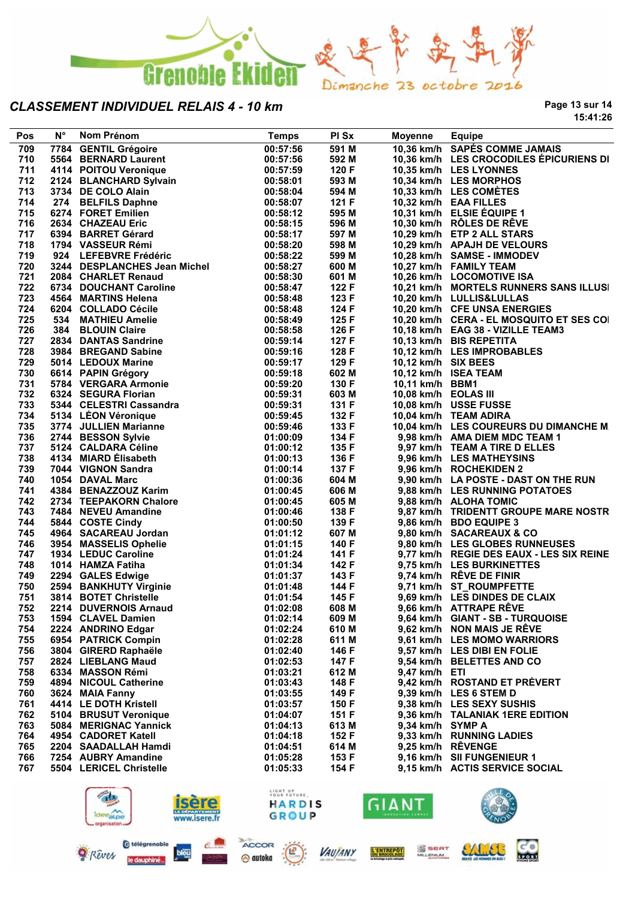

**Page 13 sur 14 15:41:26**

| 709 |                                                                   |          |       |                      |                                                                            |
|-----|-------------------------------------------------------------------|----------|-------|----------------------|----------------------------------------------------------------------------|
|     | 7784 GENTIL Grégoire                                              | 00:57:56 | 591 M |                      | 10,36 km/h SAPÉS COMME JAMAIS                                              |
| 710 | 5564 BERNARD Laurent                                              | 00:57:56 | 592 M |                      | 10,36 km/h LES CROCODILES ÉPICURIENS DI                                    |
| 711 | 4114 POITOU Veronique                                             | 00:57:59 | 120 F |                      | 10,35 km/h LES LYONNES                                                     |
| 712 | 2124 BLANCHARD Sylvain                                            | 00:58:01 | 593 M |                      | 10,34 km/h LES MORPHOS                                                     |
| 713 | 3734 DE COLO Alain                                                | 00:58:04 | 594 M |                      | 10,33 km/h LES COMÉTES                                                     |
| 714 | 274 BELFILS Daphne                                                | 00:58:07 | 121 F |                      | 10,32 km/h EAA FILLES                                                      |
| 715 | 6274 FORET Emilien                                                | 00:58:12 | 595 M |                      | 10,31 km/h ELSIE ÉQUIPE 1                                                  |
| 716 | 2634 CHAZEAU Eric                                                 | 00:58:15 | 596 M |                      | 10,30 km/h RÔLES DE RÊVE                                                   |
| 717 | 6394 BARRET Gérard                                                | 00:58:17 | 597 M |                      | 10,29 km/h ETP 2 ALL STARS                                                 |
| 718 | 1794 VASSEUR Rémi                                                 | 00:58:20 | 598 M |                      | 10,29 km/h APAJH DE VELOURS                                                |
| 719 | 924 LEFEBVRE Frédéric                                             | 00:58:22 | 599 M |                      | 10,28 km/h SAMSE - IMMODEV                                                 |
| 720 | 3244 DESPLANCHES Jean Michel                                      | 00:58:27 | 600 M |                      | 10,27 km/h FAMILY TEAM                                                     |
| 721 | 2084 CHARLET Renaud                                               | 00:58:30 | 601 M |                      | 10,26 km/h LOCOMOTIVE ISA                                                  |
| 722 | 6734 DOUCHANT Caroline                                            | 00:58:47 | 122 F |                      | 10,21 km/h MORTELS RUNNERS SANS ILLUSI                                     |
| 723 | 4564 MARTINS Helena                                               | 00:58:48 | 123 F |                      | 10,20 km/h LULLIS&LULLAS                                                   |
| 724 | 6204 COLLADO Cécile                                               | 00:58:48 | 124 F |                      | 10,20 km/h CFE UNSA ENERGIES                                               |
| 725 | 534 MATHIEU Amelie                                                | 00:58:49 | 125 F |                      | 10,20 km/h CERA - EL MOSQUITO ET SES COI                                   |
| 726 | 384 BLOUIN Claire                                                 | 00:58:58 | 126 F |                      | 10,18 km/h EAG 38 - VIZILLE TEAM3                                          |
| 727 | 2834 DANTAS Sandrine                                              | 00:59:14 | 127 F |                      | 10,13 km/h BIS REPETITA                                                    |
| 728 | 3984 BREGAND Sabine                                               | 00:59:16 | 128 F |                      | 10,12 km/h LES IMPROBABLES                                                 |
| 729 | 5014 LEDOUX Marine                                                | 00:59:17 | 129 F | 10,12 km/h SIX BEES  |                                                                            |
| 730 | 6614 PAPIN Grégory                                                | 00:59:18 | 602 M |                      | 10,12 km/h ISEA TEAM                                                       |
| 731 | 5784 VERGARA Armonie                                              | 00:59:20 | 130 F | 10,11 km/h BBM1      |                                                                            |
| 732 | 6324 SEGURA Florian                                               | 00:59:31 | 603 M | 10,08 km/h EOLAS III |                                                                            |
| 733 | 5344 CELESTRI Cassandra                                           | 00:59:31 | 131 F |                      | 10,08 km/h USSE FUSSE                                                      |
| 734 | 5134 LEON Véronique                                               | 00:59:45 | 132 F |                      | 10,04 km/h TEAM ADIRA                                                      |
| 735 |                                                                   | 00:59:46 | 133 F |                      | 10,04 km/h LES COUREURS DU DIMANCHE M                                      |
| 736 | 5134 LEON JULLIEN<br>3774 JULLIEN Marianne<br>הרביב הרביבה Sylvie | 01:00:09 | 134 F |                      | 9,98 km/h AMA DIEM MDC TEAM 1                                              |
| 737 | 5124 CALDARA Céline                                               | 01:00:12 | 135 F |                      | 9,97 km/h TEAM A TIRE D ELLES                                              |
| 738 | 4134 MIARD Elisabeth                                              | 01:00:13 | 136 F |                      | 9,96 km/h LES MATHEYSINS                                                   |
| 739 | 7044 VIGNON Sandra                                                | 01:00:14 | 137 F |                      | 9,96 km/h ROCHEKIDEN 2                                                     |
| 740 | 1054 DAVAL Marc                                                   | 01:00:36 | 604 M |                      | 9,90 km/h LA POSTE - DAST ON THE RUN                                       |
| 741 | 4384 BENAZZOUZ Karim                                              | 01:00:45 | 606 M |                      | 9,88 km/h LES RUNNING POTATOES                                             |
| 742 | 2734 TEEPAKORN Chalore                                            | 01:00:45 | 605 M |                      | 9,88 km/h ALOHA TOMIC                                                      |
| 743 | 7484 NEVEU Amandine                                               | 01:00:46 | 138 F |                      | 9,87 km/h TRIDENTT GROUPE MARE NOSTR                                       |
| 744 | 5844 COSTE Cindy                                                  | 01:00:50 | 139 F |                      | 9,86 km/h BDO EQUIPE 3                                                     |
| 745 | 4964 SACAREAU Jordan                                              | 01:01:12 | 607 M |                      | 9,80 km/h SACAREAUX & CO                                                   |
| 746 |                                                                   |          | 140 F |                      |                                                                            |
| 747 | 3954 MASSELIS Ophelie                                             | 01:01:15 |       |                      | 9,80 km/h LES GLOBES RUNNEUSES<br>9,77 km/h REGIE DES EAUX - LES SIX REINE |
|     | 1934 LEDUC Caroline                                               | 01:01:24 | 141 F |                      |                                                                            |
| 748 | 1014 HAMZA Fatiha                                                 | 01:01:34 | 142 F |                      | 9,75 km/h LES BURKINETTES                                                  |
| 749 | 2294 GALES Edwige                                                 | 01:01:37 | 143 F |                      | 9,74 km/h RÊVE DE FINIR                                                    |
| 750 | 2594 BANKHUTY Virginie                                            | 01:01:48 | 144 F |                      | 9,71 km/h ST_ROUMPFETTE                                                    |
| 751 | 3814 BOTET Christelle                                             | 01:01:54 | 145 F |                      | 9,69 km/h LES DINDES DE CLAIX                                              |
| 752 | 2214 DUVERNOIS Arnaud                                             | 01:02:08 | 608 M |                      | 9,66 km/h ATTRAPE RÊVE                                                     |
| 753 | 1594 CLAVEL Damien                                                | 01:02:14 | 609 M |                      | 9,64 km/h GIANT - SB - TURQUOISE                                           |
| 754 | 2224 ANDRINO Edgar                                                | 01:02:24 | 610 M |                      | 9.62 km/h NON MAIS JE RÊVE                                                 |
| 755 | 6954 PATRICK Compin                                               | 01:02:28 | 611 M |                      | 9,61 km/h LES MOMO WARRIORS                                                |
| 756 | 3804 GIRERD Raphaële                                              | 01:02:40 | 146 F |                      | 9,57 km/h LES DIBI EN FOLIE                                                |
| 757 | 2824 LIEBLANG Maud                                                | 01:02:53 | 147 F |                      | 9,54 km/h BELETTES AND CO                                                  |
| 758 | 6334 MASSON Rémi                                                  | 01:03:21 | 612 M | $9.47$ km/h ETI      |                                                                            |
| 759 | 4894 NICOUL Catherine                                             | 01:03:43 | 148 F |                      | 9,42 km/h ROSTAND ET PRÉVERT                                               |
| 760 | 3624 MAIA Fanny                                                   | 01:03:55 | 149 F |                      | 9,39 km/h LES 6 STEM D                                                     |
| 761 | 4414 LE DOTH Kristell                                             | 01:03:57 | 150 F |                      | 9.38 km/h LES SEXY SUSHIS                                                  |
| 762 | 5104 BRUSUT Veronique                                             | 01:04:07 | 151 F |                      | 9,36 km/h TALANIAK 1ERE EDITION                                            |
| 763 | 5084 MERIGNAC Yannick                                             | 01:04:13 | 613 M | 9,34 km/h SYMP A     |                                                                            |
| 764 | 4954 CADORET Katell                                               | 01:04:18 | 152 F |                      | 9,33 km/h RUNNING LADIES                                                   |
| 765 | 2204 SAADALLAH Hamdi                                              | 01:04:51 | 614 M |                      | 9,25 km/h RÊVENGE                                                          |
| 766 | 7254 AUBRY Amandine                                               | 01:05:28 | 153 F |                      | 9,16 km/h SII FUNGENIEUR 1                                                 |
| 767 | 5504 LERICEL Christelle                                           | 01:05:33 | 154 F |                      | 9,15 km/h ACTIS SERVICE SOCIAL                                             |
|     |                                                                   |          |       |                      |                                                                            |
|     | $-$                                                               | LIGHT UP |       |                      | LLE A                                                                      |